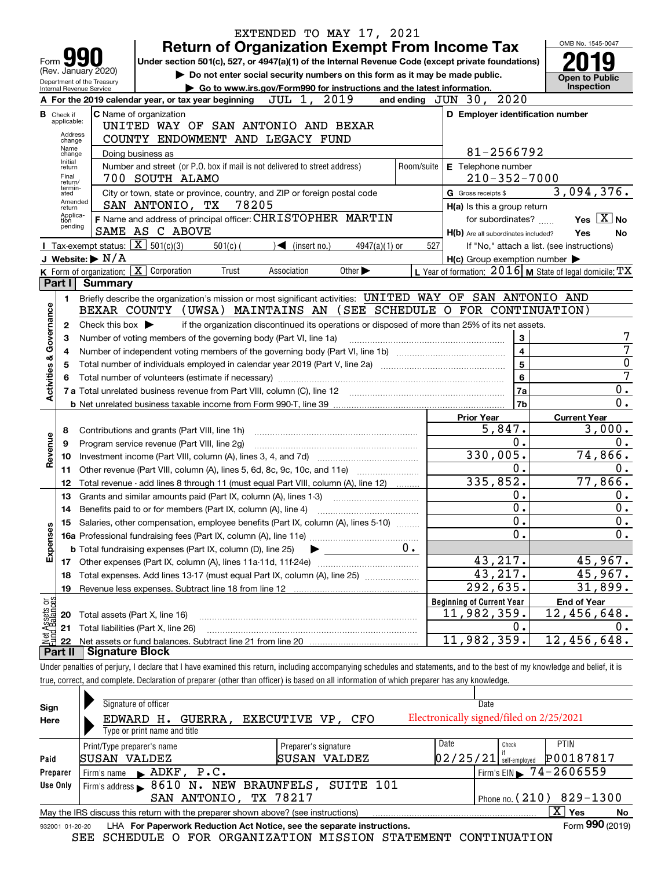|                         |                                  |                                                                                                 |            | EXTENDED TO MAY 17, 2021                                                                                                                                                   |            |                                                     |                              |                                                           |
|-------------------------|----------------------------------|-------------------------------------------------------------------------------------------------|------------|----------------------------------------------------------------------------------------------------------------------------------------------------------------------------|------------|-----------------------------------------------------|------------------------------|-----------------------------------------------------------|
|                         |                                  |                                                                                                 |            | <b>Return of Organization Exempt From Income Tax</b>                                                                                                                       |            |                                                     |                              | OMB No. 1545-0047                                         |
| Form                    |                                  |                                                                                                 |            | Under section 501(c), 527, or 4947(a)(1) of the Internal Revenue Code (except private foundations)                                                                         |            |                                                     |                              |                                                           |
|                         |                                  | (Rev. January 2020)<br>Department of the Treasury                                               |            | Do not enter social security numbers on this form as it may be made public.                                                                                                |            |                                                     |                              | Open to Public                                            |
|                         |                                  | <b>Internal Revenue Service</b>                                                                 |            | Go to www.irs.gov/Form990 for instructions and the latest information.                                                                                                     |            |                                                     |                              | Inspection                                                |
|                         |                                  | A For the 2019 calendar year, or tax year beginning $JUL$ 1, $2019$                             |            |                                                                                                                                                                            |            | and ending $JUN$ 30,                                | 2020                         |                                                           |
|                         | <b>B</b> Check if<br>applicable: | C Name of organization                                                                          |            |                                                                                                                                                                            |            | D Employer identification number                    |                              |                                                           |
|                         | Address                          | COUNTY ENDOWMENT AND LEGACY FUND                                                                |            | UNITED WAY OF SAN ANTONIO AND BEXAR                                                                                                                                        |            |                                                     |                              |                                                           |
|                         | change<br>Name                   |                                                                                                 |            |                                                                                                                                                                            |            |                                                     | 81-2566792                   |                                                           |
|                         | change<br>Initial                | Doing business as<br>Number and street (or P.O. box if mail is not delivered to street address) |            |                                                                                                                                                                            | Room/suite | E Telephone number                                  |                              |                                                           |
|                         | return<br>Final                  | 700 SOUTH ALAMO                                                                                 |            |                                                                                                                                                                            |            |                                                     | $210 - 352 - 7000$           |                                                           |
|                         | return/<br>termin-<br>ated       |                                                                                                 |            | City or town, state or province, country, and ZIP or foreign postal code                                                                                                   |            | G Gross receipts \$                                 |                              | 3,094,376.                                                |
|                         | Amended<br>return                | SAN ANTONIO, TX 78205                                                                           |            |                                                                                                                                                                            |            | H(a) Is this a group return                         |                              |                                                           |
|                         | Applica-<br>tion                 |                                                                                                 |            | F Name and address of principal officer: CHRISTOPHER MARTIN                                                                                                                |            |                                                     | for subordinates?            | Yes $X$ No                                                |
|                         | pending                          | SAME AS C ABOVE                                                                                 |            |                                                                                                                                                                            |            | H(b) Are all subordinates included?                 |                              | Yes<br>No                                                 |
|                         |                                  | <b>I</b> Tax-exempt status: $\overline{X}$ 501(c)(3)                                            | $501(c)$ ( | $\sqrt{ }$ (insert no.)<br>$4947(a)(1)$ or                                                                                                                                 | 527        |                                                     |                              | If "No," attach a list. (see instructions)                |
|                         |                                  | J Website: $\triangleright$ N/A                                                                 |            |                                                                                                                                                                            |            | $H(c)$ Group exemption number $\blacktriangleright$ |                              |                                                           |
|                         |                                  | $K$ Form of organization: $X$ Corporation                                                       | Trust      | Association<br>Other $\blacktriangleright$                                                                                                                                 |            |                                                     |                              | L Year of formation: $2016$ M State of legal domicile: TX |
|                         | Part I                           | <b>Summary</b>                                                                                  |            |                                                                                                                                                                            |            |                                                     |                              |                                                           |
|                         | 1.                               |                                                                                                 |            | Briefly describe the organization's mission or most significant activities: UNITED WAY OF SAN ANTONIO AND                                                                  |            |                                                     |                              |                                                           |
| Governance              |                                  |                                                                                                 |            | BEXAR COUNTY (UWSA) MAINTAINS AN (SEE SCHEDULE O FOR CONTINUATION)                                                                                                         |            |                                                     |                              |                                                           |
|                         | 2                                | Check this box $\blacktriangleright$                                                            |            | if the organization discontinued its operations or disposed of more than 25% of its net assets.                                                                            |            |                                                     |                              |                                                           |
|                         | З                                | Number of voting members of the governing body (Part VI, line 1a)                               |            |                                                                                                                                                                            |            |                                                     | 3<br>$\overline{\mathbf{4}}$ | 7                                                         |
|                         | 4<br>5                           |                                                                                                 |            |                                                                                                                                                                            |            |                                                     | 5                            | 0                                                         |
|                         | 6                                |                                                                                                 |            |                                                                                                                                                                            |            |                                                     | 6                            | 7                                                         |
| <b>Activities &amp;</b> |                                  |                                                                                                 |            |                                                                                                                                                                            |            |                                                     | 7a                           | 0.                                                        |
|                         |                                  |                                                                                                 |            |                                                                                                                                                                            |            |                                                     | 7b                           | $\overline{0}$ .                                          |
|                         |                                  |                                                                                                 |            |                                                                                                                                                                            |            | <b>Prior Year</b>                                   |                              | <b>Current Year</b>                                       |
|                         | 8                                | Contributions and grants (Part VIII, line 1h)                                                   |            |                                                                                                                                                                            |            |                                                     | 5,847.                       | 3,000.                                                    |
|                         | 9                                | Program service revenue (Part VIII, line 2g)                                                    |            |                                                                                                                                                                            |            |                                                     | 0.                           | 0.                                                        |
| Revenue                 | 10                               |                                                                                                 |            |                                                                                                                                                                            |            | 330,005.                                            |                              | 74,866.                                                   |
|                         | 11.                              |                                                                                                 |            | Other revenue (Part VIII, column (A), lines 5, 6d, 8c, 9c, 10c, and 11e)                                                                                                   |            |                                                     | 0.                           | 0.                                                        |
|                         | 12                               |                                                                                                 |            | Total revenue - add lines 8 through 11 (must equal Part VIII, column (A), line 12)                                                                                         |            | 335,852.                                            |                              | 77,866.                                                   |
|                         | 13                               | Grants and similar amounts paid (Part IX, column (A), lines 1-3)                                |            |                                                                                                                                                                            |            |                                                     | 0.<br>$\overline{0}$ .       | 0.                                                        |
|                         | 14                               | Benefits paid to or for members (Part IX, column (A), line 4)                                   |            |                                                                                                                                                                            |            |                                                     | $\overline{0}$ .             | 0.                                                        |
|                         | 15                               |                                                                                                 |            | Salaries, other compensation, employee benefits (Part IX, column (A), lines 5-10)                                                                                          |            |                                                     | 0.                           | 0.<br>$0$ .                                               |
| Expenses                |                                  | <b>b</b> Total fundraising expenses (Part IX, column (D), line 25)                              |            |                                                                                                                                                                            | 0.         |                                                     |                              |                                                           |
|                         |                                  | 17 Other expenses (Part IX, column (A), lines 11a-11d, 11f-24e)                                 |            |                                                                                                                                                                            |            |                                                     | 43,217.                      | 45,967.                                                   |
|                         | 18                               |                                                                                                 |            | Total expenses. Add lines 13-17 (must equal Part IX, column (A), line 25)                                                                                                  |            |                                                     | 43,217.                      | 45,967.                                                   |
|                         | 19                               |                                                                                                 |            |                                                                                                                                                                            |            | 292,635.                                            |                              | 31,899.                                                   |
| គង្គ                    |                                  |                                                                                                 |            |                                                                                                                                                                            |            | <b>Beginning of Current Year</b>                    |                              | <b>End of Year</b>                                        |
| ssets<br>Balanc         | 20                               | Total assets (Part X, line 16)                                                                  |            |                                                                                                                                                                            |            | 11,982,359.                                         |                              | 12,456,648.                                               |
| <u>تونج</u>             | 21                               | Total liabilities (Part X, line 26)                                                             |            |                                                                                                                                                                            |            |                                                     | 0.                           | 0.                                                        |
|                         | 22                               |                                                                                                 |            |                                                                                                                                                                            |            | 11,982,359.                                         |                              | 12,456,648.                                               |
|                         | Part II                          | <b>Signature Block</b>                                                                          |            |                                                                                                                                                                            |            |                                                     |                              |                                                           |
|                         |                                  |                                                                                                 |            | Under penalties of perjury, I declare that I have examined this return, including accompanying schedules and statements, and to the best of my knowledge and belief, it is |            |                                                     |                              |                                                           |
|                         |                                  |                                                                                                 |            | true, correct, and complete. Declaration of preparer (other than officer) is based on all information of which preparer has any knowledge.                                 |            |                                                     |                              |                                                           |
|                         |                                  | Signature of officer                                                                            |            |                                                                                                                                                                            |            | Date                                                |                              |                                                           |
| Sign                    |                                  |                                                                                                 |            |                                                                                                                                                                            |            | Electronically signed/filed on 2/25/2021            |                              |                                                           |
| Here                    |                                  | EDWARD H. GUERRA,<br>Type or print name and title                                               |            | EXECUTIVE VP,<br>CFO                                                                                                                                                       |            |                                                     |                              |                                                           |
|                         |                                  | Print/Type preparer's name                                                                      |            | Preparer's signature                                                                                                                                                       |            | Date                                                | Check                        | <b>PTIN</b>                                               |
|                         |                                  |                                                                                                 |            |                                                                                                                                                                            |            |                                                     |                              |                                                           |

|                 | Print/Type preparer S hame |                                                                                   | Preparer s'signature | ---- | <b>VIIVVII</b>                                      | .                                              |
|-----------------|----------------------------|-----------------------------------------------------------------------------------|----------------------|------|-----------------------------------------------------|------------------------------------------------|
| Paid            | SUSAN VALDEZ               |                                                                                   | SUSAN VALDEZ         |      |                                                     | 02/25/21 self-employed $\overline{P}$ 00187817 |
| Preparer        |                            | Firm's name $\blacktriangleright$ ADKF, $P.C.$                                    |                      |      | $\frac{1}{2}$ Firm's EIN $\rightarrow$ 74 – 2606559 |                                                |
| Use Only        |                            | Firm's address > 8610 N. NEW BRAUNFELS, SUITE 101                                 |                      |      |                                                     |                                                |
|                 |                            | SAN ANTONIO, TX 78217                                                             |                      |      |                                                     | Phone no. $(210)$ 829-1300                     |
|                 |                            | May the IRS discuss this return with the preparer shown above? (see instructions) |                      |      |                                                     | Yes<br>No                                      |
| 932001 01-20-20 |                            | LHA For Paperwork Reduction Act Notice, see the separate instructions.            |                      |      |                                                     | Form 990 (2019)                                |

932001 01-20-20 LHA For Paperwork Reduction Act Notice, see the separate instructions.<br>SEE SCHEDULE O FOR ORGANIZATION MISSION STATEMENT CONTINUATION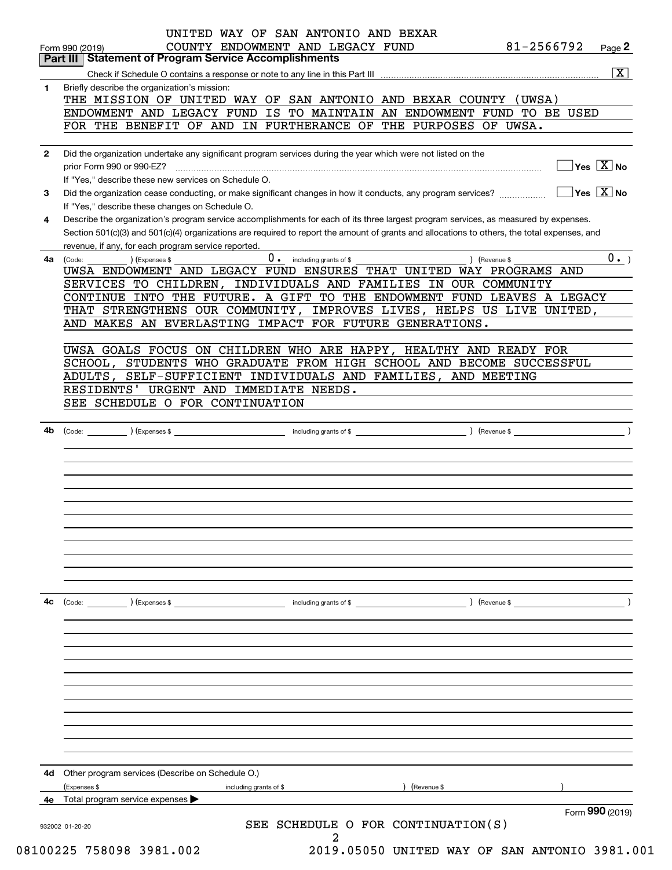|              | Page 2<br><b>Part III Statement of Program Service Accomplishments</b>                                                                       |
|--------------|----------------------------------------------------------------------------------------------------------------------------------------------|
|              | $\overline{\mathbf{x}}$                                                                                                                      |
| 1            | Briefly describe the organization's mission:                                                                                                 |
|              | THE MISSION OF UNITED WAY OF SAN ANTONIO AND BEXAR COUNTY (UWSA)                                                                             |
|              | ENDOWMENT AND LEGACY FUND IS TO MAINTAIN AN ENDOWMENT FUND TO BE USED                                                                        |
|              | FOR THE BENEFIT OF AND IN FURTHERANCE OF THE PURPOSES OF UWSA.                                                                               |
| $\mathbf{2}$ | Did the organization undertake any significant program services during the year which were not listed on the                                 |
|              | $\overline{\mathsf{Yes}\mathrel{\hspace{0.05cm}\mathbf{X}}$ No                                                                               |
|              | If "Yes," describe these new services on Schedule O.                                                                                         |
|              | $\sqrt{}$ Yes $\sqrt{}$ X $\sqrt{}$ No                                                                                                       |
| 3            | Did the organization cease conducting, or make significant changes in how it conducts, any program services?                                 |
|              | If "Yes," describe these changes on Schedule O.                                                                                              |
| 4            | Describe the organization's program service accomplishments for each of its three largest program services, as measured by expenses.         |
|              | Section 501(c)(3) and 501(c)(4) organizations are required to report the amount of grants and allocations to others, the total expenses, and |
|              | revenue, if any, for each program service reported.                                                                                          |
| 4a           | 0. including grants of \$<br>0.<br>) (Revenue \$<br>(Code:<br>) (Expenses \$                                                                 |
|              | UWSA ENDOWMENT AND LEGACY FUND ENSURES THAT UNITED WAY PROGRAMS AND                                                                          |
|              | SERVICES TO CHILDREN, INDIVIDUALS AND FAMILIES IN OUR COMMUNITY                                                                              |
|              | CONTINUE INTO THE FUTURE. A GIFT TO THE ENDOWMENT FUND LEAVES A LEGACY                                                                       |
|              | THAT STRENGTHENS OUR COMMUNITY, IMPROVES LIVES, HELPS US LIVE UNITED,                                                                        |
|              | AND MAKES AN EVERLASTING IMPACT FOR FUTURE GENERATIONS.                                                                                      |
|              |                                                                                                                                              |
|              | UWSA GOALS FOCUS ON CHILDREN WHO ARE HAPPY, HEALTHY AND READY FOR                                                                            |
|              | SCHOOL, STUDENTS WHO GRADUATE FROM HIGH SCHOOL AND BECOME SUCCESSFUL                                                                         |
|              | ADULTS, SELF-SUFFICIENT INDIVIDUALS AND FAMILIES, AND MEETING                                                                                |
|              | RESIDENTS' URGENT AND IMMEDIATE NEEDS.                                                                                                       |
|              | SEE SCHEDULE O FOR CONTINUATION                                                                                                              |
|              |                                                                                                                                              |
| 4b           |                                                                                                                                              |
|              |                                                                                                                                              |
|              |                                                                                                                                              |
|              |                                                                                                                                              |
|              |                                                                                                                                              |
|              |                                                                                                                                              |
|              |                                                                                                                                              |
|              |                                                                                                                                              |
|              |                                                                                                                                              |
|              |                                                                                                                                              |
|              |                                                                                                                                              |
|              |                                                                                                                                              |
|              |                                                                                                                                              |
|              |                                                                                                                                              |
| 4c           | $\left(\text{Code:} \right)$ $\left(\text{Expenses $}\right)$                                                                                |
|              |                                                                                                                                              |
|              |                                                                                                                                              |
|              |                                                                                                                                              |
|              |                                                                                                                                              |
|              |                                                                                                                                              |
|              |                                                                                                                                              |
|              |                                                                                                                                              |
|              |                                                                                                                                              |
|              |                                                                                                                                              |
|              |                                                                                                                                              |
|              |                                                                                                                                              |
|              |                                                                                                                                              |
|              | Other program services (Describe on Schedule O.)                                                                                             |
| 4d           |                                                                                                                                              |
|              | (Revenue \$<br>(Expenses \$<br>including grants of \$                                                                                        |
|              | Total program service expenses                                                                                                               |
|              | Form 990 (2019)<br>SEE SCHEDULE O FOR CONTINUATION(S)<br>932002 01-20-20                                                                     |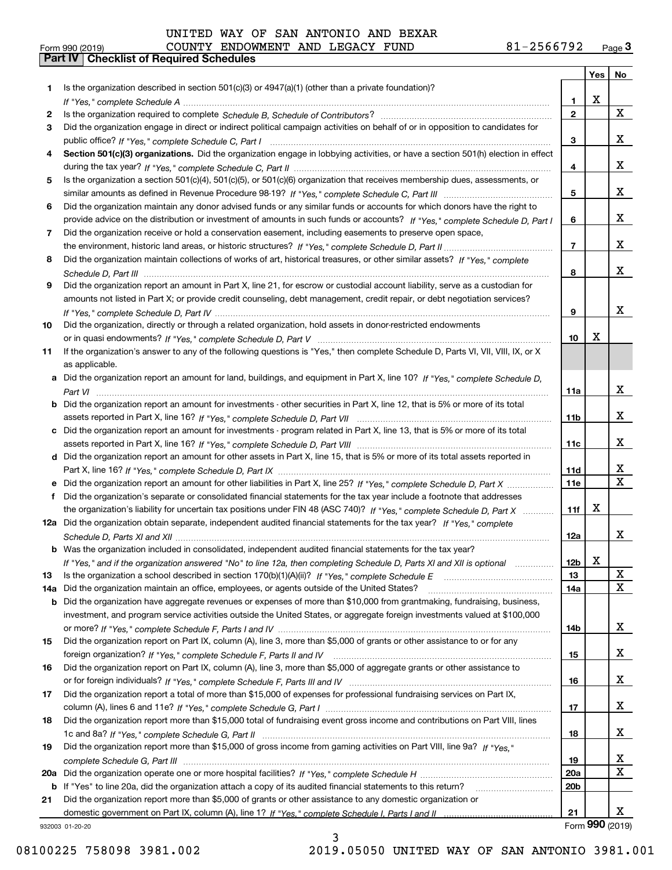# Form 990 (2019) COUNTY ENDOWMENT AND LEGACY FUND 81-2566792 <sub>Page</sub> 3<br>**Part IV | Checklist of Required Schedules**

|     |                                                                                                                                       |                 | Yes | No                      |
|-----|---------------------------------------------------------------------------------------------------------------------------------------|-----------------|-----|-------------------------|
| 1.  | Is the organization described in section 501(c)(3) or 4947(a)(1) (other than a private foundation)?                                   |                 |     |                         |
|     |                                                                                                                                       | 1               | X   |                         |
| 2   |                                                                                                                                       | $\mathbf{2}$    |     | X                       |
| 3   | Did the organization engage in direct or indirect political campaign activities on behalf of or in opposition to candidates for       |                 |     |                         |
|     |                                                                                                                                       | 3               |     | x                       |
| 4   | Section 501(c)(3) organizations. Did the organization engage in lobbying activities, or have a section 501(h) election in effect      |                 |     |                         |
|     |                                                                                                                                       | 4               |     | X                       |
| 5   | Is the organization a section 501(c)(4), 501(c)(5), or 501(c)(6) organization that receives membership dues, assessments, or          |                 |     |                         |
|     |                                                                                                                                       | 5               |     | X                       |
| 6   | Did the organization maintain any donor advised funds or any similar funds or accounts for which donors have the right to             |                 |     |                         |
|     | provide advice on the distribution or investment of amounts in such funds or accounts? If "Yes," complete Schedule D, Part I          | 6               |     | х                       |
| 7   | Did the organization receive or hold a conservation easement, including easements to preserve open space,                             |                 |     |                         |
|     |                                                                                                                                       | $\overline{7}$  |     | х                       |
| 8   | Did the organization maintain collections of works of art, historical treasures, or other similar assets? If "Yes," complete          |                 |     | х                       |
|     |                                                                                                                                       | 8               |     |                         |
| 9   | Did the organization report an amount in Part X, line 21, for escrow or custodial account liability, serve as a custodian for         |                 |     |                         |
|     | amounts not listed in Part X; or provide credit counseling, debt management, credit repair, or debt negotiation services?             |                 |     | х                       |
|     |                                                                                                                                       | 9               |     |                         |
| 10  | Did the organization, directly or through a related organization, hold assets in donor-restricted endowments                          |                 | х   |                         |
|     |                                                                                                                                       | 10              |     |                         |
| 11  | If the organization's answer to any of the following questions is "Yes," then complete Schedule D, Parts VI, VII, VIII, IX, or X      |                 |     |                         |
|     | as applicable.                                                                                                                        |                 |     |                         |
|     | a Did the organization report an amount for land, buildings, and equipment in Part X, line 10? If "Yes," complete Schedule D,         |                 |     | х                       |
|     |                                                                                                                                       | 11a             |     |                         |
|     | <b>b</b> Did the organization report an amount for investments - other securities in Part X, line 12, that is 5% or more of its total | 11 <sub>b</sub> |     | х                       |
|     | c Did the organization report an amount for investments - program related in Part X, line 13, that is 5% or more of its total         |                 |     |                         |
|     |                                                                                                                                       | 11c             |     | х                       |
|     | d Did the organization report an amount for other assets in Part X, line 15, that is 5% or more of its total assets reported in       |                 |     |                         |
|     |                                                                                                                                       | 11d             |     | x                       |
| е   | Did the organization report an amount for other liabilities in Part X, line 25? If "Yes," complete Schedule D, Part X                 | <b>11e</b>      |     | $\overline{\mathbf{x}}$ |
| f.  | Did the organization's separate or consolidated financial statements for the tax year include a footnote that addresses               |                 |     |                         |
|     | the organization's liability for uncertain tax positions under FIN 48 (ASC 740)? If "Yes," complete Schedule D. Part X                | 11f             | х   |                         |
|     | 12a Did the organization obtain separate, independent audited financial statements for the tax year? If "Yes," complete               |                 |     |                         |
|     |                                                                                                                                       | 12a             |     | X                       |
|     | <b>b</b> Was the organization included in consolidated, independent audited financial statements for the tax year?                    |                 |     |                         |
|     | If "Yes," and if the organization answered "No" to line 12a, then completing Schedule D, Parts XI and XII is optional                 | 12 <sub>b</sub> | х   |                         |
| 13  | Is the organization a school described in section $170(b)(1)(A)(ii)?$ If "Yes," complete Schedule E                                   | 13              |     | $\mathbf X$             |
| 14a | Did the organization maintain an office, employees, or agents outside of the United States?                                           | 14a             |     | X                       |
|     | <b>b</b> Did the organization have aggregate revenues or expenses of more than \$10,000 from grantmaking, fundraising, business,      |                 |     |                         |
|     | investment, and program service activities outside the United States, or aggregate foreign investments valued at \$100,000            |                 |     |                         |
|     |                                                                                                                                       | 14b             |     | X                       |
| 15  | Did the organization report on Part IX, column (A), line 3, more than \$5,000 of grants or other assistance to or for any             |                 |     |                         |
|     |                                                                                                                                       | 15              |     | X                       |
| 16  | Did the organization report on Part IX, column (A), line 3, more than \$5,000 of aggregate grants or other assistance to              |                 |     |                         |
|     |                                                                                                                                       | 16              |     | x                       |
| 17  | Did the organization report a total of more than \$15,000 of expenses for professional fundraising services on Part IX,               |                 |     |                         |
|     |                                                                                                                                       | 17              |     | x                       |
| 18  | Did the organization report more than \$15,000 total of fundraising event gross income and contributions on Part VIII, lines          |                 |     |                         |
|     |                                                                                                                                       | 18              |     | x                       |
| 19  | Did the organization report more than \$15,000 of gross income from gaming activities on Part VIII, line 9a? If "Yes."                |                 |     |                         |
|     |                                                                                                                                       | 19              |     | x                       |
| 20a |                                                                                                                                       | 20a             |     | $\mathbf X$             |
| b   | If "Yes" to line 20a, did the organization attach a copy of its audited financial statements to this return?                          | 20 <sub>b</sub> |     |                         |
| 21  | Did the organization report more than \$5,000 of grants or other assistance to any domestic organization or                           |                 |     |                         |
|     |                                                                                                                                       | 21              |     | x                       |
|     | 932003 01-20-20                                                                                                                       |                 |     | Form 990 (2019)         |

3

08100225 758098 3981.002 2019.05050 UNITED WAY OF SAN ANTONIO 3981.001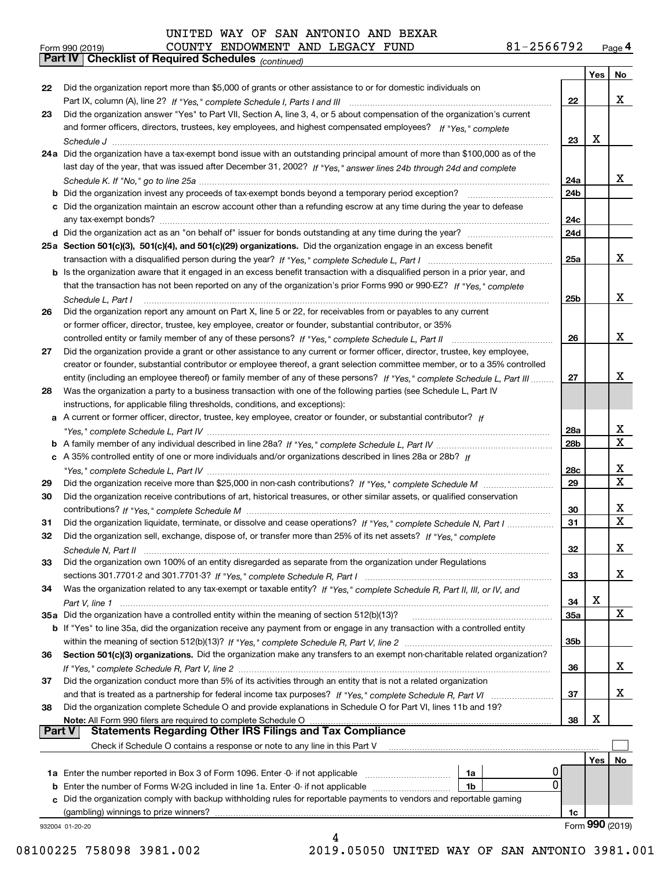|               | 81-2566792<br>COUNTY ENDOWMENT AND LEGACY FUND<br>Form 990 (2019)                                                            |                 |     | Page 4      |
|---------------|------------------------------------------------------------------------------------------------------------------------------|-----------------|-----|-------------|
|               | Part IV   Checklist of Required Schedules (continued)                                                                        |                 |     |             |
|               |                                                                                                                              |                 | Yes | No          |
| 22            | Did the organization report more than \$5,000 of grants or other assistance to or for domestic individuals on                |                 |     |             |
|               |                                                                                                                              | 22              |     | x           |
| 23            | Did the organization answer "Yes" to Part VII, Section A, line 3, 4, or 5 about compensation of the organization's current   |                 |     |             |
|               | and former officers, directors, trustees, key employees, and highest compensated employees? If "Yes," complete               |                 |     |             |
|               |                                                                                                                              | 23              | х   |             |
|               | 24a Did the organization have a tax-exempt bond issue with an outstanding principal amount of more than \$100,000 as of the  |                 |     |             |
|               | last day of the year, that was issued after December 31, 2002? If "Yes," answer lines 24b through 24d and complete           |                 |     |             |
|               |                                                                                                                              | 24a             |     | x           |
|               |                                                                                                                              |                 |     |             |
|               |                                                                                                                              | 24b             |     |             |
|               | c Did the organization maintain an escrow account other than a refunding escrow at any time during the year to defease       |                 |     |             |
|               |                                                                                                                              | 24c             |     |             |
|               |                                                                                                                              | 24d             |     |             |
|               | 25a Section 501(c)(3), 501(c)(4), and 501(c)(29) organizations. Did the organization engage in an excess benefit             |                 |     |             |
|               |                                                                                                                              | 25a             |     | x           |
|               | b Is the organization aware that it engaged in an excess benefit transaction with a disqualified person in a prior year, and |                 |     |             |
|               | that the transaction has not been reported on any of the organization's prior Forms 990 or 990-EZ? If "Yes," complete        |                 |     |             |
|               | Schedule L, Part I                                                                                                           | 25 <sub>b</sub> |     | x           |
| 26            | Did the organization report any amount on Part X, line 5 or 22, for receivables from or payables to any current              |                 |     |             |
|               | or former officer, director, trustee, key employee, creator or founder, substantial contributor, or 35%                      |                 |     |             |
|               |                                                                                                                              | 26              |     | x           |
| 27            | Did the organization provide a grant or other assistance to any current or former officer, director, trustee, key employee,  |                 |     |             |
|               | creator or founder, substantial contributor or employee thereof, a grant selection committee member, or to a 35% controlled  |                 |     |             |
|               | entity (including an employee thereof) or family member of any of these persons? If "Yes," complete Schedule L, Part III     | 27              |     | х           |
|               | Was the organization a party to a business transaction with one of the following parties (see Schedule L, Part IV            |                 |     |             |
| 28            |                                                                                                                              |                 |     |             |
|               | instructions, for applicable filing thresholds, conditions, and exceptions):                                                 |                 |     |             |
|               | a A current or former officer, director, trustee, key employee, creator or founder, or substantial contributor? If           |                 |     |             |
|               |                                                                                                                              | 28a             |     | х           |
|               |                                                                                                                              | 28b             |     | X           |
|               | c A 35% controlled entity of one or more individuals and/or organizations described in lines 28a or 28b? If                  |                 |     |             |
|               |                                                                                                                              | 28c             |     | х           |
| 29            |                                                                                                                              | 29              |     | $\mathbf X$ |
| 30            | Did the organization receive contributions of art, historical treasures, or other similar assets, or qualified conservation  |                 |     |             |
|               |                                                                                                                              | 30              |     | х           |
| 31            | Did the organization liquidate, terminate, or dissolve and cease operations? If "Yes," complete Schedule N, Part I           | 31              |     | $\mathbf X$ |
|               | Did the organization sell, exchange, dispose of, or transfer more than 25% of its net assets? If "Yes," complete             |                 |     |             |
|               |                                                                                                                              | 32              |     | X           |
| 33            | Did the organization own 100% of an entity disregarded as separate from the organization under Regulations                   |                 |     |             |
|               |                                                                                                                              | 33              |     | x           |
| 34            | Was the organization related to any tax-exempt or taxable entity? If "Yes," complete Schedule R, Part II, III, or IV, and    |                 |     |             |
|               |                                                                                                                              | 34              | х   |             |
|               | 35a Did the organization have a controlled entity within the meaning of section 512(b)(13)?                                  | 35a             |     | X           |
|               | b If "Yes" to line 35a, did the organization receive any payment from or engage in any transaction with a controlled entity  |                 |     |             |
|               |                                                                                                                              |                 |     |             |
|               |                                                                                                                              | 35b             |     |             |
| 36            | Section 501(c)(3) organizations. Did the organization make any transfers to an exempt non-charitable related organization?   |                 |     |             |
|               |                                                                                                                              | 36              |     | x           |
| 37            | Did the organization conduct more than 5% of its activities through an entity that is not a related organization             |                 |     |             |
|               |                                                                                                                              | 37              |     | х           |
| 38            | Did the organization complete Schedule O and provide explanations in Schedule O for Part VI, lines 11b and 19?               |                 |     |             |
|               | Note: All Form 990 filers are required to complete Schedule O Martin Martin Martin Martin Martin Martin Martin               | 38              | х   |             |
| <b>Part V</b> | <b>Statements Regarding Other IRS Filings and Tax Compliance</b>                                                             |                 |     |             |
|               | Check if Schedule O contains a response or note to any line in this Part V                                                   |                 |     |             |
|               |                                                                                                                              |                 | Yes | No          |
|               | 0<br>1a                                                                                                                      |                 |     |             |
|               | 0<br><b>b</b> Enter the number of Forms W-2G included in line 1a. Enter -0- if not applicable<br>1b                          |                 |     |             |
|               | c Did the organization comply with backup withholding rules for reportable payments to vendors and reportable gaming         |                 |     |             |
|               |                                                                                                                              | 1c              |     |             |

932004 01-20-20

08100225 758098 3981.002 2019.05050 UNITED WAY OF SAN ANTONIO 3981.001

Form (2019) **990**

4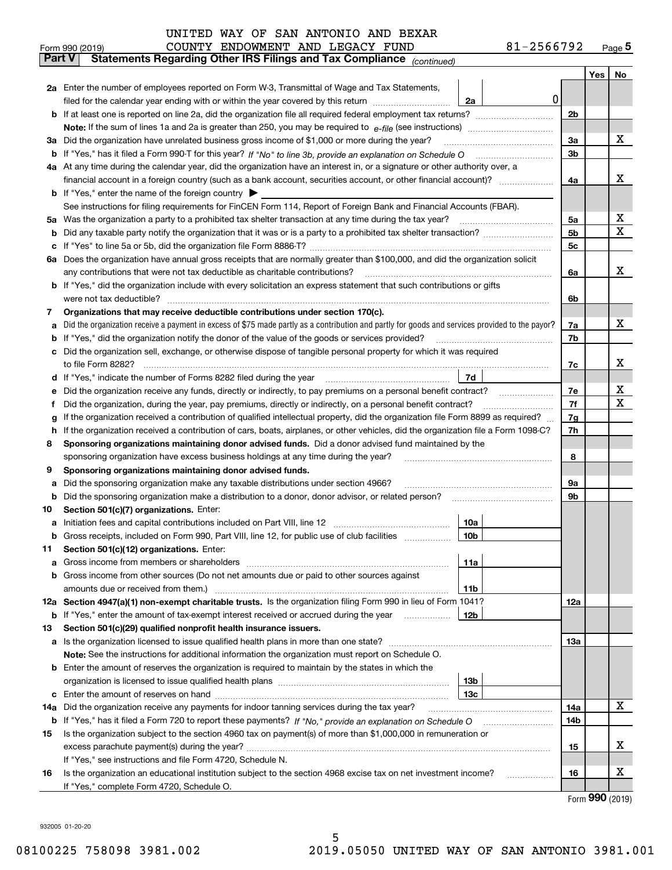|               | Form 990 (2019) | COUNTY ENDOWMENT AND LEGACY FUND                                                                                                                |                 | 81-2566792 |            |     | $Page$ <sup>5</sup> |
|---------------|-----------------|-------------------------------------------------------------------------------------------------------------------------------------------------|-----------------|------------|------------|-----|---------------------|
| <b>Part V</b> |                 | Statements Regarding Other IRS Filings and Tax Compliance (continued)                                                                           |                 |            |            |     |                     |
|               |                 |                                                                                                                                                 |                 |            |            | Yes | No                  |
|               |                 | 2a Enter the number of employees reported on Form W-3, Transmittal of Wage and Tax Statements,                                                  |                 |            |            |     |                     |
|               |                 | filed for the calendar year ending with or within the year covered by this return                                                               | 2a              | 0          |            |     |                     |
|               |                 |                                                                                                                                                 |                 |            | 2b         |     |                     |
|               |                 |                                                                                                                                                 |                 |            |            |     |                     |
|               |                 | 3a Did the organization have unrelated business gross income of \$1,000 or more during the year?                                                |                 |            | 3a         |     | х                   |
|               |                 |                                                                                                                                                 |                 |            | 3b         |     |                     |
|               |                 | 4a At any time during the calendar year, did the organization have an interest in, or a signature or other authority over, a                    |                 |            |            |     |                     |
|               |                 |                                                                                                                                                 |                 |            | 4a         |     | x                   |
|               |                 | <b>b</b> If "Yes," enter the name of the foreign country $\blacktriangleright$                                                                  |                 |            |            |     |                     |
|               |                 | See instructions for filing requirements for FinCEN Form 114, Report of Foreign Bank and Financial Accounts (FBAR).                             |                 |            |            |     |                     |
| 5a            |                 | Was the organization a party to a prohibited tax shelter transaction at any time during the tax year?                                           |                 |            | 5а         |     | x                   |
| b             |                 |                                                                                                                                                 |                 |            | 5b         |     | $\mathbf X$         |
| c             |                 |                                                                                                                                                 |                 |            | 5c         |     |                     |
|               |                 | 6a Does the organization have annual gross receipts that are normally greater than \$100,000, and did the organization solicit                  |                 |            |            |     |                     |
|               |                 | any contributions that were not tax deductible as charitable contributions?                                                                     |                 |            | 6a         |     | x                   |
|               |                 | b If "Yes," did the organization include with every solicitation an express statement that such contributions or gifts                          |                 |            |            |     |                     |
|               |                 | were not tax deductible?                                                                                                                        |                 |            | 6b         |     |                     |
| 7             |                 | Organizations that may receive deductible contributions under section 170(c).                                                                   |                 |            |            |     |                     |
| a             |                 | Did the organization receive a payment in excess of \$75 made partly as a contribution and partly for goods and services provided to the payor? |                 |            | 7a         |     | х                   |
| b             |                 | If "Yes," did the organization notify the donor of the value of the goods or services provided?                                                 |                 |            | 7b         |     |                     |
|               |                 | Did the organization sell, exchange, or otherwise dispose of tangible personal property for which it was required                               |                 |            |            |     |                     |
|               |                 |                                                                                                                                                 |                 |            | 7c         |     | х                   |
| d             |                 |                                                                                                                                                 | 7d              |            |            |     |                     |
| е             |                 |                                                                                                                                                 |                 |            | 7e         |     | X                   |
| f             |                 | Did the organization, during the year, pay premiums, directly or indirectly, on a personal benefit contract?                                    |                 |            | 7f         |     | X                   |
| g             |                 | If the organization received a contribution of qualified intellectual property, did the organization file Form 8899 as required?                |                 |            | 7g         |     |                     |
| h.            |                 | If the organization received a contribution of cars, boats, airplanes, or other vehicles, did the organization file a Form 1098-C?              |                 |            | 7h         |     |                     |
| 8             |                 | Sponsoring organizations maintaining donor advised funds. Did a donor advised fund maintained by the                                            |                 |            |            |     |                     |
|               |                 | sponsoring organization have excess business holdings at any time during the year?                                                              |                 |            | 8          |     |                     |
| 9             |                 | Sponsoring organizations maintaining donor advised funds.                                                                                       |                 |            |            |     |                     |
| a             |                 | Did the sponsoring organization make any taxable distributions under section 4966?                                                              |                 |            | 9а         |     |                     |
| b             |                 | Did the sponsoring organization make a distribution to a donor, donor advisor, or related person?                                               |                 |            | 9b         |     |                     |
| 10            |                 | Section 501(c)(7) organizations. Enter:                                                                                                         |                 |            |            |     |                     |
|               |                 |                                                                                                                                                 | 10a             |            |            |     |                     |
|               |                 | Gross receipts, included on Form 990, Part VIII, line 12, for public use of club facilities                                                     | 10b             |            |            |     |                     |
| 11            |                 | Section 501(c)(12) organizations. Enter:                                                                                                        |                 |            |            |     |                     |
| a             |                 | Gross income from members or shareholders                                                                                                       | 11a             |            |            |     |                     |
|               |                 | b Gross income from other sources (Do not net amounts due or paid to other sources against                                                      |                 |            |            |     |                     |
|               |                 |                                                                                                                                                 | 11b             |            |            |     |                     |
|               |                 | 12a Section 4947(a)(1) non-exempt charitable trusts. Is the organization filing Form 990 in lieu of Form 1041?                                  |                 |            | 12a        |     |                     |
|               |                 | <b>b</b> If "Yes," enter the amount of tax-exempt interest received or accrued during the year <i>manument</i>                                  | 12 <sub>b</sub> |            |            |     |                     |
| 13            |                 | Section 501(c)(29) qualified nonprofit health insurance issuers.                                                                                |                 |            |            |     |                     |
|               |                 | <b>a</b> Is the organization licensed to issue qualified health plans in more than one state?                                                   |                 |            | <b>13a</b> |     |                     |
|               |                 | Note: See the instructions for additional information the organization must report on Schedule O.                                               |                 |            |            |     |                     |
|               |                 | <b>b</b> Enter the amount of reserves the organization is required to maintain by the states in which the                                       |                 |            |            |     |                     |
|               |                 |                                                                                                                                                 | 13 <sub>b</sub> |            |            |     |                     |
|               |                 |                                                                                                                                                 | 13c             |            |            |     |                     |
| 14a           |                 | Did the organization receive any payments for indoor tanning services during the tax year?                                                      |                 |            | 14a        |     | х                   |
|               |                 | <b>b</b> If "Yes," has it filed a Form 720 to report these payments? If "No," provide an explanation on Schedule O                              |                 |            | 14b        |     |                     |
| 15            |                 | Is the organization subject to the section 4960 tax on payment(s) of more than \$1,000,000 in remuneration or                                   |                 |            |            |     |                     |
|               |                 |                                                                                                                                                 |                 |            | 15         |     | х                   |
|               |                 | If "Yes," see instructions and file Form 4720, Schedule N.                                                                                      |                 |            |            |     |                     |
| 16            |                 | Is the organization an educational institution subject to the section 4968 excise tax on net investment income?                                 |                 |            | 16         |     | X                   |
|               |                 | If "Yes," complete Form 4720, Schedule O.                                                                                                       |                 |            |            |     |                     |

5

Form (2019) **990**

932005 01-20-20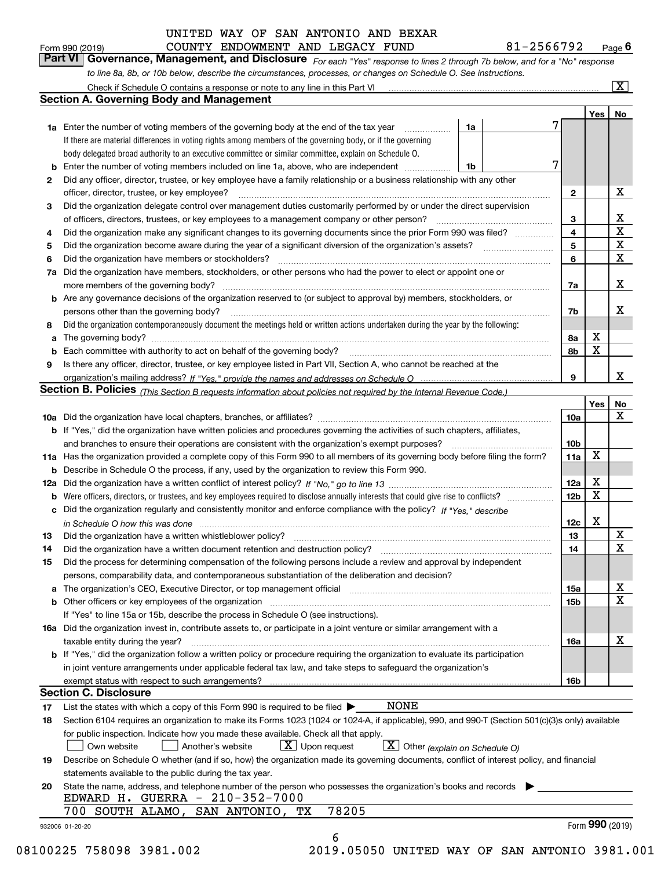| Form 990 (2019) |  | COUNTY ENDOWMENT AND LEGACY FUND |  | 81-2566792                                                                                                                  | $P_{\text{aqe}}$ 6 |
|-----------------|--|----------------------------------|--|-----------------------------------------------------------------------------------------------------------------------------|--------------------|
|                 |  |                                  |  | Part VI Governance, Management, and Disclosure For each "Yes" response to lines 2 through 7b below, and for a "No" response |                    |
|                 |  |                                  |  | to line 8a, 8b, or 10b below, describe the circumstances, processes, or changes on Schedule O. See instructions.            |                    |

|     | Check if Schedule O contains a response or note to any line in this Part VI                                                                                                                                                    |                 |             | $\overline{\mathbf{x}}$ |
|-----|--------------------------------------------------------------------------------------------------------------------------------------------------------------------------------------------------------------------------------|-----------------|-------------|-------------------------|
|     | <b>Section A. Governing Body and Management</b>                                                                                                                                                                                |                 |             |                         |
|     |                                                                                                                                                                                                                                |                 | Yes         | No                      |
|     | 1a<br><b>1a</b> Enter the number of voting members of the governing body at the end of the tax year<br>.                                                                                                                       |                 |             |                         |
|     | If there are material differences in voting rights among members of the governing body, or if the governing                                                                                                                    |                 |             |                         |
|     | body delegated broad authority to an executive committee or similar committee, explain on Schedule O.                                                                                                                          |                 |             |                         |
|     | Enter the number of voting members included on line 1a, above, who are independent<br>1b                                                                                                                                       |                 |             |                         |
| 2   | Did any officer, director, trustee, or key employee have a family relationship or a business relationship with any other                                                                                                       |                 |             |                         |
|     | officer, director, trustee, or key employee?                                                                                                                                                                                   | $\mathbf{2}$    |             | x                       |
| 3   | Did the organization delegate control over management duties customarily performed by or under the direct supervision                                                                                                          |                 |             |                         |
|     | of officers, directors, trustees, or key employees to a management company or other person?                                                                                                                                    | 3               |             | x                       |
| 4   | Did the organization make any significant changes to its governing documents since the prior Form 990 was filed?                                                                                                               | $\overline{4}$  |             | $\mathbf X$             |
| 5   | Did the organization become aware during the year of a significant diversion of the organization's assets?                                                                                                                     | 5               |             | X                       |
| 6   | Did the organization have members or stockholders?                                                                                                                                                                             | 6               |             | X                       |
| 7a  | Did the organization have members, stockholders, or other persons who had the power to elect or appoint one or                                                                                                                 |                 |             |                         |
|     |                                                                                                                                                                                                                                | 7a              |             | x                       |
| b   | Are any governance decisions of the organization reserved to (or subject to approval by) members, stockholders, or                                                                                                             |                 |             |                         |
|     | persons other than the governing body?                                                                                                                                                                                         | 7b              |             | x                       |
| 8   | Did the organization contemporaneously document the meetings held or written actions undertaken during the year by the following:                                                                                              |                 |             |                         |
| a   |                                                                                                                                                                                                                                | 8a              | х           |                         |
|     | Each committee with authority to act on behalf of the governing body?                                                                                                                                                          | 8b              | X           |                         |
| 9   | Is there any officer, director, trustee, or key employee listed in Part VII, Section A, who cannot be reached at the                                                                                                           |                 |             |                         |
|     |                                                                                                                                                                                                                                | 9               |             | X.                      |
|     | Section B. Policies <sub>(This</sub> Section B requests information about policies not required by the Internal Revenue Code.)                                                                                                 |                 |             |                         |
|     |                                                                                                                                                                                                                                |                 | Yes         | No                      |
|     |                                                                                                                                                                                                                                | <b>10a</b>      |             | x                       |
|     | <b>b</b> If "Yes," did the organization have written policies and procedures governing the activities of such chapters, affiliates,                                                                                            |                 |             |                         |
|     | and branches to ensure their operations are consistent with the organization's exempt purposes?                                                                                                                                | 10 <sub>b</sub> |             |                         |
| 11a | Has the organization provided a complete copy of this Form 990 to all members of its governing body before filing the form?                                                                                                    | 11a             | $\mathbf X$ |                         |
| b   | Describe in Schedule O the process, if any, used by the organization to review this Form 990.                                                                                                                                  |                 |             |                         |
| 12a |                                                                                                                                                                                                                                | 12a             | X           |                         |
| b   | Were officers, directors, or trustees, and key employees required to disclose annually interests that could give rise to conflicts?                                                                                            | 12 <sub>b</sub> | X           |                         |
| с   | Did the organization regularly and consistently monitor and enforce compliance with the policy? If "Yes," describe                                                                                                             |                 |             |                         |
|     |                                                                                                                                                                                                                                | 12c             | X           |                         |
| 13  | Did the organization have a written whistleblower policy?                                                                                                                                                                      | 13              |             | X                       |
| 14  | Did the organization have a written document retention and destruction policy?                                                                                                                                                 | 14              |             | $\mathbf x$             |
| 15  | Did the process for determining compensation of the following persons include a review and approval by independent                                                                                                             |                 |             |                         |
|     | persons, comparability data, and contemporaneous substantiation of the deliberation and decision?                                                                                                                              |                 |             |                         |
|     | The organization's CEO, Executive Director, or top management official manufactured contains and contained a manufactured with the organization's CEO, Executive Director, or top management official manufactured with the st | <b>15a</b>      |             | x                       |
|     | Other officers or key employees of the organization                                                                                                                                                                            | 15 <sub>b</sub> |             | X                       |
|     | If "Yes" to line 15a or 15b, describe the process in Schedule O (see instructions).                                                                                                                                            |                 |             |                         |
|     | 16a Did the organization invest in, contribute assets to, or participate in a joint venture or similar arrangement with a                                                                                                      |                 |             |                         |
|     | taxable entity during the year?                                                                                                                                                                                                | 16a             |             | х                       |
|     | <b>b</b> If "Yes," did the organization follow a written policy or procedure requiring the organization to evaluate its participation                                                                                          |                 |             |                         |
|     | in joint venture arrangements under applicable federal tax law, and take steps to safeguard the organization's                                                                                                                 |                 |             |                         |
|     | exempt status with respect to such arrangements?                                                                                                                                                                               | 16 <sub>b</sub> |             |                         |
|     | <b>Section C. Disclosure</b>                                                                                                                                                                                                   |                 |             |                         |
| 17  | <b>NONE</b><br>List the states with which a copy of this Form 990 is required to be filed $\blacktriangleright$                                                                                                                |                 |             |                         |
| 18  | Section 6104 requires an organization to make its Forms 1023 (1024 or 1024-A, if applicable), 990, and 990-T (Section 501(c)(3)s only) available                                                                               |                 |             |                         |
|     | for public inspection. Indicate how you made these available. Check all that apply.                                                                                                                                            |                 |             |                         |
|     | $\boxed{\textbf{X}}$ Other (explain on Schedule O)<br>$X$ Upon request<br>Another's website<br>Own website                                                                                                                     |                 |             |                         |
| 19  | Describe on Schedule O whether (and if so, how) the organization made its governing documents, conflict of interest policy, and financial                                                                                      |                 |             |                         |
|     | statements available to the public during the tax year.                                                                                                                                                                        |                 |             |                         |
| 20  | State the name, address, and telephone number of the person who possesses the organization's books and records                                                                                                                 |                 |             |                         |
|     | EDWARD H. GUERRA - 210-352-7000                                                                                                                                                                                                |                 |             |                         |
|     | 78205<br>SOUTH ALAMO,<br>SAN ANTONIO,<br>700<br>TХ                                                                                                                                                                             |                 |             |                         |
|     | 932006 01-20-20                                                                                                                                                                                                                |                 |             | Form 990 (2019)         |
|     | 6                                                                                                                                                                                                                              |                 |             |                         |

08100225 758098 3981.002 2019.05050 UNITED WAY OF SAN ANTONIO 3981.001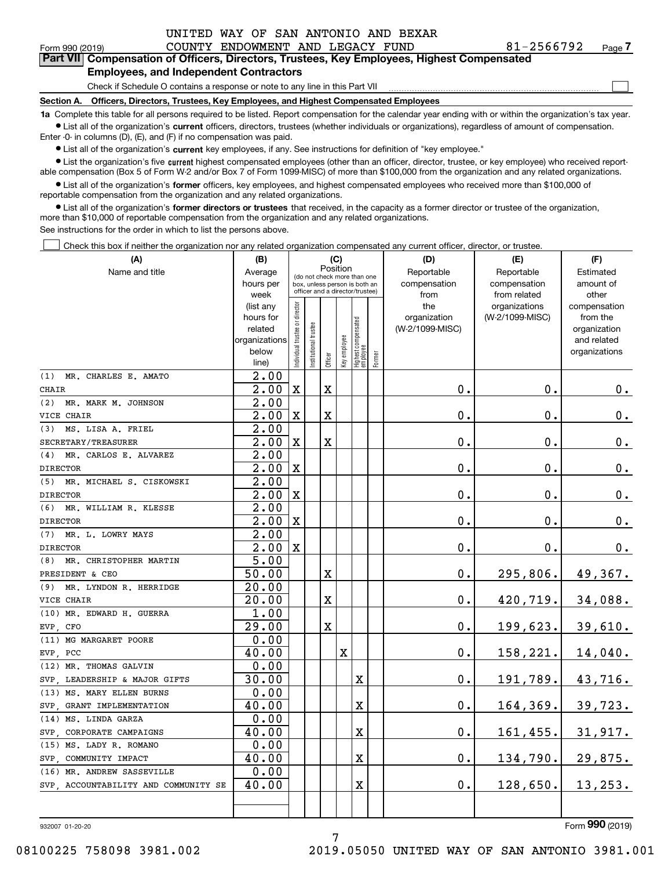$\mathcal{L}^{\text{max}}$ 

| Form 990 (2019) |                                               | COUNTY ENDOWMENT AND LEGACY FUND |  | 81-2566792                                                                                 | Page 7 |
|-----------------|-----------------------------------------------|----------------------------------|--|--------------------------------------------------------------------------------------------|--------|
|                 |                                               |                                  |  | Part VII Compensation of Officers, Directors, Trustees, Key Employees, Highest Compensated |        |
|                 | <b>Employees, and Independent Contractors</b> |                                  |  |                                                                                            |        |

### Check if Schedule O contains a response or note to any line in this Part VII

**Section A. Officers, Directors, Trustees, Key Employees, and Highest Compensated Employees**

**1a**  Complete this table for all persons required to be listed. Report compensation for the calendar year ending with or within the organization's tax year. **•** List all of the organization's current officers, directors, trustees (whether individuals or organizations), regardless of amount of compensation.

Enter -0- in columns (D), (E), and (F) if no compensation was paid.

 $\bullet$  List all of the organization's  $\,$ current key employees, if any. See instructions for definition of "key employee."

**•** List the organization's five current highest compensated employees (other than an officer, director, trustee, or key employee) who received reportable compensation (Box 5 of Form W-2 and/or Box 7 of Form 1099-MISC) of more than \$100,000 from the organization and any related organizations.

**•** List all of the organization's former officers, key employees, and highest compensated employees who received more than \$100,000 of reportable compensation from the organization and any related organizations.

**former directors or trustees**  ¥ List all of the organization's that received, in the capacity as a former director or trustee of the organization, more than \$10,000 of reportable compensation from the organization and any related organizations.

See instructions for the order in which to list the persons above.

Check this box if neither the organization nor any related organization compensated any current officer, director, or trustee.  $\mathcal{L}^{\text{max}}$ 

| (A)                                 | (B)                | (C)                           |                                                                                                 |         |              |                                   |        | (D)             | (E)             | (F)           |  |  |
|-------------------------------------|--------------------|-------------------------------|-------------------------------------------------------------------------------------------------|---------|--------------|-----------------------------------|--------|-----------------|-----------------|---------------|--|--|
| Name and title                      | Average            |                               |                                                                                                 |         | Position     |                                   |        | Reportable      | Reportable      | Estimated     |  |  |
|                                     | hours per          |                               | (do not check more than one<br>box, unless person is both an<br>officer and a director/trustee) |         |              |                                   |        | compensation    | compensation    | amount of     |  |  |
|                                     | week               |                               |                                                                                                 |         |              |                                   |        | from            | from related    | other         |  |  |
|                                     | (list any          |                               |                                                                                                 |         |              |                                   |        | the             | organizations   | compensation  |  |  |
|                                     | hours for          |                               |                                                                                                 |         |              |                                   |        | organization    | (W-2/1099-MISC) | from the      |  |  |
|                                     | related            |                               |                                                                                                 |         |              |                                   |        | (W-2/1099-MISC) |                 | organization  |  |  |
|                                     | organizations      |                               |                                                                                                 |         |              |                                   |        |                 |                 | and related   |  |  |
|                                     | below              | ndividual trustee or director | nstitutional trustee                                                                            | Officer | Key employee | Highest compensated<br>  employee | Former |                 |                 | organizations |  |  |
|                                     | line)              |                               |                                                                                                 |         |              |                                   |        |                 |                 |               |  |  |
| (1)<br>MR. CHARLES E. AMATO         | 2.00               |                               |                                                                                                 |         |              |                                   |        |                 |                 |               |  |  |
| <b>CHAIR</b>                        | 2.00               | $\mathbf X$                   |                                                                                                 | X       |              |                                   |        | 0.              | 0.              | 0.            |  |  |
| (2)<br>MR. MARK M. JOHNSON          | 2.00               |                               |                                                                                                 |         |              |                                   |        |                 |                 |               |  |  |
| VICE CHAIR                          | 2.00               | $\mathbf X$                   |                                                                                                 | X       |              |                                   |        | 0.              | 0.              | 0.            |  |  |
| MS. LISA A. FRIEL<br>(3)            | 2.00               |                               |                                                                                                 |         |              |                                   |        |                 |                 |               |  |  |
| SECRETARY/TREASURER                 | 2.00               | $\mathbf X$                   |                                                                                                 | X       |              |                                   |        | $\mathbf 0$ .   | 0.              | 0.            |  |  |
| MR. CARLOS E. ALVAREZ<br>(4)        | 2.00               |                               |                                                                                                 |         |              |                                   |        |                 |                 |               |  |  |
| <b>DIRECTOR</b>                     | 2.00               | $\mathbf X$                   |                                                                                                 |         |              |                                   |        | 0.              | $\mathbf 0$ .   | 0.            |  |  |
| MR. MICHAEL S. CISKOWSKI<br>(5)     | 2.00               |                               |                                                                                                 |         |              |                                   |        |                 |                 |               |  |  |
| <b>DIRECTOR</b>                     | $\overline{2}$ .00 | X                             |                                                                                                 |         |              |                                   |        | 0.              | $\mathbf{0}$ .  | $0_{.}$       |  |  |
| (6) MR. WILLIAM R. KLESSE           | 2.00               |                               |                                                                                                 |         |              |                                   |        |                 |                 |               |  |  |
| <b>DIRECTOR</b>                     | 2.00               | $\mathbf x$                   |                                                                                                 |         |              |                                   |        | $\mathbf 0$ .   | $\mathbf 0$ .   | 0.            |  |  |
| MR. L. LOWRY MAYS<br>(7)            | 2.00               |                               |                                                                                                 |         |              |                                   |        |                 |                 |               |  |  |
| <b>DIRECTOR</b>                     | 2.00               | $\mathbf X$                   |                                                                                                 |         |              |                                   |        | $\mathbf 0$ .   | $\mathbf 0$ .   | 0.            |  |  |
| MR. CHRISTOPHER MARTIN<br>(8)       | 5.00               |                               |                                                                                                 |         |              |                                   |        |                 |                 |               |  |  |
| PRESIDENT & CEO                     | 50.00              |                               |                                                                                                 | X       |              |                                   |        | 0.              | 295,806.        | 49,367.       |  |  |
| MR. LYNDON R. HERRIDGE<br>(9)       | 20.00              |                               |                                                                                                 |         |              |                                   |        |                 |                 |               |  |  |
| VICE CHAIR                          | 20.00              |                               |                                                                                                 | X       |              |                                   |        | 0.              | 420,719.        | 34,088.       |  |  |
| (10) MR. EDWARD H. GUERRA           | 1.00               |                               |                                                                                                 |         |              |                                   |        |                 |                 |               |  |  |
| EVP, CFO                            | 29.00              |                               |                                                                                                 | X       |              |                                   |        | 0.              | 199,623.        | 39,610.       |  |  |
| (11) MG MARGARET POORE              | 0.00               |                               |                                                                                                 |         |              |                                   |        |                 |                 |               |  |  |
| EVP, PCC                            | 40.00              |                               |                                                                                                 |         | X            |                                   |        | 0.              | 158,221.        | 14,040.       |  |  |
| (12) MR. THOMAS GALVIN              | 0.00               |                               |                                                                                                 |         |              |                                   |        |                 |                 |               |  |  |
| SVP LEADERSHIP & MAJOR GIFTS        | 30.00              |                               |                                                                                                 |         |              | X                                 |        | $\mathbf 0$ .   | 191,789.        | 43,716.       |  |  |
| (13) MS. MARY ELLEN BURNS           | 0.00               |                               |                                                                                                 |         |              |                                   |        |                 |                 |               |  |  |
| SVP GRANT IMPLEMENTATION            | 40.00              |                               |                                                                                                 |         |              | X                                 |        | 0.              | 164,369.        | 39,723.       |  |  |
| (14) MS. LINDA GARZA                | 0.00               |                               |                                                                                                 |         |              |                                   |        |                 |                 |               |  |  |
| SVP CORPORATE CAMPAIGNS             | 40.00              |                               |                                                                                                 |         |              | X                                 |        | 0.              | 161,455.        | 31,917.       |  |  |
| (15) MS. LADY R. ROMANO             | 0.00               |                               |                                                                                                 |         |              |                                   |        |                 |                 |               |  |  |
| SVP, COMMUNITY IMPACT               | 40.00              |                               |                                                                                                 |         |              | X                                 |        | 0.              | 134,790.        | 29,875.       |  |  |
| (16) MR. ANDREW SASSEVILLE          | 0.00               |                               |                                                                                                 |         |              |                                   |        |                 |                 |               |  |  |
| SVP ACCOUNTABILITY AND COMMUNITY SE | 40.00              |                               |                                                                                                 |         |              | X                                 |        | 0.              | 128,650.        | 13, 253.      |  |  |
|                                     |                    |                               |                                                                                                 |         |              |                                   |        |                 |                 |               |  |  |
|                                     |                    |                               |                                                                                                 |         |              |                                   |        |                 |                 |               |  |  |

932007 01-20-20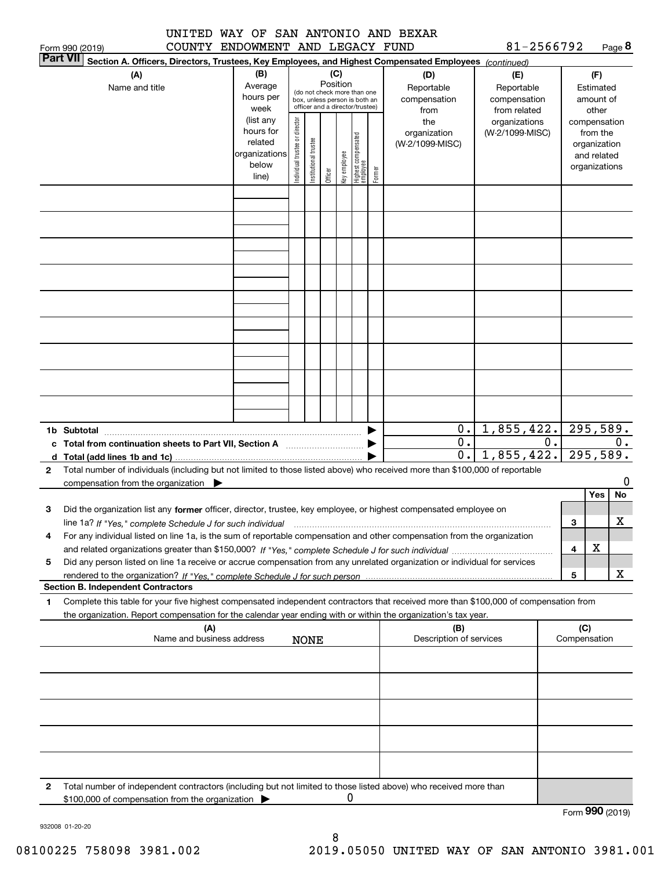|                 | UNITED | WAY OF SAN ANTONIO AND BEXAR |  |  |            |        |
|-----------------|--------|------------------------------|--|--|------------|--------|
| Form 990 (2019) | COUNTY | ENDOWMENT AND LEGACY FUND    |  |  | 81-2566792 | Page 8 |

|   | <b>Part VII</b><br>Section A. Officers, Directors, Trustees, Key Employees, and Highest Compensated Employees (continued)                                                                                                                                                                                                                                                         |                   |                                                                  |                       |         |              |                                 |        |                                              |                 |    |                        |               |    |
|---|-----------------------------------------------------------------------------------------------------------------------------------------------------------------------------------------------------------------------------------------------------------------------------------------------------------------------------------------------------------------------------------|-------------------|------------------------------------------------------------------|-----------------------|---------|--------------|---------------------------------|--------|----------------------------------------------|-----------------|----|------------------------|---------------|----|
|   | (A)                                                                                                                                                                                                                                                                                                                                                                               | (D)               | (E)                                                              |                       |         | (F)          |                                 |        |                                              |                 |    |                        |               |    |
|   | Name and title                                                                                                                                                                                                                                                                                                                                                                    | Average           | Position<br>(do not check more than one                          |                       |         |              |                                 |        | Reportable<br>Reportable                     |                 |    | Estimated              |               |    |
|   |                                                                                                                                                                                                                                                                                                                                                                                   | hours per         | box, unless person is both an<br>officer and a director/trustee) |                       |         |              |                                 |        | compensation<br>compensation                 |                 |    | amount of              |               |    |
|   |                                                                                                                                                                                                                                                                                                                                                                                   | week<br>(list any |                                                                  |                       |         |              |                                 |        | from<br>from related<br>organizations<br>the |                 |    | other<br>compensation  |               |    |
|   |                                                                                                                                                                                                                                                                                                                                                                                   | hours for         | Individual trustee or director                                   |                       |         |              |                                 |        | organization                                 | (W-2/1099-MISC) |    |                        | from the      |    |
|   |                                                                                                                                                                                                                                                                                                                                                                                   | related           |                                                                  |                       |         |              |                                 |        | (W-2/1099-MISC)                              |                 |    |                        | organization  |    |
|   |                                                                                                                                                                                                                                                                                                                                                                                   | organizations     |                                                                  |                       |         |              |                                 |        |                                              |                 |    |                        | and related   |    |
|   |                                                                                                                                                                                                                                                                                                                                                                                   | below<br>line)    |                                                                  | Institutional trustee | Officer | Key employee | Highest compensated<br>employee | Former |                                              |                 |    |                        | organizations |    |
|   |                                                                                                                                                                                                                                                                                                                                                                                   |                   |                                                                  |                       |         |              |                                 |        |                                              |                 |    |                        |               |    |
|   |                                                                                                                                                                                                                                                                                                                                                                                   |                   |                                                                  |                       |         |              |                                 |        |                                              |                 |    |                        |               |    |
|   |                                                                                                                                                                                                                                                                                                                                                                                   |                   |                                                                  |                       |         |              |                                 |        |                                              |                 |    |                        |               |    |
|   |                                                                                                                                                                                                                                                                                                                                                                                   |                   |                                                                  |                       |         |              |                                 |        |                                              |                 |    |                        |               |    |
|   |                                                                                                                                                                                                                                                                                                                                                                                   |                   |                                                                  |                       |         |              |                                 |        |                                              |                 |    |                        |               |    |
|   |                                                                                                                                                                                                                                                                                                                                                                                   |                   |                                                                  |                       |         |              |                                 |        |                                              |                 |    |                        |               |    |
|   |                                                                                                                                                                                                                                                                                                                                                                                   |                   |                                                                  |                       |         |              |                                 |        |                                              |                 |    |                        |               |    |
|   |                                                                                                                                                                                                                                                                                                                                                                                   |                   |                                                                  |                       |         |              |                                 |        |                                              |                 |    |                        |               |    |
|   |                                                                                                                                                                                                                                                                                                                                                                                   |                   |                                                                  |                       |         |              |                                 |        |                                              |                 |    |                        |               |    |
|   |                                                                                                                                                                                                                                                                                                                                                                                   |                   |                                                                  |                       |         |              |                                 |        |                                              |                 |    |                        |               |    |
|   |                                                                                                                                                                                                                                                                                                                                                                                   |                   |                                                                  |                       |         |              |                                 |        |                                              |                 |    |                        |               |    |
|   |                                                                                                                                                                                                                                                                                                                                                                                   |                   |                                                                  |                       |         |              |                                 |        |                                              |                 |    |                        |               |    |
|   |                                                                                                                                                                                                                                                                                                                                                                                   |                   |                                                                  |                       |         |              |                                 |        |                                              |                 |    |                        |               |    |
|   |                                                                                                                                                                                                                                                                                                                                                                                   |                   |                                                                  |                       |         |              |                                 |        |                                              |                 |    |                        |               |    |
|   |                                                                                                                                                                                                                                                                                                                                                                                   |                   |                                                                  |                       |         |              |                                 |        |                                              |                 |    |                        |               |    |
|   |                                                                                                                                                                                                                                                                                                                                                                                   |                   |                                                                  |                       |         |              |                                 |        |                                              |                 |    |                        |               |    |
|   |                                                                                                                                                                                                                                                                                                                                                                                   |                   |                                                                  |                       |         |              |                                 |        |                                              |                 |    |                        |               |    |
|   | 1b Subtotal<br>$\begin{picture}(150,10) \put(0,0){\vector(1,0){100}} \put(10,0){\vector(1,0){100}} \put(10,0){\vector(1,0){100}} \put(10,0){\vector(1,0){100}} \put(10,0){\vector(1,0){100}} \put(10,0){\vector(1,0){100}} \put(10,0){\vector(1,0){100}} \put(10,0){\vector(1,0){100}} \put(10,0){\vector(1,0){100}} \put(10,0){\vector(1,0){100}} \put(10,0){\vector(1,0){100}}$ |                   |                                                                  |                       |         |              |                                 |        | 0.                                           | 1,855,422.      |    | $\overline{295,589}$ . |               |    |
|   | c Total from continuation sheets to Part VII, Section A [111] [12] Total from continuation sheets to Part VII, Section A                                                                                                                                                                                                                                                          |                   |                                                                  |                       |         |              |                                 |        | 0.                                           |                 | 0. | 0.                     |               |    |
|   |                                                                                                                                                                                                                                                                                                                                                                                   |                   |                                                                  |                       |         |              |                                 |        | $\overline{0}$ .                             | 1,855,422.      |    |                        | 295,589.      |    |
| 2 | Total number of individuals (including but not limited to those listed above) who received more than \$100,000 of reportable                                                                                                                                                                                                                                                      |                   |                                                                  |                       |         |              |                                 |        |                                              |                 |    |                        |               | 0  |
|   | compensation from the organization $\blacktriangleright$                                                                                                                                                                                                                                                                                                                          |                   |                                                                  |                       |         |              |                                 |        |                                              |                 |    |                        | Yes           | No |
| 3 | Did the organization list any former officer, director, trustee, key employee, or highest compensated employee on                                                                                                                                                                                                                                                                 |                   |                                                                  |                       |         |              |                                 |        |                                              |                 |    |                        |               |    |
|   | line 1a? If "Yes," complete Schedule J for such individual                                                                                                                                                                                                                                                                                                                        |                   |                                                                  |                       |         |              |                                 |        |                                              |                 |    | 3                      |               | х  |
| 4 | For any individual listed on line 1a, is the sum of reportable compensation and other compensation from the organization                                                                                                                                                                                                                                                          |                   |                                                                  |                       |         |              |                                 |        |                                              |                 |    |                        |               |    |
|   |                                                                                                                                                                                                                                                                                                                                                                                   |                   |                                                                  |                       |         |              |                                 |        |                                              |                 |    | 4                      | x             |    |
| 5 | Did any person listed on line 1a receive or accrue compensation from any unrelated organization or individual for services                                                                                                                                                                                                                                                        |                   |                                                                  |                       |         |              |                                 |        |                                              |                 |    |                        |               |    |
|   |                                                                                                                                                                                                                                                                                                                                                                                   |                   |                                                                  |                       |         |              |                                 |        |                                              |                 |    | 5                      |               | X  |
|   | <b>Section B. Independent Contractors</b>                                                                                                                                                                                                                                                                                                                                         |                   |                                                                  |                       |         |              |                                 |        |                                              |                 |    |                        |               |    |
| 1 | Complete this table for your five highest compensated independent contractors that received more than \$100,000 of compensation from                                                                                                                                                                                                                                              |                   |                                                                  |                       |         |              |                                 |        |                                              |                 |    |                        |               |    |
|   | the organization. Report compensation for the calendar year ending with or within the organization's tax year.                                                                                                                                                                                                                                                                    |                   |                                                                  |                       |         |              |                                 |        |                                              |                 |    |                        |               |    |
|   | (A)<br>Name and business address                                                                                                                                                                                                                                                                                                                                                  |                   |                                                                  | <b>NONE</b>           |         |              |                                 |        | (B)<br>Description of services               |                 |    | (C)<br>Compensation    |               |    |
|   |                                                                                                                                                                                                                                                                                                                                                                                   |                   |                                                                  |                       |         |              |                                 |        |                                              |                 |    |                        |               |    |
|   |                                                                                                                                                                                                                                                                                                                                                                                   |                   |                                                                  |                       |         |              |                                 |        |                                              |                 |    |                        |               |    |
|   |                                                                                                                                                                                                                                                                                                                                                                                   |                   |                                                                  |                       |         |              |                                 |        |                                              |                 |    |                        |               |    |
|   |                                                                                                                                                                                                                                                                                                                                                                                   |                   |                                                                  |                       |         |              |                                 |        |                                              |                 |    |                        |               |    |
|   |                                                                                                                                                                                                                                                                                                                                                                                   |                   |                                                                  |                       |         |              |                                 |        |                                              |                 |    |                        |               |    |
|   |                                                                                                                                                                                                                                                                                                                                                                                   |                   |                                                                  |                       |         |              |                                 |        |                                              |                 |    |                        |               |    |
|   |                                                                                                                                                                                                                                                                                                                                                                                   |                   |                                                                  |                       |         |              |                                 |        |                                              |                 |    |                        |               |    |
|   |                                                                                                                                                                                                                                                                                                                                                                                   |                   |                                                                  |                       |         |              |                                 |        |                                              |                 |    |                        |               |    |
|   |                                                                                                                                                                                                                                                                                                                                                                                   |                   |                                                                  |                       |         |              |                                 |        |                                              |                 |    |                        |               |    |
| 2 | Total number of independent contractors (including but not limited to those listed above) who received more than                                                                                                                                                                                                                                                                  |                   |                                                                  |                       |         |              |                                 |        |                                              |                 |    |                        |               |    |
|   | \$100,000 of compensation from the organization                                                                                                                                                                                                                                                                                                                                   |                   |                                                                  |                       |         | 0            |                                 |        |                                              |                 |    |                        |               |    |

Form (2019) **990**

932008 01-20-20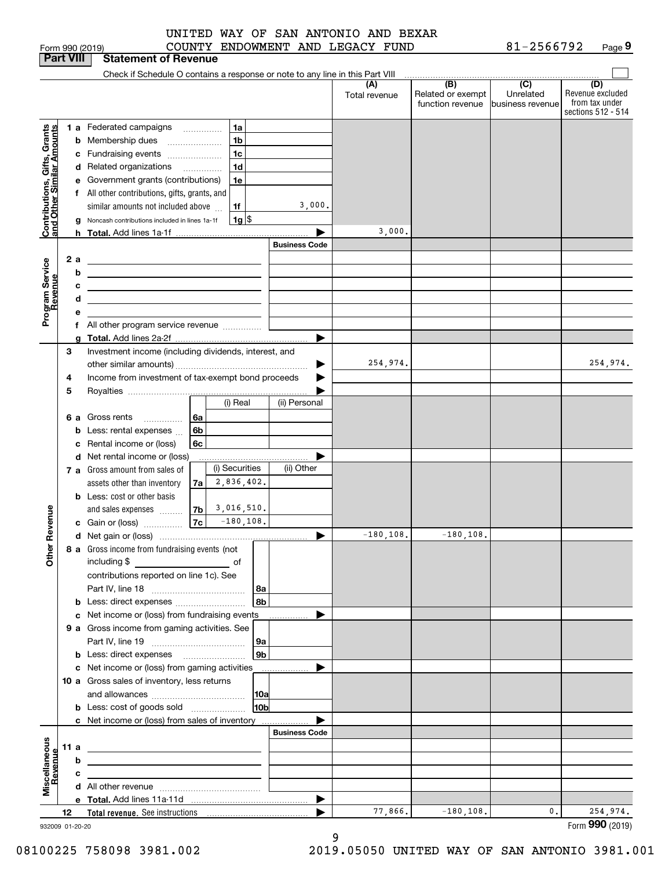| UNITED WAY OF SAN ANTONIO AND BEXAR |  |  |  |  |
|-------------------------------------|--|--|--|--|
| $\alpha$                            |  |  |  |  |

| <b>Part VIII</b>                                          |             |                         | <b>Statement of Revenue</b>                                                                                                                                                                                                                                                                                                                                  |                      |                                                           |                                      |                                                                 |
|-----------------------------------------------------------|-------------|-------------------------|--------------------------------------------------------------------------------------------------------------------------------------------------------------------------------------------------------------------------------------------------------------------------------------------------------------------------------------------------------------|----------------------|-----------------------------------------------------------|--------------------------------------|-----------------------------------------------------------------|
|                                                           |             |                         | Check if Schedule O contains a response or note to any line in this Part VIII                                                                                                                                                                                                                                                                                |                      |                                                           |                                      |                                                                 |
|                                                           |             |                         |                                                                                                                                                                                                                                                                                                                                                              | (A)<br>Total revenue | $\overline{(B)}$<br>Related or exempt<br>function revenue | (C)<br>Unrelated<br>business revenue | (D)<br>Revenue excluded<br>from tax under<br>sections 512 - 514 |
| Contributions, Gifts, Grants<br>and Other Similar Amounts |             | b<br>g                  | 1a<br>1 a Federated campaigns<br>1 <sub>b</sub><br>Membership dues<br>1c<br>c Fundraising events<br>1 <sub>d</sub><br>d Related organizations<br>e Government grants (contributions)<br>1e<br>f All other contributions, gifts, grants, and<br>3,000.<br>similar amounts not included above<br>1f<br>Noncash contributions included in lines 1a-1f<br>1g  \$ |                      |                                                           |                                      |                                                                 |
|                                                           |             |                         | <b>h</b> Total. Add lines 1a-1f                                                                                                                                                                                                                                                                                                                              | 3,000.               |                                                           |                                      |                                                                 |
|                                                           |             |                         | <b>Business Code</b>                                                                                                                                                                                                                                                                                                                                         |                      |                                                           |                                      |                                                                 |
| Program Service<br>Revenue                                |             | 2 a<br>b<br>с<br>d<br>е | <u> 1989 - Johann Stein, mars an de Brasilia (b. 1989)</u><br><u> 1989 - Johann Barbara, martxa alemaniar amerikan a</u><br>the contract of the contract of the contract of the contract of the contract of<br><u> 1989 - Johann Barn, amerikansk politiker (</u><br>f All other program service revenue                                                     |                      |                                                           |                                      |                                                                 |
|                                                           |             | g                       | ►<br>Total. Add lines 2a-2f                                                                                                                                                                                                                                                                                                                                  |                      |                                                           |                                      |                                                                 |
|                                                           | 3<br>4<br>5 |                         | Investment income (including dividends, interest, and<br>Income from investment of tax-exempt bond proceeds                                                                                                                                                                                                                                                  | 254,974.             |                                                           |                                      | 254,974.                                                        |
|                                                           |             |                         | (i) Real<br>(ii) Personal                                                                                                                                                                                                                                                                                                                                    |                      |                                                           |                                      |                                                                 |
|                                                           |             | 6а<br>b<br>c            | Gross rents<br>6a<br>6b<br>Less: rental expenses<br>Rental income or (loss)<br>6c                                                                                                                                                                                                                                                                            |                      |                                                           |                                      |                                                                 |
|                                                           |             |                         | d Net rental income or (loss)<br>(i) Securities<br>(ii) Other<br>7 a Gross amount from sales of<br>2,836,402.<br>assets other than inventory<br>7a<br><b>b</b> Less: cost or other basis                                                                                                                                                                     |                      |                                                           |                                      |                                                                 |
|                                                           |             |                         | 3,016,510.<br>7b<br>and sales expenses                                                                                                                                                                                                                                                                                                                       |                      |                                                           |                                      |                                                                 |
| Revenue                                                   |             |                         | $-180, 108.$<br>7c<br>c Gain or (loss)                                                                                                                                                                                                                                                                                                                       |                      |                                                           |                                      |                                                                 |
|                                                           |             |                         |                                                                                                                                                                                                                                                                                                                                                              | $-180, 108.$         | $-180, 108.$                                              |                                      |                                                                 |
| Other                                                     |             |                         | 8 a Gross income from fundraising events (not  <br>including \$<br>contributions reported on line 1c). See<br>8а                                                                                                                                                                                                                                             |                      |                                                           |                                      |                                                                 |
|                                                           |             |                         | 8b<br><b>b</b> Less: direct expenses                                                                                                                                                                                                                                                                                                                         |                      |                                                           |                                      |                                                                 |
|                                                           |             |                         | c Net income or (loss) from fundraising events                                                                                                                                                                                                                                                                                                               |                      |                                                           |                                      |                                                                 |
|                                                           |             |                         | 9 a Gross income from gaming activities. See<br><b>9a</b><br>9 <sub>b</sub><br><b>b</b> Less: direct expenses <b>manually</b>                                                                                                                                                                                                                                |                      |                                                           |                                      |                                                                 |
|                                                           |             |                         | c Net income or (loss) from gaming activities                                                                                                                                                                                                                                                                                                                |                      |                                                           |                                      |                                                                 |
|                                                           |             |                         | 10 a Gross sales of inventory, less returns<br> 10a<br>10 <sub>b</sub>                                                                                                                                                                                                                                                                                       |                      |                                                           |                                      |                                                                 |
|                                                           |             |                         | <b>b</b> Less: cost of goods sold                                                                                                                                                                                                                                                                                                                            |                      |                                                           |                                      |                                                                 |
|                                                           |             |                         | c Net income or (loss) from sales of inventory<br><b>Business Code</b>                                                                                                                                                                                                                                                                                       |                      |                                                           |                                      |                                                                 |
|                                                           |             |                         |                                                                                                                                                                                                                                                                                                                                                              |                      |                                                           |                                      |                                                                 |
|                                                           | 11 a        | b                       | <u>and the control of the control of the control of the control of the control of the control of the control of the control of the control of the control of the control of the control of the control of the control of the con</u>                                                                                                                         |                      |                                                           |                                      |                                                                 |
|                                                           |             | с                       | <u> 1989 - Johann Barn, mars ann an t-Amhain ann an t-Amhain an t-Amhain an t-Amhain an t-Amhain an t-Amhain an t-</u>                                                                                                                                                                                                                                       |                      |                                                           |                                      |                                                                 |
| Miscellaneous<br>Revenue                                  |             |                         | <u> 1989 - Johann Barn, mars ann an t-Amhain ann an t-Amhain an t-Amhain an t-Amhain an t-Amhain an t-Amhain an t-</u>                                                                                                                                                                                                                                       |                      |                                                           |                                      |                                                                 |
|                                                           |             |                         | ▶                                                                                                                                                                                                                                                                                                                                                            |                      |                                                           |                                      |                                                                 |
|                                                           | 12          |                         |                                                                                                                                                                                                                                                                                                                                                              | 77,866.              | $-180, 108.$                                              | 0.                                   | 254,974.                                                        |
| 932009 01-20-20                                           |             |                         |                                                                                                                                                                                                                                                                                                                                                              |                      |                                                           |                                      | Form 990 (2019)                                                 |

9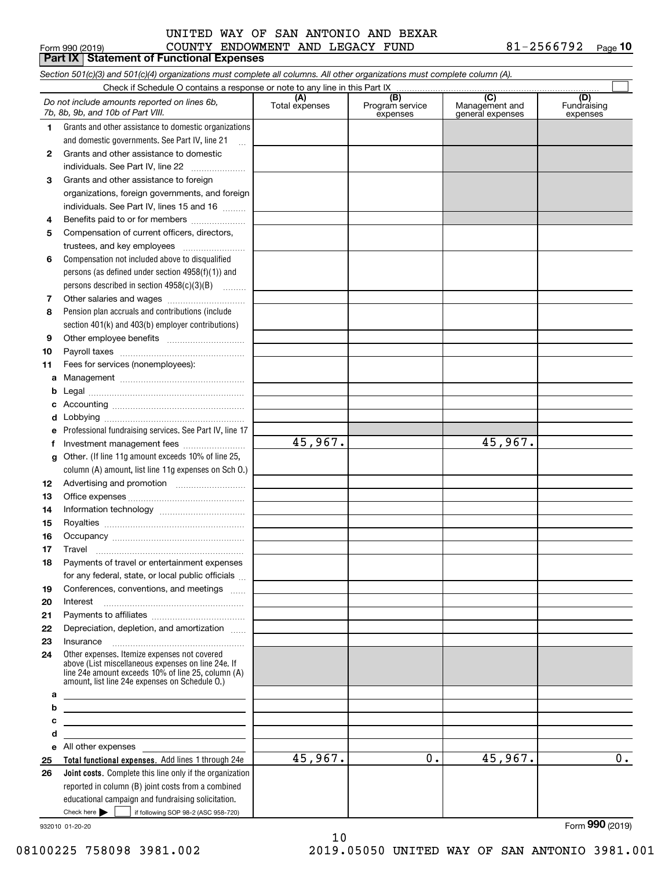#### COUNTY ENDOWMENT AND LEGACY FUND 81-2566792 UNITED WAY OF SAN ANTONIO AND BEXAR

**10**

|          | Form 990 (2019)<br>COUNTY ENDOWMENT AND LEGACY FUND<br><b>Part IX   Statement of Functional Expenses</b>                                                                                                   |                       |                                    |                                           | 81-2566792<br>Page 10          |
|----------|------------------------------------------------------------------------------------------------------------------------------------------------------------------------------------------------------------|-----------------------|------------------------------------|-------------------------------------------|--------------------------------|
|          | Section 501(c)(3) and 501(c)(4) organizations must complete all columns. All other organizations must complete column (A).                                                                                 |                       |                                    |                                           |                                |
|          | Check if Schedule O contains a response or note to any line in this Part IX                                                                                                                                |                       |                                    |                                           |                                |
|          | Do not include amounts reported on lines 6b,<br>7b, 8b, 9b, and 10b of Part VIII.                                                                                                                          | (A)<br>Total expenses | (B)<br>Program service<br>expenses | (C)<br>Management and<br>general expenses | (D)<br>Fundraising<br>expenses |
| 1.       | Grants and other assistance to domestic organizations                                                                                                                                                      |                       |                                    |                                           |                                |
|          | and domestic governments. See Part IV, line 21<br>$\ddotsc$                                                                                                                                                |                       |                                    |                                           |                                |
| 2        | Grants and other assistance to domestic                                                                                                                                                                    |                       |                                    |                                           |                                |
|          | individuals. See Part IV, line 22                                                                                                                                                                          |                       |                                    |                                           |                                |
| 3        | Grants and other assistance to foreign                                                                                                                                                                     |                       |                                    |                                           |                                |
|          | organizations, foreign governments, and foreign                                                                                                                                                            |                       |                                    |                                           |                                |
|          | individuals. See Part IV, lines 15 and 16                                                                                                                                                                  |                       |                                    |                                           |                                |
| 4        | Benefits paid to or for members                                                                                                                                                                            |                       |                                    |                                           |                                |
| 5        | Compensation of current officers, directors,                                                                                                                                                               |                       |                                    |                                           |                                |
|          | trustees, and key employees                                                                                                                                                                                |                       |                                    |                                           |                                |
| 6        | Compensation not included above to disqualified                                                                                                                                                            |                       |                                    |                                           |                                |
|          | persons (as defined under section $4958(f)(1)$ ) and                                                                                                                                                       |                       |                                    |                                           |                                |
|          | persons described in section 4958(c)(3)(B)                                                                                                                                                                 |                       |                                    |                                           |                                |
| 7        |                                                                                                                                                                                                            |                       |                                    |                                           |                                |
| 8        | Pension plan accruals and contributions (include                                                                                                                                                           |                       |                                    |                                           |                                |
|          | section 401(k) and 403(b) employer contributions)                                                                                                                                                          |                       |                                    |                                           |                                |
| 9        |                                                                                                                                                                                                            |                       |                                    |                                           |                                |
| 10<br>11 |                                                                                                                                                                                                            |                       |                                    |                                           |                                |
|          | Fees for services (nonemployees):                                                                                                                                                                          |                       |                                    |                                           |                                |
|          |                                                                                                                                                                                                            |                       |                                    |                                           |                                |
|          |                                                                                                                                                                                                            |                       |                                    |                                           |                                |
| d        |                                                                                                                                                                                                            |                       |                                    |                                           |                                |
| е        | Professional fundraising services. See Part IV, line 17                                                                                                                                                    |                       |                                    |                                           |                                |
| f        |                                                                                                                                                                                                            | 45,967.               |                                    | 45,967.                                   |                                |
|          | g Other. (If line 11g amount exceeds 10% of line 25,                                                                                                                                                       |                       |                                    |                                           |                                |
|          | column (A) amount, list line 11g expenses on Sch O.)                                                                                                                                                       |                       |                                    |                                           |                                |
| 12       |                                                                                                                                                                                                            |                       |                                    |                                           |                                |
| 13       |                                                                                                                                                                                                            |                       |                                    |                                           |                                |
| 14       |                                                                                                                                                                                                            |                       |                                    |                                           |                                |
| 15       |                                                                                                                                                                                                            |                       |                                    |                                           |                                |
| 16       | Occupancy                                                                                                                                                                                                  |                       |                                    |                                           |                                |
| 17       | Travel                                                                                                                                                                                                     |                       |                                    |                                           |                                |
| 18       | Payments of travel or entertainment expenses                                                                                                                                                               |                       |                                    |                                           |                                |
|          | for any federal, state, or local public officials                                                                                                                                                          |                       |                                    |                                           |                                |
| 19       | Conferences, conventions, and meetings                                                                                                                                                                     |                       |                                    |                                           |                                |
| 20       | Interest                                                                                                                                                                                                   |                       |                                    |                                           |                                |
| 21       |                                                                                                                                                                                                            |                       |                                    |                                           |                                |
| 22       | Depreciation, depletion, and amortization                                                                                                                                                                  |                       |                                    |                                           |                                |
| 23       |                                                                                                                                                                                                            |                       |                                    |                                           |                                |
| 24       | Other expenses. Itemize expenses not covered<br>above (List miscellaneous expenses on line 24e. If<br>line 24e amount exceeds 10% of line 25, column (A)<br>amount. list line 24e expenses on Schedule 0.) |                       |                                    |                                           |                                |
| a        | the control of the control of the control of the control of the control of the control of                                                                                                                  |                       |                                    |                                           |                                |
| b        | <u> 1989 - Johann Stein, marwolaethau a bhann an t-Albann an t-Albann an t-Albann an t-Albann an t-Albann an t-Alb</u>                                                                                     |                       |                                    |                                           |                                |
| c        | the control of the control of the control of the control of the control of the control of                                                                                                                  |                       |                                    |                                           |                                |
| d        | <u> 1989 - Johann Stein, marwolaethau a bhann an t-Amhair an t-Amhair an t-Amhair an t-Amhair an t-Amhair an t-A</u>                                                                                       |                       |                                    |                                           |                                |
|          | e All other expenses expenses                                                                                                                                                                              | 45,967.               | 0.                                 | 45,967.                                   | 0.                             |
| 25<br>26 | Total functional expenses. Add lines 1 through 24e<br>Joint costs. Complete this line only if the organization                                                                                             |                       |                                    |                                           |                                |
|          | reported in column (B) joint costs from a combined                                                                                                                                                         |                       |                                    |                                           |                                |
|          | educational campaign and fundraising solicitation.                                                                                                                                                         |                       |                                    |                                           |                                |
|          | Check here $\blacktriangleright$<br>if following SOP 98-2 (ASC 958-720)                                                                                                                                    |                       |                                    |                                           |                                |

932010 01-20-20

08100225 758098 3981.002 2019.05050 UNITED WAY OF SAN ANTONIO 3981.001

Form (2019) **990**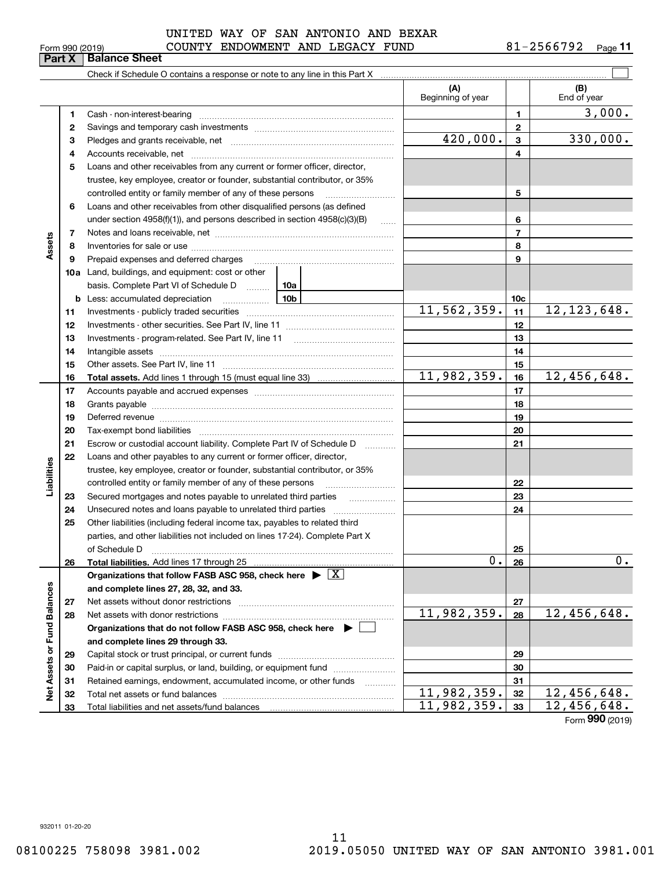| Form 990 (2019)               |  |  |
|-------------------------------|--|--|
| <b>Part X   Balance Sheet</b> |  |  |

### $_{\rm Form}$   $_{990}$  (2019) COUNTY ENDOWMENT AND LEGACY FUND  $81$  –  $2566792$   $_{\rm Page}$ UNITED WAY OF SAN ANTONIO AND BEXAR

**11**

|                             |    |                                                                                                                                                                                                                                                                                                                                                                                                                                                                                             | (A)<br>Beginning of year    |                | (B)<br>End of year          |
|-----------------------------|----|---------------------------------------------------------------------------------------------------------------------------------------------------------------------------------------------------------------------------------------------------------------------------------------------------------------------------------------------------------------------------------------------------------------------------------------------------------------------------------------------|-----------------------------|----------------|-----------------------------|
|                             | 1  |                                                                                                                                                                                                                                                                                                                                                                                                                                                                                             |                             | 1.             | 3,000.                      |
|                             | 2  |                                                                                                                                                                                                                                                                                                                                                                                                                                                                                             |                             | $\mathbf{2}$   |                             |
|                             | 3  |                                                                                                                                                                                                                                                                                                                                                                                                                                                                                             | 420,000.                    | 3              | 330,000.                    |
|                             | 4  |                                                                                                                                                                                                                                                                                                                                                                                                                                                                                             |                             | 4              |                             |
|                             | 5  | Loans and other receivables from any current or former officer, director,                                                                                                                                                                                                                                                                                                                                                                                                                   |                             |                |                             |
|                             |    | trustee, key employee, creator or founder, substantial contributor, or 35%                                                                                                                                                                                                                                                                                                                                                                                                                  |                             |                |                             |
|                             |    | controlled entity or family member of any of these persons                                                                                                                                                                                                                                                                                                                                                                                                                                  |                             | 5              |                             |
|                             | 6  | Loans and other receivables from other disqualified persons (as defined                                                                                                                                                                                                                                                                                                                                                                                                                     |                             |                |                             |
|                             |    | under section $4958(f)(1)$ , and persons described in section $4958(c)(3)(B)$<br>$\ldots$                                                                                                                                                                                                                                                                                                                                                                                                   |                             | 6              |                             |
|                             | 7  |                                                                                                                                                                                                                                                                                                                                                                                                                                                                                             |                             | $\overline{7}$ |                             |
| Assets                      | 8  |                                                                                                                                                                                                                                                                                                                                                                                                                                                                                             |                             | 8              |                             |
|                             | 9  |                                                                                                                                                                                                                                                                                                                                                                                                                                                                                             |                             | 9              |                             |
|                             |    | <b>10a</b> Land, buildings, and equipment: cost or other                                                                                                                                                                                                                                                                                                                                                                                                                                    |                             |                |                             |
|                             |    | basis. Complete Part VI of Schedule D  10a                                                                                                                                                                                                                                                                                                                                                                                                                                                  |                             |                |                             |
|                             |    |                                                                                                                                                                                                                                                                                                                                                                                                                                                                                             |                             | 10c            |                             |
|                             | 11 |                                                                                                                                                                                                                                                                                                                                                                                                                                                                                             | 11, 562, 359.               | 11             | 12, 123, 648.               |
|                             | 12 |                                                                                                                                                                                                                                                                                                                                                                                                                                                                                             |                             | 12             |                             |
|                             | 13 |                                                                                                                                                                                                                                                                                                                                                                                                                                                                                             |                             | 13             |                             |
|                             | 14 |                                                                                                                                                                                                                                                                                                                                                                                                                                                                                             |                             | 14             |                             |
|                             | 15 |                                                                                                                                                                                                                                                                                                                                                                                                                                                                                             |                             | 15             |                             |
|                             | 16 |                                                                                                                                                                                                                                                                                                                                                                                                                                                                                             | 11,982,359.                 | 16             | 12,456,648.                 |
|                             | 17 |                                                                                                                                                                                                                                                                                                                                                                                                                                                                                             |                             | 17             |                             |
|                             | 18 |                                                                                                                                                                                                                                                                                                                                                                                                                                                                                             |                             | 18             |                             |
|                             | 19 | Deferred revenue manual contracts and contracts are all the manual contracts and contracts are contracted and contracts are contracted and contract are contracted and contract are contracted and contract are contracted and                                                                                                                                                                                                                                                              |                             | 19             |                             |
|                             | 20 |                                                                                                                                                                                                                                                                                                                                                                                                                                                                                             |                             | 20             |                             |
|                             | 21 | Escrow or custodial account liability. Complete Part IV of Schedule D                                                                                                                                                                                                                                                                                                                                                                                                                       |                             | 21             |                             |
|                             | 22 | Loans and other payables to any current or former officer, director,                                                                                                                                                                                                                                                                                                                                                                                                                        |                             |                |                             |
| Liabilities                 |    | trustee, key employee, creator or founder, substantial contributor, or 35%                                                                                                                                                                                                                                                                                                                                                                                                                  |                             |                |                             |
|                             |    | controlled entity or family member of any of these persons                                                                                                                                                                                                                                                                                                                                                                                                                                  |                             | 22             |                             |
|                             | 23 |                                                                                                                                                                                                                                                                                                                                                                                                                                                                                             |                             | 23             |                             |
|                             | 24 |                                                                                                                                                                                                                                                                                                                                                                                                                                                                                             |                             | 24             |                             |
|                             | 25 | Other liabilities (including federal income tax, payables to related third<br>parties, and other liabilities not included on lines 17-24). Complete Part X                                                                                                                                                                                                                                                                                                                                  |                             |                |                             |
|                             |    | of Schedule D                                                                                                                                                                                                                                                                                                                                                                                                                                                                               |                             | 25             |                             |
|                             | 26 | $\begin{minipage}{0.5\textwidth} \begin{tabular}{ l l l } \hline & \multicolumn{1}{ l l } \hline & \multicolumn{1}{ l } \multicolumn{1}{ l } \multicolumn{1}{ l } \multicolumn{1}{ l } \multicolumn{1}{ l } \multicolumn{1}{ l } \multicolumn{1}{ l } \multicolumn{1}{ l } \multicolumn{1}{ l } \multicolumn{1}{ l } \multicolumn{1}{ l } \multicolumn{1}{ l } \multicolumn{1}{ l } \multicolumn{1}{ l } \multicolumn{1}{ l } \multicolumn{1$<br>Total liabilities. Add lines 17 through 25 | $\overline{\mathbf{0}}$ .   | 26             | $0\,.$                      |
|                             |    | Organizations that follow FASB ASC 958, check here $\blacktriangleright \lfloor X \rfloor$                                                                                                                                                                                                                                                                                                                                                                                                  |                             |                |                             |
|                             |    | and complete lines 27, 28, 32, and 33.                                                                                                                                                                                                                                                                                                                                                                                                                                                      |                             |                |                             |
|                             | 27 |                                                                                                                                                                                                                                                                                                                                                                                                                                                                                             |                             | 27             |                             |
|                             | 28 |                                                                                                                                                                                                                                                                                                                                                                                                                                                                                             | $\overline{11}$ , 982, 359. | 28             | 12,456,648.                 |
|                             |    | Organizations that do not follow FASB ASC 958, check here ▶ │                                                                                                                                                                                                                                                                                                                                                                                                                               |                             |                |                             |
|                             |    | and complete lines 29 through 33.                                                                                                                                                                                                                                                                                                                                                                                                                                                           |                             |                |                             |
|                             | 29 |                                                                                                                                                                                                                                                                                                                                                                                                                                                                                             |                             | 29             |                             |
|                             | 30 | Paid-in or capital surplus, or land, building, or equipment fund                                                                                                                                                                                                                                                                                                                                                                                                                            |                             | 30             |                             |
|                             | 31 | Retained earnings, endowment, accumulated income, or other funds                                                                                                                                                                                                                                                                                                                                                                                                                            |                             | 31             |                             |
| Net Assets or Fund Balances | 32 |                                                                                                                                                                                                                                                                                                                                                                                                                                                                                             | 11,982,359.                 | 32             | 12,456,648.                 |
|                             | 33 |                                                                                                                                                                                                                                                                                                                                                                                                                                                                                             | 11,982,359.                 | 33             | 12,456,648.                 |
|                             |    |                                                                                                                                                                                                                                                                                                                                                                                                                                                                                             |                             |                | $F_{\text{orm}}$ 990 (2010) |

Form (2019) **990**

932011 01-20-20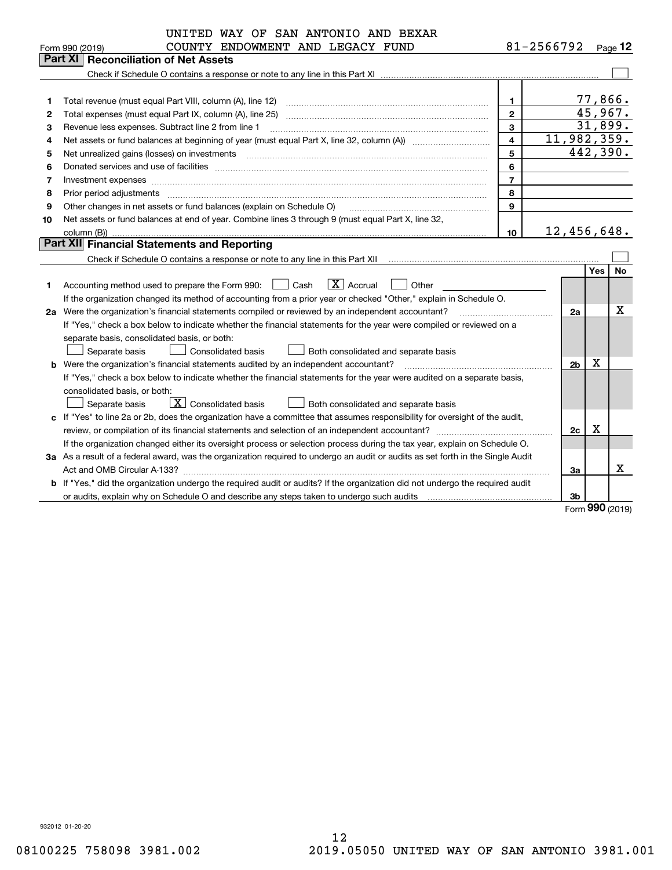| 81-2566792<br>COUNTY ENDOWMENT AND LEGACY FUND<br>$Page$ 12<br>Form 990 (2019)<br><b>Reconciliation of Net Assets</b><br>Part XI<br>77,866.<br>Total revenue (must equal Part VIII, column (A), line 12)<br>$\mathbf{1}$<br>1<br>45,967.<br>$\mathbf{2}$<br>Total expenses (must equal Part IX, column (A), line 25)<br>2                                                                                                                                                                        |           |
|--------------------------------------------------------------------------------------------------------------------------------------------------------------------------------------------------------------------------------------------------------------------------------------------------------------------------------------------------------------------------------------------------------------------------------------------------------------------------------------------------|-----------|
|                                                                                                                                                                                                                                                                                                                                                                                                                                                                                                  |           |
|                                                                                                                                                                                                                                                                                                                                                                                                                                                                                                  |           |
|                                                                                                                                                                                                                                                                                                                                                                                                                                                                                                  |           |
|                                                                                                                                                                                                                                                                                                                                                                                                                                                                                                  |           |
|                                                                                                                                                                                                                                                                                                                                                                                                                                                                                                  |           |
|                                                                                                                                                                                                                                                                                                                                                                                                                                                                                                  |           |
| 31,899.<br>3<br>Revenue less expenses. Subtract line 2 from line 1<br>3                                                                                                                                                                                                                                                                                                                                                                                                                          |           |
| 11,982,359.<br>$\overline{\mathbf{4}}$<br>4                                                                                                                                                                                                                                                                                                                                                                                                                                                      |           |
| 442,390.<br>5<br>Net unrealized gains (losses) on investments<br>5<br>$\overline{a_1, \ldots, a_n, \ldots, a_n, \ldots, a_n, \ldots, a_n, \ldots, a_n, \ldots, a_n, \ldots, a_n, \ldots, a_n, \ldots, a_n, \ldots, a_n, \ldots, a_n, \ldots, a_n, \ldots, a_n, \ldots, a_n, \ldots, a_n, \ldots, a_n, \ldots, a_n, \ldots, a_n, \ldots, a_n, \ldots, a_n, \ldots, a_n, \ldots, a_n, \ldots, a_n, \ldots, a_n, \ldots, a_n, \ldots, a_n, \ldots, a_n, \ldots, a_n, \ldots, a_n, \ldots, a_n, \ld$ |           |
| 6<br>6                                                                                                                                                                                                                                                                                                                                                                                                                                                                                           |           |
| $\overline{7}$<br>7<br>Investment expenses www.communication.com/www.communication.com/www.communication.com/www.communication.com                                                                                                                                                                                                                                                                                                                                                               |           |
| 8<br>Prior period adjustments<br>8                                                                                                                                                                                                                                                                                                                                                                                                                                                               |           |
| 9<br>Other changes in net assets or fund balances (explain on Schedule O)<br>9                                                                                                                                                                                                                                                                                                                                                                                                                   |           |
| Net assets or fund balances at end of year. Combine lines 3 through 9 (must equal Part X, line 32,<br>10                                                                                                                                                                                                                                                                                                                                                                                         |           |
| 12,456,648.<br>column (B))<br>10                                                                                                                                                                                                                                                                                                                                                                                                                                                                 |           |
| Part XII Financial Statements and Reporting                                                                                                                                                                                                                                                                                                                                                                                                                                                      |           |
|                                                                                                                                                                                                                                                                                                                                                                                                                                                                                                  |           |
| Yes.                                                                                                                                                                                                                                                                                                                                                                                                                                                                                             | <b>No</b> |
| $ X $ Accrual<br>Accounting method used to prepare the Form 990: <u>[</u> Cash<br>Other<br>1                                                                                                                                                                                                                                                                                                                                                                                                     |           |
| If the organization changed its method of accounting from a prior year or checked "Other," explain in Schedule O.                                                                                                                                                                                                                                                                                                                                                                                |           |
| 2a Were the organization's financial statements compiled or reviewed by an independent accountant?<br>2a                                                                                                                                                                                                                                                                                                                                                                                         | х         |
| If "Yes," check a box below to indicate whether the financial statements for the year were compiled or reviewed on a                                                                                                                                                                                                                                                                                                                                                                             |           |
| separate basis, consolidated basis, or both:                                                                                                                                                                                                                                                                                                                                                                                                                                                     |           |
| Separate basis<br><b>Consolidated basis</b><br>Both consolidated and separate basis                                                                                                                                                                                                                                                                                                                                                                                                              |           |
| х<br><b>b</b> Were the organization's financial statements audited by an independent accountant?<br>2 <sub>b</sub>                                                                                                                                                                                                                                                                                                                                                                               |           |
| If "Yes," check a box below to indicate whether the financial statements for the year were audited on a separate basis,                                                                                                                                                                                                                                                                                                                                                                          |           |
| consolidated basis, or both:                                                                                                                                                                                                                                                                                                                                                                                                                                                                     |           |
| $\boxed{\textbf{X}}$ Consolidated basis<br>Separate basis<br>Both consolidated and separate basis                                                                                                                                                                                                                                                                                                                                                                                                |           |
| c If "Yes" to line 2a or 2b, does the organization have a committee that assumes responsibility for oversight of the audit,                                                                                                                                                                                                                                                                                                                                                                      |           |
| х<br>2c                                                                                                                                                                                                                                                                                                                                                                                                                                                                                          |           |
| If the organization changed either its oversight process or selection process during the tax year, explain on Schedule O.                                                                                                                                                                                                                                                                                                                                                                        |           |
| 3a As a result of a federal award, was the organization required to undergo an audit or audits as set forth in the Single Audit                                                                                                                                                                                                                                                                                                                                                                  |           |
| 3a                                                                                                                                                                                                                                                                                                                                                                                                                                                                                               | X         |
| b If "Yes," did the organization undergo the required audit or audits? If the organization did not undergo the required audit                                                                                                                                                                                                                                                                                                                                                                    |           |
| 3b<br>$000 \approx$                                                                                                                                                                                                                                                                                                                                                                                                                                                                              |           |

Form (2019) **990**

932012 01-20-20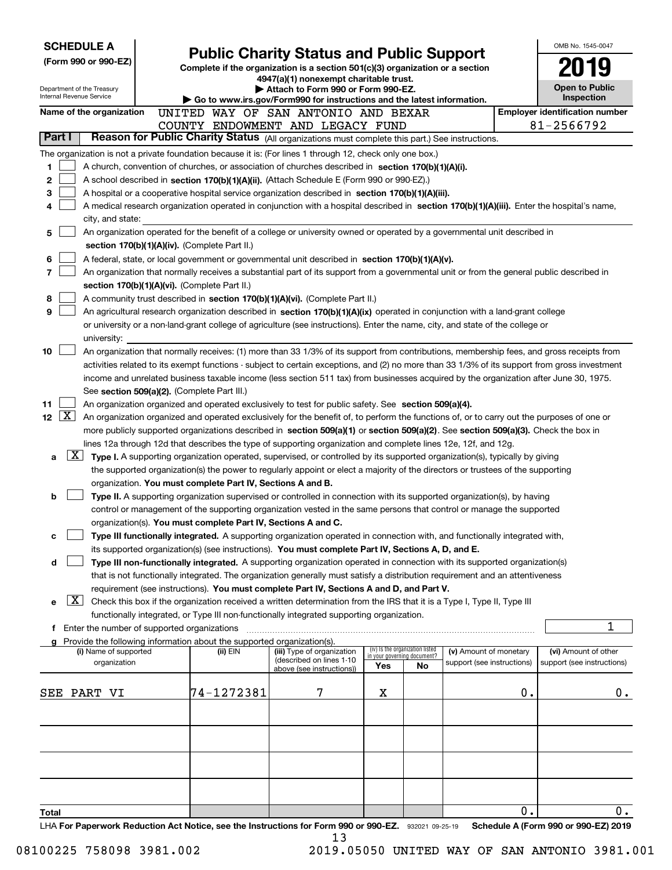| <b>SCHEDULE A</b>                                                                                                                                                                          |                                                               |                                                                                                                                  |     |                                   |                            |    | OMB No. 1545-0047                          |
|--------------------------------------------------------------------------------------------------------------------------------------------------------------------------------------------|---------------------------------------------------------------|----------------------------------------------------------------------------------------------------------------------------------|-----|-----------------------------------|----------------------------|----|--------------------------------------------|
| (Form 990 or 990-EZ)                                                                                                                                                                       |                                                               | <b>Public Charity Status and Public Support</b><br>Complete if the organization is a section 501(c)(3) organization or a section |     |                                   |                            |    |                                            |
|                                                                                                                                                                                            |                                                               | 4947(a)(1) nonexempt charitable trust.                                                                                           |     |                                   |                            |    |                                            |
| Department of the Treasury<br>Internal Revenue Service                                                                                                                                     |                                                               | Attach to Form 990 or Form 990-EZ.<br>Go to www.irs.gov/Form990 for instructions and the latest information.                     |     |                                   |                            |    | Open to Public<br>Inspection               |
| Name of the organization                                                                                                                                                                   |                                                               | UNITED WAY OF SAN ANTONIO AND BEXAR                                                                                              |     |                                   |                            |    | <b>Employer identification number</b>      |
|                                                                                                                                                                                            |                                                               | COUNTY ENDOWMENT AND LEGACY FUND                                                                                                 |     |                                   |                            |    | 81-2566792                                 |
| Part I<br>Reason for Public Charity Status (All organizations must complete this part.) See instructions.                                                                                  |                                                               |                                                                                                                                  |     |                                   |                            |    |                                            |
| The organization is not a private foundation because it is: (For lines 1 through 12, check only one box.)                                                                                  |                                                               |                                                                                                                                  |     |                                   |                            |    |                                            |
| 1<br>A church, convention of churches, or association of churches described in section 170(b)(1)(A)(i).                                                                                    |                                                               |                                                                                                                                  |     |                                   |                            |    |                                            |
| 2<br>A school described in section 170(b)(1)(A)(ii). (Attach Schedule E (Form 990 or 990-EZ).)                                                                                             |                                                               |                                                                                                                                  |     |                                   |                            |    |                                            |
| 3<br>A hospital or a cooperative hospital service organization described in section 170(b)(1)(A)(iii).                                                                                     |                                                               |                                                                                                                                  |     |                                   |                            |    |                                            |
| A medical research organization operated in conjunction with a hospital described in section 170(b)(1)(A)(iii). Enter the hospital's name,<br>4                                            |                                                               |                                                                                                                                  |     |                                   |                            |    |                                            |
| city, and state:                                                                                                                                                                           |                                                               |                                                                                                                                  |     |                                   |                            |    |                                            |
| An organization operated for the benefit of a college or university owned or operated by a governmental unit described in<br>5                                                             |                                                               |                                                                                                                                  |     |                                   |                            |    |                                            |
| section 170(b)(1)(A)(iv). (Complete Part II.)                                                                                                                                              |                                                               |                                                                                                                                  |     |                                   |                            |    |                                            |
| 6<br>A federal, state, or local government or governmental unit described in section $170(b)(1)(A)(v)$ .<br>7                                                                              |                                                               |                                                                                                                                  |     |                                   |                            |    |                                            |
| An organization that normally receives a substantial part of its support from a governmental unit or from the general public described in<br>section 170(b)(1)(A)(vi). (Complete Part II.) |                                                               |                                                                                                                                  |     |                                   |                            |    |                                            |
| 8<br>A community trust described in section 170(b)(1)(A)(vi). (Complete Part II.)                                                                                                          |                                                               |                                                                                                                                  |     |                                   |                            |    |                                            |
| 9<br>An agricultural research organization described in section 170(b)(1)(A)(ix) operated in conjunction with a land-grant college                                                         |                                                               |                                                                                                                                  |     |                                   |                            |    |                                            |
| or university or a non-land-grant college of agriculture (see instructions). Enter the name, city, and state of the college or                                                             |                                                               |                                                                                                                                  |     |                                   |                            |    |                                            |
| university:                                                                                                                                                                                |                                                               |                                                                                                                                  |     |                                   |                            |    |                                            |
| 10<br>An organization that normally receives: (1) more than 33 1/3% of its support from contributions, membership fees, and gross receipts from                                            |                                                               |                                                                                                                                  |     |                                   |                            |    |                                            |
| activities related to its exempt functions - subject to certain exceptions, and (2) no more than 33 1/3% of its support from gross investment                                              |                                                               |                                                                                                                                  |     |                                   |                            |    |                                            |
| income and unrelated business taxable income (less section 511 tax) from businesses acquired by the organization after June 30, 1975.                                                      |                                                               |                                                                                                                                  |     |                                   |                            |    |                                            |
| See section 509(a)(2). (Complete Part III.)                                                                                                                                                |                                                               |                                                                                                                                  |     |                                   |                            |    |                                            |
| 11<br>An organization organized and operated exclusively to test for public safety. See section 509(a)(4).                                                                                 |                                                               |                                                                                                                                  |     |                                   |                            |    |                                            |
| $\lfloor x \rfloor$<br>12 <sub>2</sub><br>An organization organized and operated exclusively for the benefit of, to perform the functions of, or to carry out the purposes of one or       |                                                               |                                                                                                                                  |     |                                   |                            |    |                                            |
| more publicly supported organizations described in section 509(a)(1) or section 509(a)(2). See section 509(a)(3). Check the box in                                                         |                                                               |                                                                                                                                  |     |                                   |                            |    |                                            |
| lines 12a through 12d that describes the type of supporting organization and complete lines 12e, 12f, and 12g.                                                                             |                                                               |                                                                                                                                  |     |                                   |                            |    |                                            |
| X <br>a                                                                                                                                                                                    |                                                               | Type I. A supporting organization operated, supervised, or controlled by its supported organization(s), typically by giving      |     |                                   |                            |    |                                            |
|                                                                                                                                                                                            | organization. You must complete Part IV, Sections A and B.    | the supported organization(s) the power to regularly appoint or elect a majority of the directors or trustees of the supporting  |     |                                   |                            |    |                                            |
| b                                                                                                                                                                                          |                                                               | Type II. A supporting organization supervised or controlled in connection with its supported organization(s), by having          |     |                                   |                            |    |                                            |
|                                                                                                                                                                                            |                                                               | control or management of the supporting organization vested in the same persons that control or manage the supported             |     |                                   |                            |    |                                            |
|                                                                                                                                                                                            | organization(s). You must complete Part IV, Sections A and C. |                                                                                                                                  |     |                                   |                            |    |                                            |
| с                                                                                                                                                                                          |                                                               | Type III functionally integrated. A supporting organization operated in connection with, and functionally integrated with,       |     |                                   |                            |    |                                            |
|                                                                                                                                                                                            |                                                               | its supported organization(s) (see instructions). You must complete Part IV, Sections A, D, and E.                               |     |                                   |                            |    |                                            |
| d                                                                                                                                                                                          |                                                               | Type III non-functionally integrated. A supporting organization operated in connection with its supported organization(s)        |     |                                   |                            |    |                                            |
|                                                                                                                                                                                            |                                                               | that is not functionally integrated. The organization generally must satisfy a distribution requirement and an attentiveness     |     |                                   |                            |    |                                            |
|                                                                                                                                                                                            |                                                               | requirement (see instructions). You must complete Part IV, Sections A and D, and Part V.                                         |     |                                   |                            |    |                                            |
| X <br>е                                                                                                                                                                                    |                                                               | Check this box if the organization received a written determination from the IRS that it is a Type I, Type II, Type III          |     |                                   |                            |    |                                            |
|                                                                                                                                                                                            |                                                               | functionally integrated, or Type III non-functionally integrated supporting organization.                                        |     |                                   |                            |    |                                            |
| Enter the number of supported organizations<br>f                                                                                                                                           |                                                               |                                                                                                                                  |     |                                   |                            |    | 1                                          |
| Provide the following information about the supported organization(s).<br>(i) Name of supported                                                                                            | (ii) EIN                                                      | (iii) Type of organization                                                                                                       |     | (iv) Is the organization listed   | (v) Amount of monetary     |    | (vi) Amount of other                       |
| organization                                                                                                                                                                               |                                                               | (described on lines 1-10                                                                                                         | Yes | in your governing document?<br>No | support (see instructions) |    | support (see instructions)                 |
|                                                                                                                                                                                            |                                                               | above (see instructions))                                                                                                        |     |                                   |                            |    |                                            |
| SEE PART VI                                                                                                                                                                                | 74-1272381                                                    | 7                                                                                                                                | X   |                                   |                            | 0. | $0$ .                                      |
|                                                                                                                                                                                            |                                                               |                                                                                                                                  |     |                                   |                            |    |                                            |
|                                                                                                                                                                                            |                                                               |                                                                                                                                  |     |                                   |                            |    |                                            |
|                                                                                                                                                                                            |                                                               |                                                                                                                                  |     |                                   |                            |    |                                            |
|                                                                                                                                                                                            |                                                               |                                                                                                                                  |     |                                   |                            |    |                                            |
|                                                                                                                                                                                            |                                                               |                                                                                                                                  |     |                                   |                            |    |                                            |
|                                                                                                                                                                                            |                                                               |                                                                                                                                  |     |                                   |                            |    |                                            |
|                                                                                                                                                                                            |                                                               |                                                                                                                                  |     |                                   |                            |    |                                            |
|                                                                                                                                                                                            |                                                               |                                                                                                                                  |     |                                   |                            |    |                                            |
| Total<br>LHA For Paperwork Reduction Act Notice, see the Instructions for Form 990 or 990-EZ. 932021 09-25-19                                                                              |                                                               |                                                                                                                                  |     |                                   |                            | 0. | 0.<br>Schedule A (Form 990 or 990-EZ) 2019 |

13

08100225 758098 3981.002 2019.05050 UNITED WAY OF SAN ANTONIO 3981.001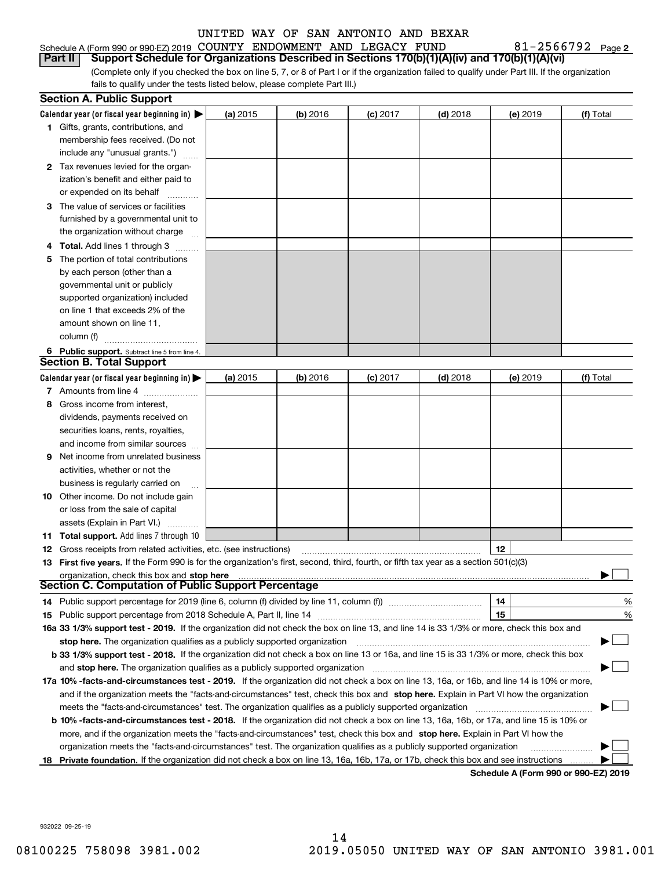| Schedule A (Form 990 or 990-EZ) 2019 COUNTY ENDOWMENT AND LEGACY FUND                                         |  |  | $81 - 2566792$ Page |  |
|---------------------------------------------------------------------------------------------------------------|--|--|---------------------|--|
| <b>Part II</b> Support Schedule for Organizations Described in Sections 170(b)(1)(A)(iv) and 170(b)(1)(A)(vi) |  |  |                     |  |

(Complete only if you checked the box on line 5, 7, or 8 of Part I or if the organization failed to qualify under Part III. If the organization fails to qualify under the tests listed below, please complete Part III.)

|   | <b>Section A. Public Support</b>                                                                                                                                                                                               |            |            |            |            |          |           |
|---|--------------------------------------------------------------------------------------------------------------------------------------------------------------------------------------------------------------------------------|------------|------------|------------|------------|----------|-----------|
|   | Calendar year (or fiscal year beginning in) $\blacktriangleright$                                                                                                                                                              | (a) 2015   | $(b)$ 2016 | $(c)$ 2017 | $(d)$ 2018 | (e) 2019 | (f) Total |
|   | 1 Gifts, grants, contributions, and                                                                                                                                                                                            |            |            |            |            |          |           |
|   | membership fees received. (Do not                                                                                                                                                                                              |            |            |            |            |          |           |
|   | include any "unusual grants.")                                                                                                                                                                                                 |            |            |            |            |          |           |
|   | 2 Tax revenues levied for the organ-                                                                                                                                                                                           |            |            |            |            |          |           |
|   | ization's benefit and either paid to                                                                                                                                                                                           |            |            |            |            |          |           |
|   | or expended on its behalf                                                                                                                                                                                                      |            |            |            |            |          |           |
|   | 3 The value of services or facilities                                                                                                                                                                                          |            |            |            |            |          |           |
|   | furnished by a governmental unit to                                                                                                                                                                                            |            |            |            |            |          |           |
|   | the organization without charge                                                                                                                                                                                                |            |            |            |            |          |           |
| 4 | <b>Total.</b> Add lines 1 through 3                                                                                                                                                                                            |            |            |            |            |          |           |
| 5 | The portion of total contributions                                                                                                                                                                                             |            |            |            |            |          |           |
|   | by each person (other than a                                                                                                                                                                                                   |            |            |            |            |          |           |
|   | governmental unit or publicly                                                                                                                                                                                                  |            |            |            |            |          |           |
|   | supported organization) included                                                                                                                                                                                               |            |            |            |            |          |           |
|   | on line 1 that exceeds 2% of the                                                                                                                                                                                               |            |            |            |            |          |           |
|   | amount shown on line 11,                                                                                                                                                                                                       |            |            |            |            |          |           |
|   | column (f)                                                                                                                                                                                                                     |            |            |            |            |          |           |
|   | 6 Public support. Subtract line 5 from line 4.                                                                                                                                                                                 |            |            |            |            |          |           |
|   | <b>Section B. Total Support</b>                                                                                                                                                                                                |            |            |            |            |          |           |
|   | Calendar year (or fiscal year beginning in) $\blacktriangleright$                                                                                                                                                              | (a) $2015$ | (b) 2016   | $(c)$ 2017 | $(d)$ 2018 | (e) 2019 | (f) Total |
|   | 7 Amounts from line 4                                                                                                                                                                                                          |            |            |            |            |          |           |
| 8 | Gross income from interest,                                                                                                                                                                                                    |            |            |            |            |          |           |
|   | dividends, payments received on                                                                                                                                                                                                |            |            |            |            |          |           |
|   | securities loans, rents, royalties,                                                                                                                                                                                            |            |            |            |            |          |           |
|   | and income from similar sources                                                                                                                                                                                                |            |            |            |            |          |           |
| 9 | Net income from unrelated business                                                                                                                                                                                             |            |            |            |            |          |           |
|   | activities, whether or not the                                                                                                                                                                                                 |            |            |            |            |          |           |
|   | business is regularly carried on                                                                                                                                                                                               |            |            |            |            |          |           |
|   | <b>10</b> Other income. Do not include gain                                                                                                                                                                                    |            |            |            |            |          |           |
|   | or loss from the sale of capital                                                                                                                                                                                               |            |            |            |            |          |           |
|   | assets (Explain in Part VI.)                                                                                                                                                                                                   |            |            |            |            |          |           |
|   | 11 Total support. Add lines 7 through 10                                                                                                                                                                                       |            |            |            |            |          |           |
|   | <b>12</b> Gross receipts from related activities, etc. (see instructions)                                                                                                                                                      |            |            |            |            | 12       |           |
|   | 13 First five years. If the Form 990 is for the organization's first, second, third, fourth, or fifth tax year as a section 501(c)(3)                                                                                          |            |            |            |            |          |           |
|   | organization, check this box and stop here manufactured and stop here and stop here are contained and stop here are contained and stop here are contained and stop here are contained and stop here are contained and stop her |            |            |            |            |          |           |
|   | Section C. Computation of Public Support Percentage                                                                                                                                                                            |            |            |            |            |          |           |
|   | 14 Public support percentage for 2019 (line 6, column (f) divided by line 11, column (f) <i>mummention</i>                                                                                                                     |            |            |            |            | 14       | %         |
|   |                                                                                                                                                                                                                                |            |            |            |            | 15       | %         |
|   | 16a 33 1/3% support test - 2019. If the organization did not check the box on line 13, and line 14 is 33 1/3% or more, check this box and                                                                                      |            |            |            |            |          |           |
|   | stop here. The organization qualifies as a publicly supported organization                                                                                                                                                     |            |            |            |            |          | ▔▁▎       |
|   | b 33 1/3% support test - 2018. If the organization did not check a box on line 13 or 16a, and line 15 is 33 1/3% or more, check this box                                                                                       |            |            |            |            |          |           |
|   | and stop here. The organization qualifies as a publicly supported organization                                                                                                                                                 |            |            |            |            |          |           |
|   | 17a 10% -facts-and-circumstances test - 2019. If the organization did not check a box on line 13, 16a, or 16b, and line 14 is 10% or more,                                                                                     |            |            |            |            |          |           |
|   | and if the organization meets the "facts-and-circumstances" test, check this box and stop here. Explain in Part VI how the organization                                                                                        |            |            |            |            |          |           |
|   | meets the "facts-and-circumstances" test. The organization qualifies as a publicly supported organization                                                                                                                      |            |            |            |            |          |           |
|   | <b>b 10% -facts-and-circumstances test - 2018.</b> If the organization did not check a box on line 13, 16a, 16b, or 17a, and line 15 is 10% or                                                                                 |            |            |            |            |          |           |
|   | more, and if the organization meets the "facts-and-circumstances" test, check this box and stop here. Explain in Part VI how the                                                                                               |            |            |            |            |          |           |
|   | organization meets the "facts-and-circumstances" test. The organization qualifies as a publicly supported organization                                                                                                         |            |            |            |            |          |           |
|   | 18 Private foundation. If the organization did not check a box on line 13, 16a, 16b, 17a, or 17b, check this box and see instructions                                                                                          |            |            |            |            |          |           |
|   |                                                                                                                                                                                                                                |            |            |            |            |          |           |

**Schedule A (Form 990 or 990-EZ) 2019**

932022 09-25-19

**2**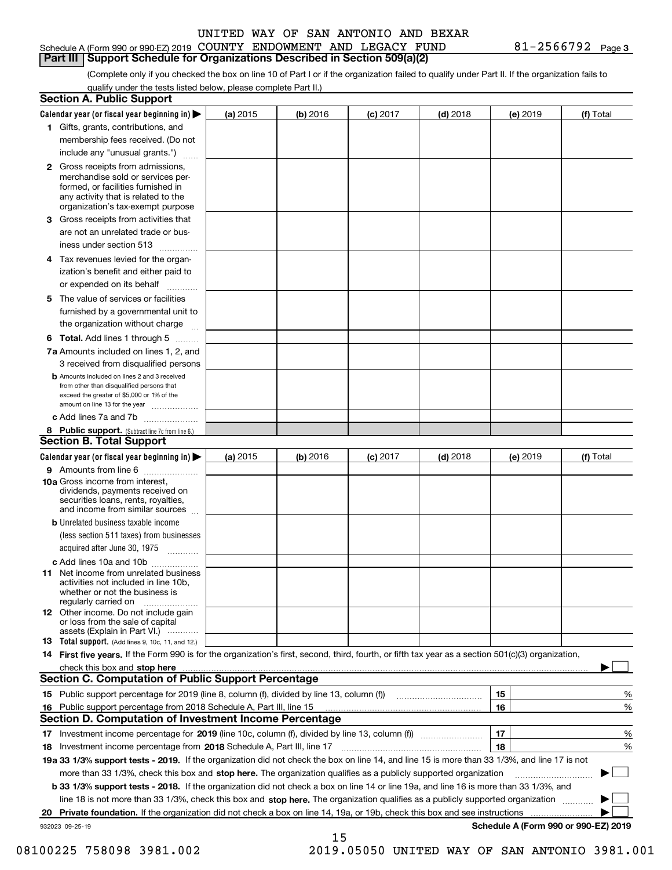#### Schedule A (Form 990 or 990-EZ) 2019 Page COUNTY ENDOWMENT AND LEGACY FUND 81-2566792 **Part III Support Schedule for Organizations Described in Section 509(a)(2)**

(Complete only if you checked the box on line 10 of Part I or if the organization failed to qualify under Part II. If the organization fails to qualify under the tests listed below, please complete Part II.)

| <b>Section A. Public Support</b>                                                                                                                                                                                               |            |          |            |            |          |                                      |
|--------------------------------------------------------------------------------------------------------------------------------------------------------------------------------------------------------------------------------|------------|----------|------------|------------|----------|--------------------------------------|
| Calendar year (or fiscal year beginning in) $\blacktriangleright$                                                                                                                                                              | (a) 2015   | (b) 2016 | $(c)$ 2017 | $(d)$ 2018 | (e) 2019 | (f) Total                            |
| 1 Gifts, grants, contributions, and                                                                                                                                                                                            |            |          |            |            |          |                                      |
| membership fees received. (Do not                                                                                                                                                                                              |            |          |            |            |          |                                      |
| include any "unusual grants.")                                                                                                                                                                                                 |            |          |            |            |          |                                      |
| 2 Gross receipts from admissions,<br>merchandise sold or services per-<br>formed, or facilities furnished in<br>any activity that is related to the<br>organization's tax-exempt purpose                                       |            |          |            |            |          |                                      |
| 3 Gross receipts from activities that<br>are not an unrelated trade or bus-                                                                                                                                                    |            |          |            |            |          |                                      |
| iness under section 513                                                                                                                                                                                                        |            |          |            |            |          |                                      |
| 4 Tax revenues levied for the organ-<br>ization's benefit and either paid to<br>or expended on its behalf                                                                                                                      |            |          |            |            |          |                                      |
| .<br>5 The value of services or facilities<br>furnished by a governmental unit to                                                                                                                                              |            |          |            |            |          |                                      |
| the organization without charge                                                                                                                                                                                                |            |          |            |            |          |                                      |
| <b>6 Total.</b> Add lines 1 through 5                                                                                                                                                                                          |            |          |            |            |          |                                      |
| 7a Amounts included on lines 1, 2, and<br>3 received from disqualified persons                                                                                                                                                 |            |          |            |            |          |                                      |
| <b>b</b> Amounts included on lines 2 and 3 received<br>from other than disqualified persons that<br>exceed the greater of \$5,000 or 1% of the<br>amount on line 13 for the year                                               |            |          |            |            |          |                                      |
| c Add lines 7a and 7b                                                                                                                                                                                                          |            |          |            |            |          |                                      |
| 8 Public support. (Subtract line 7c from line 6.)<br><b>Section B. Total Support</b>                                                                                                                                           |            |          |            |            |          |                                      |
| Calendar year (or fiscal year beginning in)                                                                                                                                                                                    | (a) $2015$ | (b) 2016 | $(c)$ 2017 | $(d)$ 2018 | (e) 2019 | (f) Total                            |
| 9 Amounts from line 6                                                                                                                                                                                                          |            |          |            |            |          |                                      |
| 10a Gross income from interest,<br>dividends, payments received on<br>securities loans, rents, royalties,<br>and income from similar sources                                                                                   |            |          |            |            |          |                                      |
| <b>b</b> Unrelated business taxable income<br>(less section 511 taxes) from businesses<br>acquired after June 30, 1975                                                                                                         |            |          |            |            |          |                                      |
| c Add lines 10a and 10b                                                                                                                                                                                                        |            |          |            |            |          |                                      |
| <b>11</b> Net income from unrelated business<br>activities not included in line 10b,<br>whether or not the business is<br>regularly carried on                                                                                 |            |          |            |            |          |                                      |
| <b>12</b> Other income. Do not include gain<br>or loss from the sale of capital<br>assets (Explain in Part VI.)                                                                                                                |            |          |            |            |          |                                      |
| <b>13 Total support.</b> (Add lines 9, 10c, 11, and 12.)                                                                                                                                                                       |            |          |            |            |          |                                      |
| 14 First five years. If the Form 990 is for the organization's first, second, third, fourth, or fifth tax year as a section 501(c)(3) organization,                                                                            |            |          |            |            |          |                                      |
| check this box and stop here measurements and contact the contract of the contract of the contract of the contract of the contract of the contract of the contract of the contract of the contract of the contract of the cont |            |          |            |            |          |                                      |
| <b>Section C. Computation of Public Support Percentage</b>                                                                                                                                                                     |            |          |            |            |          |                                      |
| 15 Public support percentage for 2019 (line 8, column (f), divided by line 13, column (f))                                                                                                                                     |            |          |            |            | 15       | %                                    |
| 16 Public support percentage from 2018 Schedule A, Part III, line 15                                                                                                                                                           |            |          |            |            | 16       | %                                    |
| <b>Section D. Computation of Investment Income Percentage</b>                                                                                                                                                                  |            |          |            |            |          |                                      |
| 17 Investment income percentage for 2019 (line 10c, column (f), divided by line 13, column (f))<br>18 Investment income percentage from 2018 Schedule A, Part III, line 17                                                     |            |          |            |            | 17<br>18 | %<br>%                               |
| 19a 33 1/3% support tests - 2019. If the organization did not check the box on line 14, and line 15 is more than 33 1/3%, and line 17 is not                                                                                   |            |          |            |            |          |                                      |
| more than 33 1/3%, check this box and stop here. The organization qualifies as a publicly supported organization                                                                                                               |            |          |            |            |          | ▶                                    |
| b 33 1/3% support tests - 2018. If the organization did not check a box on line 14 or line 19a, and line 16 is more than 33 1/3%, and                                                                                          |            |          |            |            |          |                                      |
| line 18 is not more than 33 1/3%, check this box and stop here. The organization qualifies as a publicly supported organization                                                                                                |            |          |            |            |          |                                      |
| 20 Private foundation. If the organization did not check a box on line 14, 19a, or 19b, check this box and see instructions                                                                                                    |            |          |            |            |          |                                      |
| 932023 09-25-19                                                                                                                                                                                                                |            |          |            |            |          | Schedule A (Form 990 or 990-EZ) 2019 |
|                                                                                                                                                                                                                                |            | 15       |            |            |          |                                      |

08100225 758098 3981.002 2019.05050 UNITED WAY OF SAN ANTONIO 3981.001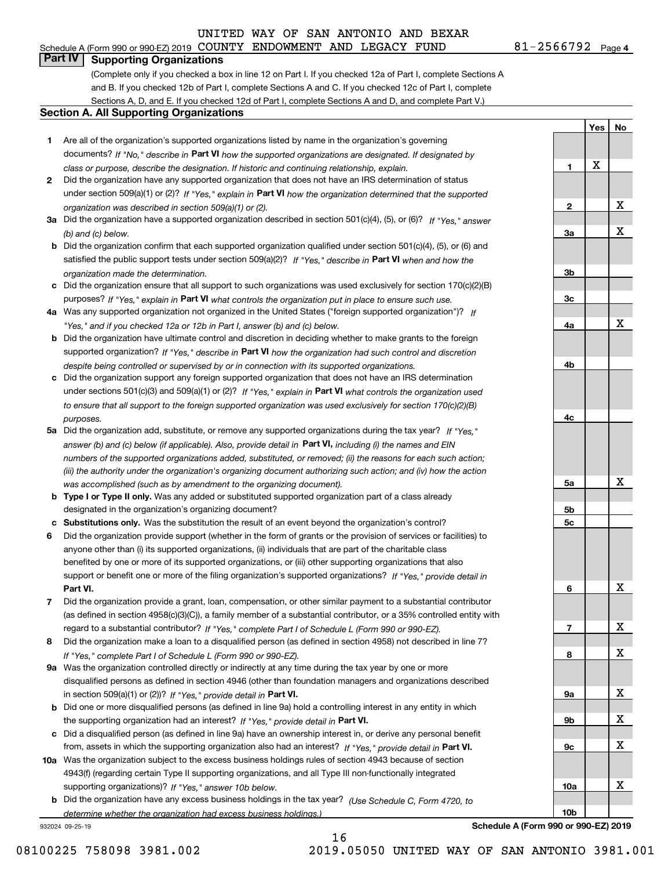## **Part IV Supporting Organizations**

(Complete only if you checked a box in line 12 on Part I. If you checked 12a of Part I, complete Sections A and B. If you checked 12b of Part I, complete Sections A and C. If you checked 12c of Part I, complete Sections A, D, and E. If you checked 12d of Part I, complete Sections A and D, and complete Part V.)

#### **Section A. All Supporting Organizations**

- **1** Are all of the organization's supported organizations listed by name in the organization's governing documents? If "No," describe in **Part VI** how the supported organizations are designated. If designated by *class or purpose, describe the designation. If historic and continuing relationship, explain.*
- **2** Did the organization have any supported organization that does not have an IRS determination of status under section 509(a)(1) or (2)? If "Yes," explain in Part VI how the organization determined that the supported *organization was described in section 509(a)(1) or (2).*
- **3a** Did the organization have a supported organization described in section 501(c)(4), (5), or (6)? If "Yes," answer *(b) and (c) below.*
- **b** Did the organization confirm that each supported organization qualified under section 501(c)(4), (5), or (6) and satisfied the public support tests under section 509(a)(2)? If "Yes," describe in **Part VI** when and how the *organization made the determination.*
- **c**Did the organization ensure that all support to such organizations was used exclusively for section 170(c)(2)(B) purposes? If "Yes," explain in **Part VI** what controls the organization put in place to ensure such use.
- **4a***If* Was any supported organization not organized in the United States ("foreign supported organization")? *"Yes," and if you checked 12a or 12b in Part I, answer (b) and (c) below.*
- **b** Did the organization have ultimate control and discretion in deciding whether to make grants to the foreign supported organization? If "Yes," describe in **Part VI** how the organization had such control and discretion *despite being controlled or supervised by or in connection with its supported organizations.*
- **c** Did the organization support any foreign supported organization that does not have an IRS determination under sections 501(c)(3) and 509(a)(1) or (2)? If "Yes," explain in **Part VI** what controls the organization used *to ensure that all support to the foreign supported organization was used exclusively for section 170(c)(2)(B) purposes.*
- **5a** Did the organization add, substitute, or remove any supported organizations during the tax year? If "Yes," answer (b) and (c) below (if applicable). Also, provide detail in **Part VI,** including (i) the names and EIN *numbers of the supported organizations added, substituted, or removed; (ii) the reasons for each such action; (iii) the authority under the organization's organizing document authorizing such action; and (iv) how the action was accomplished (such as by amendment to the organizing document).*
- **b** Type I or Type II only. Was any added or substituted supported organization part of a class already designated in the organization's organizing document?
- **cSubstitutions only.**  Was the substitution the result of an event beyond the organization's control?
- **6** Did the organization provide support (whether in the form of grants or the provision of services or facilities) to **Part VI.** *If "Yes," provide detail in* support or benefit one or more of the filing organization's supported organizations? anyone other than (i) its supported organizations, (ii) individuals that are part of the charitable class benefited by one or more of its supported organizations, or (iii) other supporting organizations that also
- **7**Did the organization provide a grant, loan, compensation, or other similar payment to a substantial contributor *If "Yes," complete Part I of Schedule L (Form 990 or 990-EZ).* regard to a substantial contributor? (as defined in section 4958(c)(3)(C)), a family member of a substantial contributor, or a 35% controlled entity with
- **8** Did the organization make a loan to a disqualified person (as defined in section 4958) not described in line 7? *If "Yes," complete Part I of Schedule L (Form 990 or 990-EZ).*
- **9a** Was the organization controlled directly or indirectly at any time during the tax year by one or more in section 509(a)(1) or (2))? If "Yes," *provide detail in* <code>Part VI.</code> disqualified persons as defined in section 4946 (other than foundation managers and organizations described
- **b**the supporting organization had an interest? If "Yes," provide detail in P**art VI**. Did one or more disqualified persons (as defined in line 9a) hold a controlling interest in any entity in which
- **c**Did a disqualified person (as defined in line 9a) have an ownership interest in, or derive any personal benefit from, assets in which the supporting organization also had an interest? If "Yes," provide detail in P**art VI.**
- **10a** Was the organization subject to the excess business holdings rules of section 4943 because of section supporting organizations)? If "Yes," answer 10b below. 4943(f) (regarding certain Type II supporting organizations, and all Type III non-functionally integrated
- **b** Did the organization have any excess business holdings in the tax year? (Use Schedule C, Form 4720, to *determine whether the organization had excess business holdings.)*

16

932024 09-25-19

**89a 9b9c10a10b**X X X X X

**Schedule A (Form 990 or 990-EZ) 2019**

**1**

**2**

**3a**

**3b**

**3c**

**4a**

**4b**

**4c**

**5a**

**5b5c**

**6**

**7**

**Yes**

X

**No**

X

X

X

X

X

X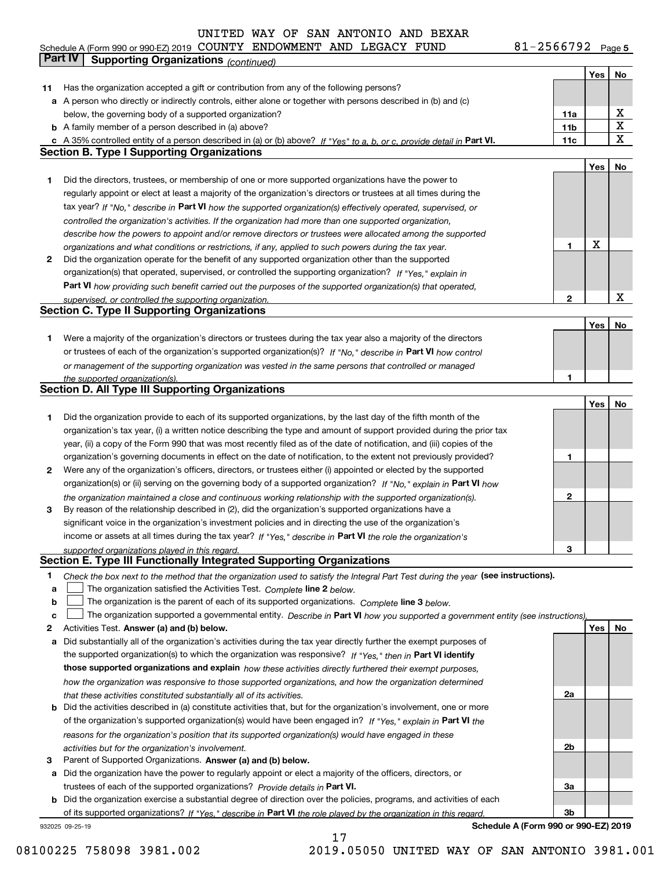**5** Schedule A (Form 990 or 990-EZ) 2019 COUN'I'Y ENDOWMEN'I' AND LEGACY F'UND 8 L – Z 5 6 6 7 9 Z Page COUNTY ENDOWMENT AND LEGACY FUND 81-2566792

|    | Part IV<br><b>Supporting Organizations (continued)</b>                                                                                                                                        |                 |     |             |
|----|-----------------------------------------------------------------------------------------------------------------------------------------------------------------------------------------------|-----------------|-----|-------------|
|    |                                                                                                                                                                                               |                 | Yes | No          |
| 11 | Has the organization accepted a gift or contribution from any of the following persons?                                                                                                       |                 |     |             |
|    | a A person who directly or indirectly controls, either alone or together with persons described in (b) and (c)                                                                                |                 |     |             |
|    | below, the governing body of a supported organization?                                                                                                                                        | 11a             |     | х           |
|    | <b>b</b> A family member of a person described in (a) above?                                                                                                                                  | 11 <sub>b</sub> |     | Χ           |
|    |                                                                                                                                                                                               | 11c             |     | X           |
|    | c A 35% controlled entity of a person described in (a) or (b) above? If "Yes" to a, b, or c, provide detail in Part VI.<br><b>Section B. Type I Supporting Organizations</b>                  |                 |     |             |
|    |                                                                                                                                                                                               |                 |     |             |
|    |                                                                                                                                                                                               |                 | Yes | No          |
| 1. | Did the directors, trustees, or membership of one or more supported organizations have the power to                                                                                           |                 |     |             |
|    | regularly appoint or elect at least a majority of the organization's directors or trustees at all times during the                                                                            |                 |     |             |
|    | tax year? If "No," describe in Part VI how the supported organization(s) effectively operated, supervised, or                                                                                 |                 |     |             |
|    | controlled the organization's activities. If the organization had more than one supported organization,                                                                                       |                 |     |             |
|    | describe how the powers to appoint and/or remove directors or trustees were allocated among the supported                                                                                     |                 |     |             |
|    | organizations and what conditions or restrictions, if any, applied to such powers during the tax year.                                                                                        | 1               | X   |             |
| 2  | Did the organization operate for the benefit of any supported organization other than the supported                                                                                           |                 |     |             |
|    | organization(s) that operated, supervised, or controlled the supporting organization? If "Yes," explain in                                                                                    |                 |     |             |
|    | Part VI how providing such benefit carried out the purposes of the supported organization(s) that operated,                                                                                   |                 |     |             |
|    | supervised, or controlled the supporting organization.                                                                                                                                        | 2               |     | $\mathbf X$ |
|    | <b>Section C. Type II Supporting Organizations</b>                                                                                                                                            |                 |     |             |
|    |                                                                                                                                                                                               |                 | Yes | No          |
| 1. | Were a majority of the organization's directors or trustees during the tax year also a majority of the directors                                                                              |                 |     |             |
|    | or trustees of each of the organization's supported organization(s)? If "No," describe in Part VI how control                                                                                 |                 |     |             |
|    | or management of the supporting organization was vested in the same persons that controlled or managed                                                                                        |                 |     |             |
|    | the supported organization(s).                                                                                                                                                                | 1               |     |             |
|    | <b>Section D. All Type III Supporting Organizations</b>                                                                                                                                       |                 |     |             |
|    |                                                                                                                                                                                               |                 | Yes | No          |
| 1  | Did the organization provide to each of its supported organizations, by the last day of the fifth month of the                                                                                |                 |     |             |
|    |                                                                                                                                                                                               |                 |     |             |
|    | organization's tax year, (i) a written notice describing the type and amount of support provided during the prior tax                                                                         |                 |     |             |
|    | year, (ii) a copy of the Form 990 that was most recently filed as of the date of notification, and (iii) copies of the                                                                        |                 |     |             |
|    | organization's governing documents in effect on the date of notification, to the extent not previously provided?                                                                              | 1               |     |             |
| 2  | Were any of the organization's officers, directors, or trustees either (i) appointed or elected by the supported                                                                              |                 |     |             |
|    | organization(s) or (ii) serving on the governing body of a supported organization? If "No," explain in Part VI how                                                                            |                 |     |             |
|    | the organization maintained a close and continuous working relationship with the supported organization(s).                                                                                   | 2               |     |             |
| 3  | By reason of the relationship described in (2), did the organization's supported organizations have a                                                                                         |                 |     |             |
|    | significant voice in the organization's investment policies and in directing the use of the organization's                                                                                    |                 |     |             |
|    | income or assets at all times during the tax year? If "Yes," describe in Part VI the role the organization's                                                                                  |                 |     |             |
|    | supported organizations played in this regard.                                                                                                                                                | 3               |     |             |
|    | Section E. Type III Functionally Integrated Supporting Organizations                                                                                                                          |                 |     |             |
| 1  | Check the box next to the method that the organization used to satisfy the Integral Part Test during the year (see instructions).                                                             |                 |     |             |
| a  | The organization satisfied the Activities Test. Complete line 2 below.                                                                                                                        |                 |     |             |
| b  | The organization is the parent of each of its supported organizations. Complete line 3 below.                                                                                                 |                 |     |             |
| c  | The organization supported a governmental entity. Describe in Part VI how you supported a government entity (see instructions),                                                               |                 |     |             |
| 2  | Activities Test. Answer (a) and (b) below.                                                                                                                                                    |                 | Yes | No          |
| а  | Did substantially all of the organization's activities during the tax year directly further the exempt purposes of                                                                            |                 |     |             |
|    | the supported organization(s) to which the organization was responsive? If "Yes," then in Part VI identify                                                                                    |                 |     |             |
|    | those supported organizations and explain how these activities directly furthered their exempt purposes,                                                                                      |                 |     |             |
|    | how the organization was responsive to those supported organizations, and how the organization determined                                                                                     |                 |     |             |
|    |                                                                                                                                                                                               | 2a              |     |             |
| b  | that these activities constituted substantially all of its activities.<br>Did the activities described in (a) constitute activities that, but for the organization's involvement, one or more |                 |     |             |
|    |                                                                                                                                                                                               |                 |     |             |
|    | of the organization's supported organization(s) would have been engaged in? If "Yes," explain in Part VI the                                                                                  |                 |     |             |
|    | reasons for the organization's position that its supported organization(s) would have engaged in these                                                                                        |                 |     |             |
|    | activities but for the organization's involvement.                                                                                                                                            | 2b              |     |             |
| 3  | Parent of Supported Organizations. Answer (a) and (b) below.                                                                                                                                  |                 |     |             |
| а  | Did the organization have the power to regularly appoint or elect a majority of the officers, directors, or                                                                                   |                 |     |             |
|    | trustees of each of the supported organizations? Provide details in Part VI.                                                                                                                  | За              |     |             |
|    | <b>b</b> Did the organization exercise a substantial degree of direction over the policies, programs, and activities of each                                                                  |                 |     |             |
|    | of its supported organizations? If "Yes," describe in Part VI the role played by the organization in this regard                                                                              | Зb              |     |             |
|    | Schedule A (Form 990 or 990-EZ) 2019<br>932025 09-25-19                                                                                                                                       |                 |     |             |

17

08100225 758098 3981.002 2019.05050 UNITED WAY OF SAN ANTONIO 3981.001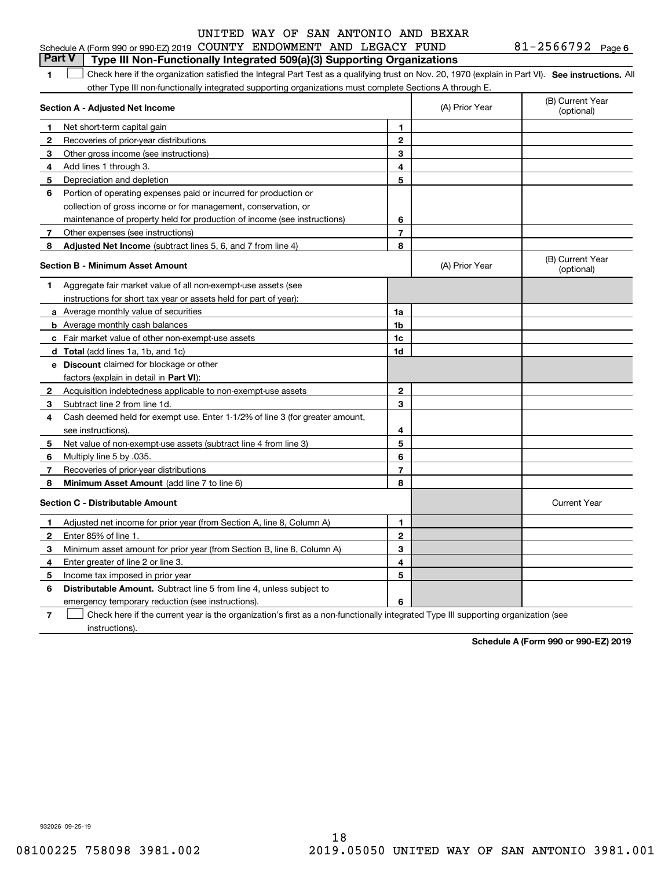#### **1**1 Check here if the organization satisfied the Integral Part Test as a qualifying trust on Nov. 20, 1970 (explain in Part VI). See instructions. All other Type III non-functionally integrated supporting organizations must complete Sections A through E. **Part V Type III Non-Functionally Integrated 509(a)(3) Supporting Organizations**

|              | Section A - Adjusted Net Income                                                                                                   |                | (A) Prior Year | (B) Current Year<br>(optional) |
|--------------|-----------------------------------------------------------------------------------------------------------------------------------|----------------|----------------|--------------------------------|
| 1            | Net short-term capital gain                                                                                                       | 1              |                |                                |
| $\mathbf{2}$ | Recoveries of prior-year distributions                                                                                            | $\overline{2}$ |                |                                |
| 3            | Other gross income (see instructions)                                                                                             | 3              |                |                                |
| 4            | Add lines 1 through 3.                                                                                                            | 4              |                |                                |
| 5            | Depreciation and depletion                                                                                                        | 5              |                |                                |
| 6            | Portion of operating expenses paid or incurred for production or                                                                  |                |                |                                |
|              | collection of gross income or for management, conservation, or                                                                    |                |                |                                |
|              | maintenance of property held for production of income (see instructions)                                                          | 6              |                |                                |
| 7            | Other expenses (see instructions)                                                                                                 | $\overline{7}$ |                |                                |
| 8            | Adjusted Net Income (subtract lines 5, 6, and 7 from line 4)                                                                      | 8              |                |                                |
|              | <b>Section B - Minimum Asset Amount</b>                                                                                           |                | (A) Prior Year | (B) Current Year<br>(optional) |
| 1            | Aggregate fair market value of all non-exempt-use assets (see                                                                     |                |                |                                |
|              | instructions for short tax year or assets held for part of year):                                                                 |                |                |                                |
|              | a Average monthly value of securities                                                                                             | 1a             |                |                                |
|              | <b>b</b> Average monthly cash balances                                                                                            | 1b             |                |                                |
|              | c Fair market value of other non-exempt-use assets                                                                                | 1c             |                |                                |
|              | d Total (add lines 1a, 1b, and 1c)                                                                                                | 1d             |                |                                |
|              | <b>e</b> Discount claimed for blockage or other                                                                                   |                |                |                                |
|              | factors (explain in detail in Part VI):                                                                                           |                |                |                                |
| $\mathbf{2}$ | Acquisition indebtedness applicable to non-exempt-use assets                                                                      | 2              |                |                                |
| 3            | Subtract line 2 from line 1d.                                                                                                     | 3              |                |                                |
| 4            | Cash deemed held for exempt use. Enter 1-1/2% of line 3 (for greater amount,                                                      |                |                |                                |
|              | see instructions)                                                                                                                 | 4              |                |                                |
| 5            | Net value of non-exempt-use assets (subtract line 4 from line 3)                                                                  | 5              |                |                                |
| 6            | Multiply line 5 by .035.                                                                                                          | 6              |                |                                |
| 7            | Recoveries of prior-year distributions                                                                                            | $\overline{7}$ |                |                                |
| 8            | Minimum Asset Amount (add line 7 to line 6)                                                                                       | 8              |                |                                |
|              | <b>Section C - Distributable Amount</b>                                                                                           |                |                | <b>Current Year</b>            |
| 1            | Adjusted net income for prior year (from Section A, line 8, Column A)                                                             | 1              |                |                                |
| 2            | Enter 85% of line 1.                                                                                                              | $\overline{2}$ |                |                                |
| 3            | Minimum asset amount for prior year (from Section B, line 8, Column A)                                                            | 3              |                |                                |
| 4            | Enter greater of line 2 or line 3.                                                                                                | 4              |                |                                |
| 5            | Income tax imposed in prior year                                                                                                  | 5              |                |                                |
| 6            | <b>Distributable Amount.</b> Subtract line 5 from line 4, unless subject to                                                       |                |                |                                |
|              | emergency temporary reduction (see instructions).                                                                                 | 6              |                |                                |
| 7            | Check here if the current year is the organization's first as a non-functionally integrated Type III supporting organization (see |                |                |                                |

instructions).

**Schedule A (Form 990 or 990-EZ) 2019**

932026 09-25-19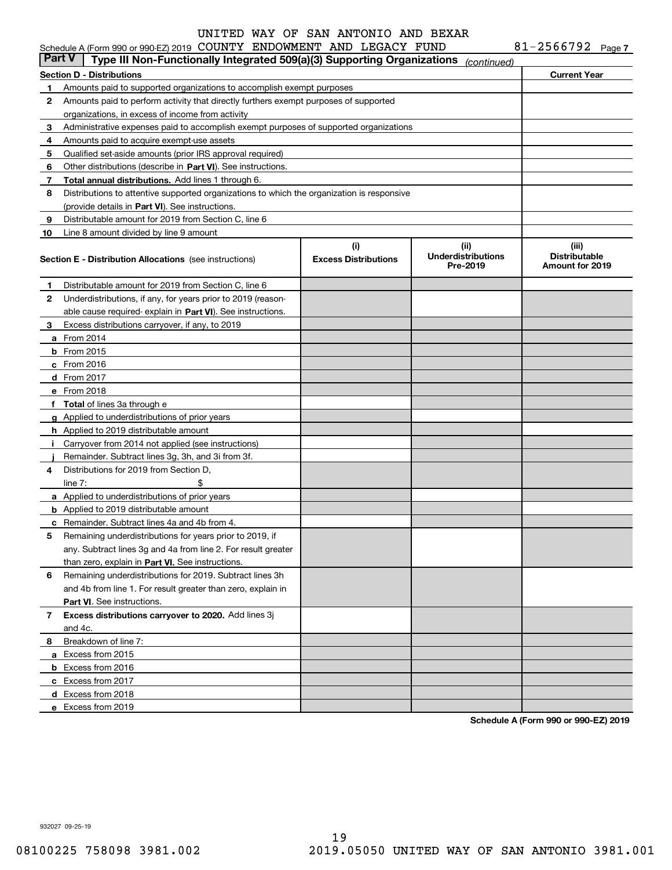|               | Schedule A (Form 990 or 990-EZ) 2019 COUNTY ENDOWMENT AND LEGACY FUND                      |                                    |                                               | 81-2566792 Page 7                                |
|---------------|--------------------------------------------------------------------------------------------|------------------------------------|-----------------------------------------------|--------------------------------------------------|
| <b>Part V</b> | Type III Non-Functionally Integrated 509(a)(3) Supporting Organizations                    |                                    | (continued)                                   |                                                  |
|               | <b>Section D - Distributions</b>                                                           |                                    |                                               | <b>Current Year</b>                              |
| 1             | Amounts paid to supported organizations to accomplish exempt purposes                      |                                    |                                               |                                                  |
| 2             | Amounts paid to perform activity that directly furthers exempt purposes of supported       |                                    |                                               |                                                  |
|               | organizations, in excess of income from activity                                           |                                    |                                               |                                                  |
| 3             | Administrative expenses paid to accomplish exempt purposes of supported organizations      |                                    |                                               |                                                  |
| 4             | Amounts paid to acquire exempt-use assets                                                  |                                    |                                               |                                                  |
| 5             | Qualified set-aside amounts (prior IRS approval required)                                  |                                    |                                               |                                                  |
| 6             | Other distributions (describe in Part VI). See instructions.                               |                                    |                                               |                                                  |
| 7             | Total annual distributions. Add lines 1 through 6.                                         |                                    |                                               |                                                  |
| 8             | Distributions to attentive supported organizations to which the organization is responsive |                                    |                                               |                                                  |
|               | (provide details in Part VI). See instructions.                                            |                                    |                                               |                                                  |
| 9             | Distributable amount for 2019 from Section C, line 6                                       |                                    |                                               |                                                  |
| 10            | Line 8 amount divided by line 9 amount                                                     |                                    |                                               |                                                  |
|               | <b>Section E - Distribution Allocations</b> (see instructions)                             | (i)<br><b>Excess Distributions</b> | (ii)<br><b>Underdistributions</b><br>Pre-2019 | (iii)<br><b>Distributable</b><br>Amount for 2019 |
| 1             | Distributable amount for 2019 from Section C, line 6                                       |                                    |                                               |                                                  |
| 2             | Underdistributions, if any, for years prior to 2019 (reason-                               |                                    |                                               |                                                  |
|               | able cause required-explain in Part VI). See instructions.                                 |                                    |                                               |                                                  |
| 3             | Excess distributions carryover, if any, to 2019                                            |                                    |                                               |                                                  |
|               | <b>a</b> From 2014                                                                         |                                    |                                               |                                                  |
|               | $b$ From 2015                                                                              |                                    |                                               |                                                  |
|               | $c$ From 2016                                                                              |                                    |                                               |                                                  |
|               | d From 2017                                                                                |                                    |                                               |                                                  |
|               | e From 2018                                                                                |                                    |                                               |                                                  |
|               | f Total of lines 3a through e                                                              |                                    |                                               |                                                  |
|               | g Applied to underdistributions of prior years                                             |                                    |                                               |                                                  |
|               | <b>h</b> Applied to 2019 distributable amount                                              |                                    |                                               |                                                  |
|               | Carryover from 2014 not applied (see instructions)                                         |                                    |                                               |                                                  |
|               | Remainder. Subtract lines 3g, 3h, and 3i from 3f.                                          |                                    |                                               |                                                  |
| 4             | Distributions for 2019 from Section D.                                                     |                                    |                                               |                                                  |
|               | \$<br>line $7:$                                                                            |                                    |                                               |                                                  |
|               | a Applied to underdistributions of prior years                                             |                                    |                                               |                                                  |
|               | <b>b</b> Applied to 2019 distributable amount                                              |                                    |                                               |                                                  |
|               | <b>c</b> Remainder. Subtract lines 4a and 4b from 4.                                       |                                    |                                               |                                                  |
|               | Remaining underdistributions for years prior to 2019, if                                   |                                    |                                               |                                                  |
|               | any. Subtract lines 3g and 4a from line 2. For result greater                              |                                    |                                               |                                                  |
|               | than zero, explain in Part VI. See instructions.                                           |                                    |                                               |                                                  |
| 6             | Remaining underdistributions for 2019. Subtract lines 3h                                   |                                    |                                               |                                                  |
|               | and 4b from line 1. For result greater than zero, explain in                               |                                    |                                               |                                                  |
|               | Part VI. See instructions.                                                                 |                                    |                                               |                                                  |
| 7             | Excess distributions carryover to 2020. Add lines 3j                                       |                                    |                                               |                                                  |
|               | and 4c.                                                                                    |                                    |                                               |                                                  |
| 8             | Breakdown of line 7:                                                                       |                                    |                                               |                                                  |
|               | a Excess from 2015                                                                         |                                    |                                               |                                                  |
|               | <b>b</b> Excess from 2016                                                                  |                                    |                                               |                                                  |
|               | c Excess from 2017                                                                         |                                    |                                               |                                                  |
|               | d Excess from 2018                                                                         |                                    |                                               |                                                  |
|               | e Excess from 2019                                                                         |                                    |                                               |                                                  |
|               |                                                                                            |                                    |                                               |                                                  |

**Schedule A (Form 990 or 990-EZ) 2019**

932027 09-25-19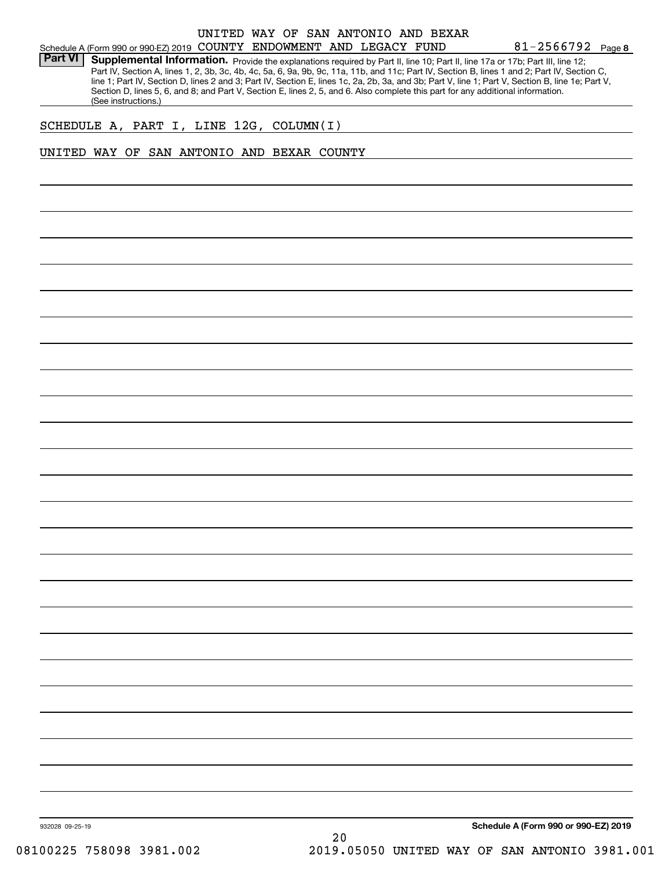### Schedule A (Form 990 or 990-EZ) 2019 Page COUNTY ENDOWMENT AND LEGACY FUND UNITED WAY OF SAN ANTONIO AND BEXAR

**8**81-2566792

Part VI | Supplemental Information. Provide the explanations required by Part II, line 10; Part II, line 17a or 17b; Part III, line 12; Part IV, Section A, lines 1, 2, 3b, 3c, 4b, 4c, 5a, 6, 9a, 9b, 9c, 11a, 11b, and 11c; Part IV, Section B, lines 1 and 2; Part IV, Section C, line 1; Part IV, Section D, lines 2 and 3; Part IV, Section E, lines 1c, 2a, 2b, 3a, and 3b; Part V, line 1; Part V, Section B, line 1e; Part V, Section D, lines 5, 6, and 8; and Part V, Section E, lines 2, 5, and 6. Also complete this part for any additional information. (See instructions.)

### SCHEDULE A, PART I, LINE 12G, COLUMN(I)

### UNITED WAY OF SAN ANTONIO AND BEXAR COUNTY

932028 09-25-19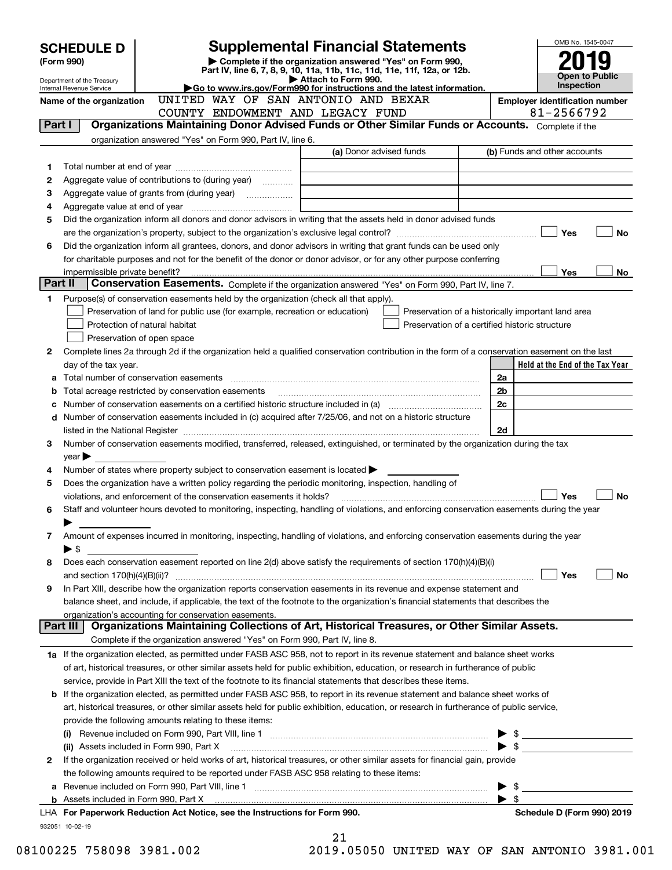|         | <b>SCHEDULE D</b>              |                                                                                                        | <b>Supplemental Financial Statements</b>                                                                                                       |                          | OMB No. 1545-0047               |  |  |  |
|---------|--------------------------------|--------------------------------------------------------------------------------------------------------|------------------------------------------------------------------------------------------------------------------------------------------------|--------------------------|---------------------------------|--|--|--|
|         | (Form 990)                     |                                                                                                        | Complete if the organization answered "Yes" on Form 990,                                                                                       |                          |                                 |  |  |  |
|         | Department of the Treasury     |                                                                                                        | Part IV, line 6, 7, 8, 9, 10, 11a, 11b, 11c, 11d, 11e, 11f, 12a, or 12b.<br>Attach to Form 990.                                                |                          | Open to Public                  |  |  |  |
|         | Internal Revenue Service       | UNITED WAY OF SAN ANTONIO AND BEXAR                                                                    | Go to www.irs.gov/Form990 for instructions and the latest information.                                                                         |                          | <b>Inspection</b>               |  |  |  |
|         | Name of the organization       |                                                                                                        | <b>Employer identification number</b><br>81-2566792                                                                                            |                          |                                 |  |  |  |
| Part I  |                                | COUNTY ENDOWMENT AND LEGACY FUND                                                                       | Organizations Maintaining Donor Advised Funds or Other Similar Funds or Accounts. Complete if the                                              |                          |                                 |  |  |  |
|         |                                | organization answered "Yes" on Form 990, Part IV, line 6.                                              |                                                                                                                                                |                          |                                 |  |  |  |
|         |                                |                                                                                                        | (a) Donor advised funds                                                                                                                        |                          | (b) Funds and other accounts    |  |  |  |
| 1       |                                |                                                                                                        |                                                                                                                                                |                          |                                 |  |  |  |
| 2       |                                | Aggregate value of contributions to (during year)                                                      |                                                                                                                                                |                          |                                 |  |  |  |
| з       |                                | Aggregate value of grants from (during year) <i>mimimimimial</i>                                       |                                                                                                                                                |                          |                                 |  |  |  |
| 4       |                                |                                                                                                        |                                                                                                                                                |                          |                                 |  |  |  |
| 5       |                                |                                                                                                        | Did the organization inform all donors and donor advisors in writing that the assets held in donor advised funds                               |                          |                                 |  |  |  |
|         |                                |                                                                                                        |                                                                                                                                                |                          | Yes<br>No                       |  |  |  |
| 6       |                                |                                                                                                        | Did the organization inform all grantees, donors, and donor advisors in writing that grant funds can be used only                              |                          |                                 |  |  |  |
|         |                                |                                                                                                        | for charitable purposes and not for the benefit of the donor or donor advisor, or for any other purpose conferring                             |                          |                                 |  |  |  |
|         | impermissible private benefit? |                                                                                                        |                                                                                                                                                |                          | <b>Yes</b><br>No.               |  |  |  |
| Part II |                                |                                                                                                        | <b>Conservation Easements.</b> Complete if the organization answered "Yes" on Form 990, Part IV, line 7.                                       |                          |                                 |  |  |  |
| 1       |                                | Purpose(s) of conservation easements held by the organization (check all that apply).                  |                                                                                                                                                |                          |                                 |  |  |  |
|         |                                | Preservation of land for public use (for example, recreation or education)                             | Preservation of a historically important land area                                                                                             |                          |                                 |  |  |  |
|         |                                | Protection of natural habitat                                                                          | Preservation of a certified historic structure                                                                                                 |                          |                                 |  |  |  |
|         |                                | Preservation of open space                                                                             |                                                                                                                                                |                          |                                 |  |  |  |
| 2       |                                |                                                                                                        | Complete lines 2a through 2d if the organization held a qualified conservation contribution in the form of a conservation easement on the last |                          |                                 |  |  |  |
|         | day of the tax year.           |                                                                                                        |                                                                                                                                                |                          | Held at the End of the Tax Year |  |  |  |
| а       |                                |                                                                                                        |                                                                                                                                                | 2a<br>2 <sub>b</sub>     |                                 |  |  |  |
| b       |                                | Total acreage restricted by conservation easements                                                     |                                                                                                                                                | 2 <sub>c</sub>           |                                 |  |  |  |
| c       |                                |                                                                                                        | d Number of conservation easements included in (c) acquired after 7/25/06, and not on a historic structure                                     |                          |                                 |  |  |  |
|         |                                |                                                                                                        |                                                                                                                                                | 2d                       |                                 |  |  |  |
| 3       |                                |                                                                                                        | Number of conservation easements modified, transferred, released, extinguished, or terminated by the organization during the tax               |                          |                                 |  |  |  |
|         | $year \blacktriangleright$     |                                                                                                        |                                                                                                                                                |                          |                                 |  |  |  |
| 4       |                                | Number of states where property subject to conservation easement is located $\blacktriangleright$      |                                                                                                                                                |                          |                                 |  |  |  |
| 5       |                                | Does the organization have a written policy regarding the periodic monitoring, inspection, handling of |                                                                                                                                                |                          |                                 |  |  |  |
|         |                                | violations, and enforcement of the conservation easements it holds?                                    |                                                                                                                                                |                          | <b>Yes</b><br><b>No</b>         |  |  |  |
| 6       |                                |                                                                                                        | Staff and volunteer hours devoted to monitoring, inspecting, handling of violations, and enforcing conservation easements during the year      |                          |                                 |  |  |  |
|         |                                |                                                                                                        |                                                                                                                                                |                          |                                 |  |  |  |
| 7       |                                |                                                                                                        | Amount of expenses incurred in monitoring, inspecting, handling of violations, and enforcing conservation easements during the year            |                          |                                 |  |  |  |
|         | ▶ \$                           |                                                                                                        |                                                                                                                                                |                          |                                 |  |  |  |
| 8       |                                |                                                                                                        | Does each conservation easement reported on line 2(d) above satisfy the requirements of section 170(h)(4)(B)(i)                                |                          |                                 |  |  |  |
|         |                                |                                                                                                        |                                                                                                                                                |                          | Yes<br>No                       |  |  |  |
| 9       |                                |                                                                                                        | In Part XIII, describe how the organization reports conservation easements in its revenue and expense statement and                            |                          |                                 |  |  |  |
|         |                                |                                                                                                        | balance sheet, and include, if applicable, the text of the footnote to the organization's financial statements that describes the              |                          |                                 |  |  |  |
|         | Part III                       | organization's accounting for conservation easements.                                                  | Organizations Maintaining Collections of Art, Historical Treasures, or Other Similar Assets.                                                   |                          |                                 |  |  |  |
|         |                                | Complete if the organization answered "Yes" on Form 990, Part IV, line 8.                              |                                                                                                                                                |                          |                                 |  |  |  |
|         |                                |                                                                                                        | 1a If the organization elected, as permitted under FASB ASC 958, not to report in its revenue statement and balance sheet works                |                          |                                 |  |  |  |
|         |                                |                                                                                                        | of art, historical treasures, or other similar assets held for public exhibition, education, or research in furtherance of public              |                          |                                 |  |  |  |
|         |                                |                                                                                                        | service, provide in Part XIII the text of the footnote to its financial statements that describes these items.                                 |                          |                                 |  |  |  |
|         |                                |                                                                                                        | <b>b</b> If the organization elected, as permitted under FASB ASC 958, to report in its revenue statement and balance sheet works of           |                          |                                 |  |  |  |
|         |                                |                                                                                                        | art, historical treasures, or other similar assets held for public exhibition, education, or research in furtherance of public service,        |                          |                                 |  |  |  |
|         |                                | provide the following amounts relating to these items:                                                 |                                                                                                                                                |                          |                                 |  |  |  |
|         |                                |                                                                                                        |                                                                                                                                                | $\blacktriangleright$ \$ |                                 |  |  |  |
|         |                                | (ii) Assets included in Form 990, Part X                                                               |                                                                                                                                                | $\blacktriangleright$ \$ |                                 |  |  |  |
| 2       |                                |                                                                                                        | If the organization received or held works of art, historical treasures, or other similar assets for financial gain, provide                   |                          |                                 |  |  |  |
|         |                                | the following amounts required to be reported under FASB ASC 958 relating to these items:              |                                                                                                                                                |                          |                                 |  |  |  |
|         |                                |                                                                                                        |                                                                                                                                                | - \$                     |                                 |  |  |  |
|         |                                |                                                                                                        |                                                                                                                                                | $\blacktriangleright$ \$ |                                 |  |  |  |
|         |                                | LHA For Paperwork Reduction Act Notice, see the Instructions for Form 990.                             |                                                                                                                                                |                          | Schedule D (Form 990) 2019      |  |  |  |
|         | 932051 10-02-19                |                                                                                                        |                                                                                                                                                |                          |                                 |  |  |  |
|         |                                |                                                                                                        | 21                                                                                                                                             |                          |                                 |  |  |  |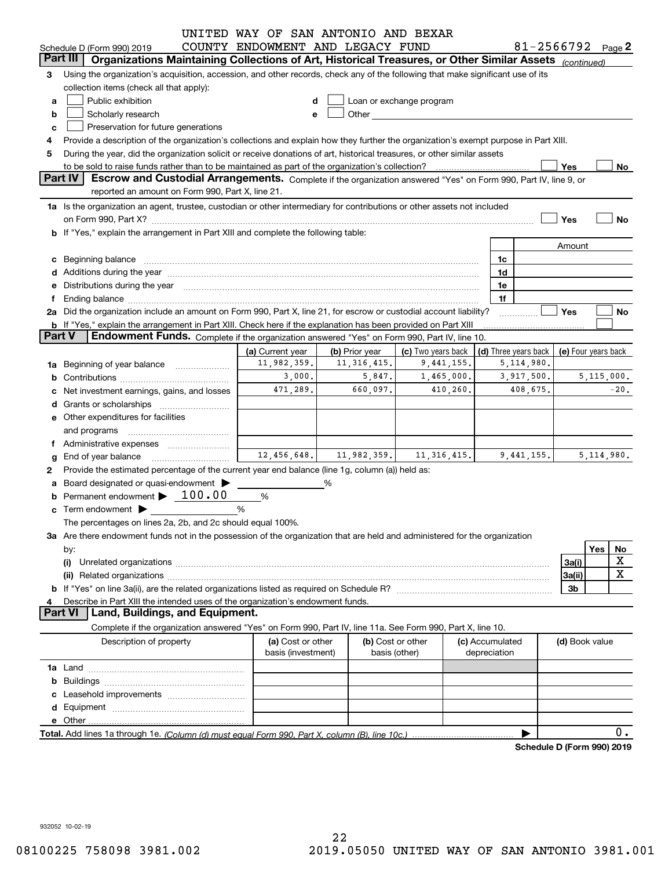|               |                                                                                                                                                                                                                                | UNITED WAY OF SAN ANTONIO AND BEXAR |                                                                                                                                                                                                                                      |                          |  |                 |                                              |                |     |              |  |  |  |
|---------------|--------------------------------------------------------------------------------------------------------------------------------------------------------------------------------------------------------------------------------|-------------------------------------|--------------------------------------------------------------------------------------------------------------------------------------------------------------------------------------------------------------------------------------|--------------------------|--|-----------------|----------------------------------------------|----------------|-----|--------------|--|--|--|
|               | Schedule D (Form 990) 2019                                                                                                                                                                                                     | COUNTY ENDOWMENT AND LEGACY FUND    |                                                                                                                                                                                                                                      |                          |  |                 | 81-2566792 $_{Page}$ 2                       |                |     |              |  |  |  |
|               | Organizations Maintaining Collections of Art, Historical Treasures, or Other Similar Assets (continued)<br>Part III                                                                                                            |                                     |                                                                                                                                                                                                                                      |                          |  |                 |                                              |                |     |              |  |  |  |
| 3             | Using the organization's acquisition, accession, and other records, check any of the following that make significant use of its                                                                                                |                                     |                                                                                                                                                                                                                                      |                          |  |                 |                                              |                |     |              |  |  |  |
|               | collection items (check all that apply):                                                                                                                                                                                       |                                     |                                                                                                                                                                                                                                      |                          |  |                 |                                              |                |     |              |  |  |  |
| a             | Public exhibition                                                                                                                                                                                                              | d                                   |                                                                                                                                                                                                                                      | Loan or exchange program |  |                 |                                              |                |     |              |  |  |  |
| b             | Scholarly research                                                                                                                                                                                                             | е                                   | Other <b>Communist Communist Communist Communist Communist Communist Communist Communist Communist Communist Communist Communist Communist Communist Communist Communist Communist Communist Communist Communist Communist Commu</b> |                          |  |                 |                                              |                |     |              |  |  |  |
| c             | Preservation for future generations                                                                                                                                                                                            |                                     |                                                                                                                                                                                                                                      |                          |  |                 |                                              |                |     |              |  |  |  |
| 4             | Provide a description of the organization's collections and explain how they further the organization's exempt purpose in Part XIII.                                                                                           |                                     |                                                                                                                                                                                                                                      |                          |  |                 |                                              |                |     |              |  |  |  |
| 5             | During the year, did the organization solicit or receive donations of art, historical treasures, or other similar assets                                                                                                       |                                     |                                                                                                                                                                                                                                      |                          |  |                 |                                              |                |     |              |  |  |  |
|               | to be sold to raise funds rather than to be maintained as part of the organization's collection?                                                                                                                               |                                     |                                                                                                                                                                                                                                      |                          |  |                 |                                              | Yes            |     | No           |  |  |  |
|               | <b>Part IV</b><br>Escrow and Custodial Arrangements. Complete if the organization answered "Yes" on Form 990, Part IV, line 9, or                                                                                              |                                     |                                                                                                                                                                                                                                      |                          |  |                 |                                              |                |     |              |  |  |  |
|               | reported an amount on Form 990, Part X, line 21.                                                                                                                                                                               |                                     |                                                                                                                                                                                                                                      |                          |  |                 |                                              |                |     |              |  |  |  |
|               | 1a Is the organization an agent, trustee, custodian or other intermediary for contributions or other assets not included                                                                                                       |                                     |                                                                                                                                                                                                                                      |                          |  |                 |                                              |                |     |              |  |  |  |
|               | on Form 990, Part X? [11] The Content of The Content of The Content of The Content of The Content of The Content of The Content of The Content of The Content of The Content of The Content of The Content of The Content of T |                                     |                                                                                                                                                                                                                                      |                          |  |                 |                                              | Yes            |     | <b>No</b>    |  |  |  |
|               | b If "Yes," explain the arrangement in Part XIII and complete the following table:                                                                                                                                             |                                     |                                                                                                                                                                                                                                      |                          |  |                 |                                              |                |     |              |  |  |  |
|               |                                                                                                                                                                                                                                |                                     |                                                                                                                                                                                                                                      |                          |  |                 |                                              | Amount         |     |              |  |  |  |
| c             | Beginning balance                                                                                                                                                                                                              |                                     |                                                                                                                                                                                                                                      |                          |  | 1c              |                                              |                |     |              |  |  |  |
|               |                                                                                                                                                                                                                                |                                     |                                                                                                                                                                                                                                      |                          |  | 1d              |                                              |                |     |              |  |  |  |
| е             | Distributions during the year manufactured and continuum and the year manufactured and the year manufactured and the year manufactured and the year manufactured and the year manufactured and the year manufactured and the y |                                     |                                                                                                                                                                                                                                      |                          |  | 1e              |                                              |                |     |              |  |  |  |
| f             |                                                                                                                                                                                                                                |                                     |                                                                                                                                                                                                                                      |                          |  | 1f              |                                              |                |     |              |  |  |  |
|               | 2a Did the organization include an amount on Form 990, Part X, line 21, for escrow or custodial account liability?                                                                                                             |                                     |                                                                                                                                                                                                                                      |                          |  |                 |                                              | Yes            |     | No           |  |  |  |
|               | b If "Yes," explain the arrangement in Part XIII. Check here if the explanation has been provided on Part XIII                                                                                                                 |                                     |                                                                                                                                                                                                                                      |                          |  |                 |                                              |                |     |              |  |  |  |
| <b>Part V</b> | Endowment Funds. Complete if the organization answered "Yes" on Form 990, Part IV, line 10.                                                                                                                                    |                                     |                                                                                                                                                                                                                                      |                          |  |                 |                                              |                |     |              |  |  |  |
|               |                                                                                                                                                                                                                                | (a) Current year                    | (b) Prior year                                                                                                                                                                                                                       | (c) Two years back       |  |                 | (d) Three years back $ $ (e) Four years back |                |     |              |  |  |  |
|               | 1a Beginning of year balance                                                                                                                                                                                                   | 11,982,359.                         | 11, 316, 415.                                                                                                                                                                                                                        | 9,441,155.               |  |                 | 5, 114, 980.                                 |                |     |              |  |  |  |
| b             |                                                                                                                                                                                                                                | 3,000.                              | 5,847.                                                                                                                                                                                                                               | 1,465,000.               |  |                 | 3,917,500.                                   | 5,115,000.     |     |              |  |  |  |
| с             | Net investment earnings, gains, and losses                                                                                                                                                                                     | 471,289.                            | 660,097.                                                                                                                                                                                                                             | 410,260.                 |  |                 | 408,675.                                     |                |     | $-20.$       |  |  |  |
| d             |                                                                                                                                                                                                                                |                                     |                                                                                                                                                                                                                                      |                          |  |                 |                                              |                |     |              |  |  |  |
|               |                                                                                                                                                                                                                                |                                     |                                                                                                                                                                                                                                      |                          |  |                 |                                              |                |     |              |  |  |  |
|               | <b>e</b> Other expenditures for facilities                                                                                                                                                                                     |                                     |                                                                                                                                                                                                                                      |                          |  |                 |                                              |                |     |              |  |  |  |
|               | and programs                                                                                                                                                                                                                   |                                     |                                                                                                                                                                                                                                      |                          |  |                 |                                              |                |     |              |  |  |  |
| Ť.            | Administrative expenses                                                                                                                                                                                                        |                                     | $12,456,648.$ 11,982,359.                                                                                                                                                                                                            | 11, 316, 415.            |  |                 | 9.441.155.                                   |                |     | 5, 114, 980. |  |  |  |
| g             | End of year balance                                                                                                                                                                                                            |                                     |                                                                                                                                                                                                                                      |                          |  |                 |                                              |                |     |              |  |  |  |
| 2             | Provide the estimated percentage of the current year end balance (line 1g, column (a)) held as:                                                                                                                                |                                     |                                                                                                                                                                                                                                      |                          |  |                 |                                              |                |     |              |  |  |  |
|               | a Board designated or quasi-endowment >                                                                                                                                                                                        |                                     | %                                                                                                                                                                                                                                    |                          |  |                 |                                              |                |     |              |  |  |  |
| b             | Permanent endowment > 100.00                                                                                                                                                                                                   | %                                   |                                                                                                                                                                                                                                      |                          |  |                 |                                              |                |     |              |  |  |  |
| c             |                                                                                                                                                                                                                                | %                                   |                                                                                                                                                                                                                                      |                          |  |                 |                                              |                |     |              |  |  |  |
|               | The percentages on lines 2a, 2b, and 2c should equal 100%.                                                                                                                                                                     |                                     |                                                                                                                                                                                                                                      |                          |  |                 |                                              |                |     |              |  |  |  |
|               | 3a Are there endowment funds not in the possession of the organization that are held and administered for the organization                                                                                                     |                                     |                                                                                                                                                                                                                                      |                          |  |                 |                                              |                |     |              |  |  |  |
|               | by:                                                                                                                                                                                                                            |                                     |                                                                                                                                                                                                                                      |                          |  |                 |                                              |                | Yes | No           |  |  |  |
|               | (i)                                                                                                                                                                                                                            |                                     |                                                                                                                                                                                                                                      |                          |  |                 |                                              | 3a(i)          |     | X            |  |  |  |
|               |                                                                                                                                                                                                                                |                                     |                                                                                                                                                                                                                                      |                          |  |                 |                                              | 3a(ii)         |     | X            |  |  |  |
|               |                                                                                                                                                                                                                                |                                     |                                                                                                                                                                                                                                      |                          |  |                 |                                              | 3b             |     |              |  |  |  |
| 4             | Describe in Part XIII the intended uses of the organization's endowment funds.                                                                                                                                                 |                                     |                                                                                                                                                                                                                                      |                          |  |                 |                                              |                |     |              |  |  |  |
|               | Land, Buildings, and Equipment.<br><b>Part VI</b>                                                                                                                                                                              |                                     |                                                                                                                                                                                                                                      |                          |  |                 |                                              |                |     |              |  |  |  |
|               | Complete if the organization answered "Yes" on Form 990, Part IV, line 11a. See Form 990, Part X, line 10.                                                                                                                     |                                     |                                                                                                                                                                                                                                      |                          |  |                 |                                              |                |     |              |  |  |  |
|               | Description of property                                                                                                                                                                                                        | (a) Cost or other                   |                                                                                                                                                                                                                                      | (b) Cost or other        |  | (c) Accumulated |                                              | (d) Book value |     |              |  |  |  |
|               |                                                                                                                                                                                                                                | basis (investment)                  |                                                                                                                                                                                                                                      | basis (other)            |  | depreciation    |                                              |                |     |              |  |  |  |
|               |                                                                                                                                                                                                                                |                                     |                                                                                                                                                                                                                                      |                          |  |                 |                                              |                |     |              |  |  |  |
|               |                                                                                                                                                                                                                                |                                     |                                                                                                                                                                                                                                      |                          |  |                 |                                              |                |     |              |  |  |  |
|               |                                                                                                                                                                                                                                |                                     |                                                                                                                                                                                                                                      |                          |  |                 |                                              |                |     |              |  |  |  |
|               |                                                                                                                                                                                                                                |                                     |                                                                                                                                                                                                                                      |                          |  |                 |                                              |                |     |              |  |  |  |
|               |                                                                                                                                                                                                                                |                                     |                                                                                                                                                                                                                                      |                          |  |                 |                                              |                |     |              |  |  |  |
|               |                                                                                                                                                                                                                                |                                     |                                                                                                                                                                                                                                      |                          |  |                 |                                              |                |     | 0.           |  |  |  |
|               |                                                                                                                                                                                                                                |                                     |                                                                                                                                                                                                                                      |                          |  |                 | Schedule D (Form 990) 2019                   |                |     |              |  |  |  |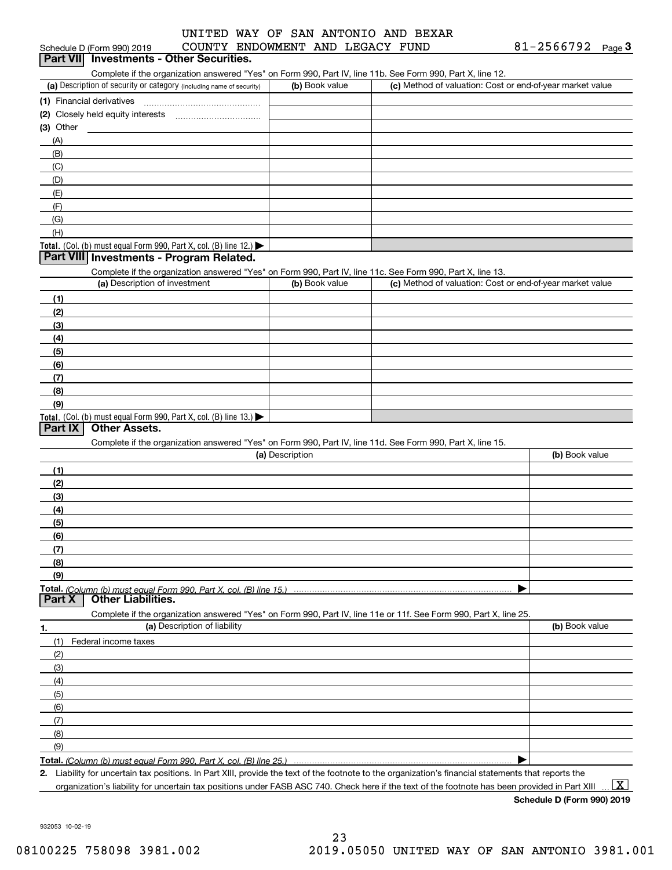# Schedule D (Form 990) 2019 COUNTY ENDOWMENT AND LEGACY FUND 81-2566792 <sub>Page</sub> 3<br>| **Part VII** | Investments - Other Securities. UNITED WAY OF SAN ANTONIO AND BEXAR

Complete if the organization answered "Yes" on Form 990, Part IV, line 11b. See Form 990, Part X, line 12.

| (a) Description of security or category (including name of security)                          | (b) Book value | (c) Method of valuation: Cost or end-of-year market value |
|-----------------------------------------------------------------------------------------------|----------------|-----------------------------------------------------------|
| (1) Financial derivatives                                                                     |                |                                                           |
| (2) Closely held equity interests                                                             |                |                                                           |
| $(3)$ Other                                                                                   |                |                                                           |
| (A)                                                                                           |                |                                                           |
| (B)                                                                                           |                |                                                           |
| (C)                                                                                           |                |                                                           |
| (D)                                                                                           |                |                                                           |
| (E)                                                                                           |                |                                                           |
| (F)                                                                                           |                |                                                           |
| (G)                                                                                           |                |                                                           |
| (H)                                                                                           |                |                                                           |
| <b>Total.</b> (Col. (b) must equal Form 990, Part X, col. (B) line 12.) $\blacktriangleright$ |                |                                                           |

#### **Part VIII Investments - Program Related.**

Complete if the organization answered "Yes" on Form 990, Part IV, line 11c. See Form 990, Part X, line 13.

| (a) Description of investment                                                          | (b) Book value | (c) Method of valuation: Cost or end-of-year market value |
|----------------------------------------------------------------------------------------|----------------|-----------------------------------------------------------|
| (1)                                                                                    |                |                                                           |
| (2)                                                                                    |                |                                                           |
| $\frac{1}{2}$                                                                          |                |                                                           |
| (4)                                                                                    |                |                                                           |
| $\frac{1}{2}$                                                                          |                |                                                           |
| (6)                                                                                    |                |                                                           |
| $\sqrt{(7)}$                                                                           |                |                                                           |
| (8)                                                                                    |                |                                                           |
| (9)                                                                                    |                |                                                           |
| Total. (Col. (b) must equal Form 990, Part X, col. (B) line 13.) $\blacktriangleright$ |                |                                                           |

#### **Part IX Other Assets.**

Complete if the organization answered "Yes" on Form 990, Part IV, line 11d. See Form 990, Part X, line 15.

| (a) Description                                                                                                   | (b) Book value |
|-------------------------------------------------------------------------------------------------------------------|----------------|
| (1)                                                                                                               |                |
| (2)                                                                                                               |                |
| $\frac{1}{2}$                                                                                                     |                |
| (4)                                                                                                               |                |
| (5)                                                                                                               |                |
| (6)                                                                                                               |                |
| (7)                                                                                                               |                |
| (8)                                                                                                               |                |
| (9)                                                                                                               |                |
|                                                                                                                   |                |
| Part X<br><b>Other Liabilities.</b>                                                                               |                |
| Complete if the organization answered "Yes" on Form 990, Part IV, line 11e or 11f. See Form 990, Part X, line 25. |                |

**1.(a)** Description of liability **Book value** Book value Book value Book value Book value (1)(2)(3)(4)(5) (6)(7)(8)(9)Federal income taxes  $\blacktriangleright$ 

**Total.**  *(Column (b) must equal Form 990, Part X, col. (B) line 25.)* 

**2.**Liability for uncertain tax positions. In Part XIII, provide the text of the footnote to the organization's financial statements that reports the organization's liability for uncertain tax positions under FASB ASC 740. Check here if the text of the footnote has been provided in Part XIII

 $\boxed{\text{X}}$ 

**Schedule D (Form 990) 2019**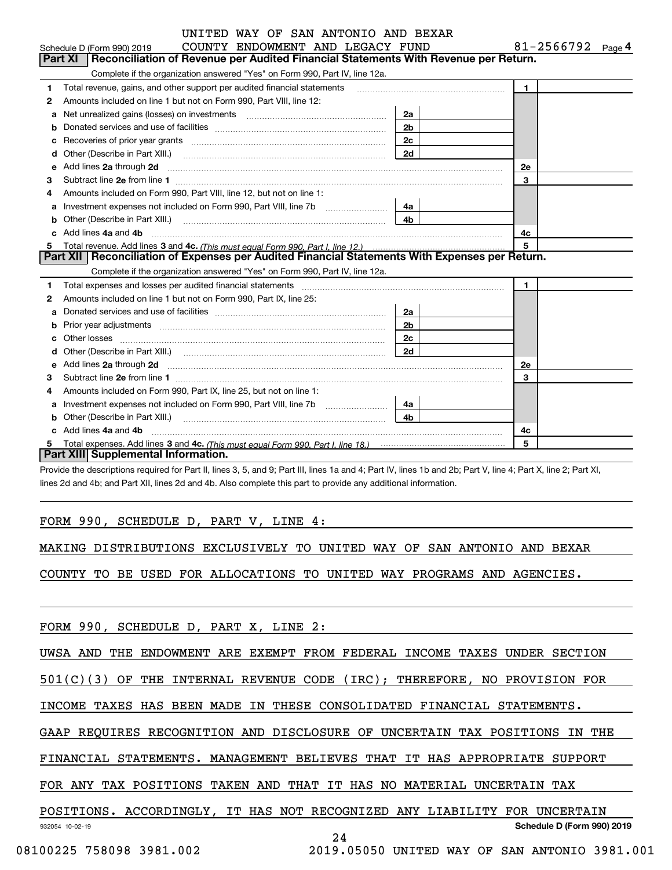|   | UNITED WAY OF SAN ANTONIO AND BEXAR                                                                                                                                                                                                  |                |                        |
|---|--------------------------------------------------------------------------------------------------------------------------------------------------------------------------------------------------------------------------------------|----------------|------------------------|
|   | COUNTY ENDOWMENT AND LEGACY FUND<br>Schedule D (Form 990) 2019                                                                                                                                                                       |                | 81-2566792 $_{Page}$ 4 |
|   | Reconciliation of Revenue per Audited Financial Statements With Revenue per Return.<br>Part XI                                                                                                                                       |                |                        |
|   | Complete if the organization answered "Yes" on Form 990, Part IV, line 12a.                                                                                                                                                          |                |                        |
| 1 | Total revenue, gains, and other support per audited financial statements                                                                                                                                                             |                | $\blacksquare$         |
| 2 | Amounts included on line 1 but not on Form 990, Part VIII, line 12:                                                                                                                                                                  |                |                        |
| a | Net unrealized gains (losses) on investments [11] matter contracts and the unrealized gains (losses) on investments                                                                                                                  | 2a             |                        |
| b |                                                                                                                                                                                                                                      | 2 <sub>b</sub> |                        |
|   |                                                                                                                                                                                                                                      | 2 <sub>c</sub> |                        |
| d |                                                                                                                                                                                                                                      | 2d             |                        |
| е | Add lines 2a through 2d                                                                                                                                                                                                              |                | <b>2e</b>              |
| 3 |                                                                                                                                                                                                                                      |                | 3                      |
| 4 | Amounts included on Form 990, Part VIII, line 12, but not on line 1:                                                                                                                                                                 |                |                        |
| a |                                                                                                                                                                                                                                      | 4а             |                        |
| b |                                                                                                                                                                                                                                      | 4b.            |                        |
|   | Add lines 4a and 4b                                                                                                                                                                                                                  |                | 4c                     |
| 5 |                                                                                                                                                                                                                                      |                |                        |
|   | Part XII   Reconciliation of Expenses per Audited Financial Statements With Expenses per Return.                                                                                                                                     |                |                        |
|   | Complete if the organization answered "Yes" on Form 990, Part IV, line 12a.                                                                                                                                                          |                |                        |
| 1 |                                                                                                                                                                                                                                      |                | $\blacksquare$         |
| 2 | Amounts included on line 1 but not on Form 990, Part IX, line 25:                                                                                                                                                                    |                |                        |
| a |                                                                                                                                                                                                                                      | 2a             |                        |
|   | Prior year adjustments www.communication.com/www.communication.com/www.com/                                                                                                                                                          | 2 <sub>b</sub> |                        |
|   | Other losses <b>with a contract the contract of the contract of the contract of the contract of the contract of the contract of the contract of the contract of the contract of the contract of the contract of the contract of </b> | 2c             |                        |
| d |                                                                                                                                                                                                                                      | 2d             |                        |
| е | Add lines 2a through 2d <b>contained a contained a contained a contained a contained a contained a contained a contained a contact a contact a contact a contact a contact a contact a contact a contact a contact a contact a c</b> |                | 2e                     |
| З |                                                                                                                                                                                                                                      |                | 3                      |
| 4 | Amounts included on Form 990, Part IX, line 25, but not on line 1:                                                                                                                                                                   |                |                        |
| a |                                                                                                                                                                                                                                      | 4a             |                        |
|   |                                                                                                                                                                                                                                      | 4 <sub>h</sub> |                        |
|   | Add lines 4a and 4b                                                                                                                                                                                                                  |                | 4c                     |
|   |                                                                                                                                                                                                                                      |                | 5                      |
|   | Part XIII Supplemental Information.                                                                                                                                                                                                  |                |                        |

Provide the descriptions required for Part II, lines 3, 5, and 9; Part III, lines 1a and 4; Part IV, lines 1b and 2b; Part V, line 4; Part X, line 2; Part XI, lines 2d and 4b; and Part XII, lines 2d and 4b. Also complete this part to provide any additional information.

#### FORM 990, SCHEDULE D, PART V, LINE 4:

MAKING DISTRIBUTIONS EXCLUSIVELY TO UNITED WAY OF SAN ANTONIO AND BEXAR

COUNTY TO BE USED FOR ALLOCATIONS TO UNITED WAY PROGRAMS AND AGENCIES.

FORM 990, SCHEDULE D, PART X, LINE 2:

UWSA AND THE ENDOWMENT ARE EXEMPT FROM FEDERAL INCOME TAXES UNDER SECTION

501(C)(3) OF THE INTERNAL REVENUE CODE (IRC); THEREFORE, NO PROVISION FOR

INCOME TAXES HAS BEEN MADE IN THESE CONSOLIDATED FINANCIAL STATEMENTS.

GAAP REQUIRES RECOGNITION AND DISCLOSURE OF UNCERTAIN TAX POSITIONS IN THE

FINANCIAL STATEMENTS. MANAGEMENT BELIEVES THAT IT HAS APPROPRIATE SUPPORT

FOR ANY TAX POSITIONS TAKEN AND THAT IT HAS NO MATERIAL UNCERTAIN TAX

#### 932054 10-02-19 **Schedule D (Form 990) 2019** POSITIONS. ACCORDINGLY, IT HAS NOT RECOGNIZED ANY LIABILITY FOR UNCERTAIN

24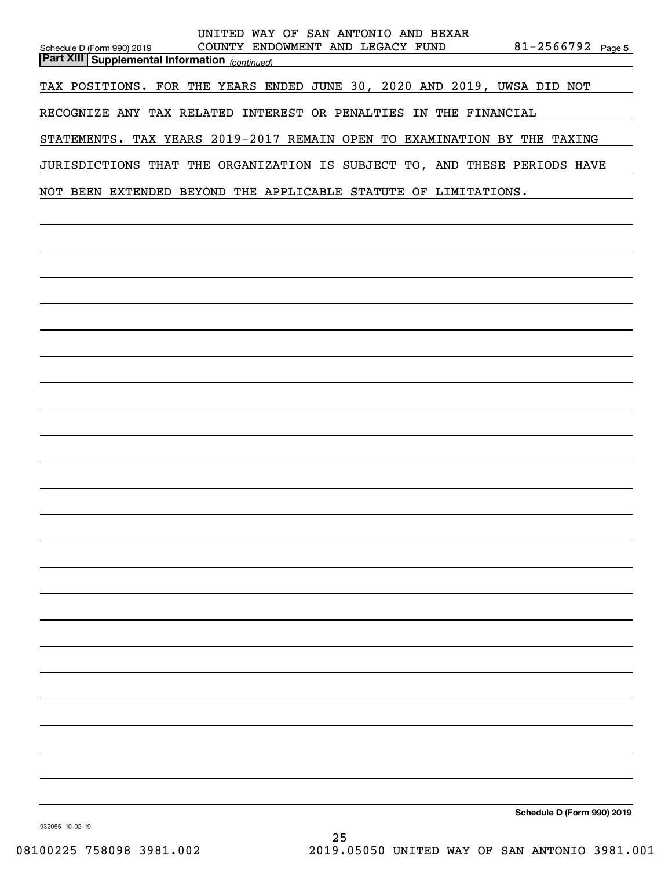| UNITED WAY OF SAN ANTONIO AND BEXAR<br>COUNTY ENDOWMENT AND LEGACY FUND<br>$81 - 2566792$ Page 5<br>Schedule D (Form 990) 2019<br><b>Part XIII</b> Supplemental Information (continued) |
|-----------------------------------------------------------------------------------------------------------------------------------------------------------------------------------------|
| TAX POSITIONS. FOR THE YEARS ENDED JUNE 30, 2020 AND 2019, UWSA DID NOT                                                                                                                 |
| RECOGNIZE ANY TAX RELATED INTEREST OR PENALTIES IN THE FINANCIAL                                                                                                                        |
| STATEMENTS. TAX YEARS 2019-2017 REMAIN OPEN TO EXAMINATION BY THE TAXING                                                                                                                |
| JURISDICTIONS THAT THE ORGANIZATION IS SUBJECT TO, AND THESE PERIODS HAVE                                                                                                               |
| NOT BEEN EXTENDED BEYOND THE APPLICABLE STATUTE OF LIMITATIONS.                                                                                                                         |
|                                                                                                                                                                                         |
|                                                                                                                                                                                         |
|                                                                                                                                                                                         |
|                                                                                                                                                                                         |
|                                                                                                                                                                                         |
|                                                                                                                                                                                         |
|                                                                                                                                                                                         |
|                                                                                                                                                                                         |
|                                                                                                                                                                                         |
|                                                                                                                                                                                         |
|                                                                                                                                                                                         |
|                                                                                                                                                                                         |
|                                                                                                                                                                                         |
|                                                                                                                                                                                         |
|                                                                                                                                                                                         |
|                                                                                                                                                                                         |
|                                                                                                                                                                                         |
|                                                                                                                                                                                         |
|                                                                                                                                                                                         |
|                                                                                                                                                                                         |
|                                                                                                                                                                                         |
|                                                                                                                                                                                         |
|                                                                                                                                                                                         |
| Schedule D (Form 990) 2019                                                                                                                                                              |

932055 10-02-19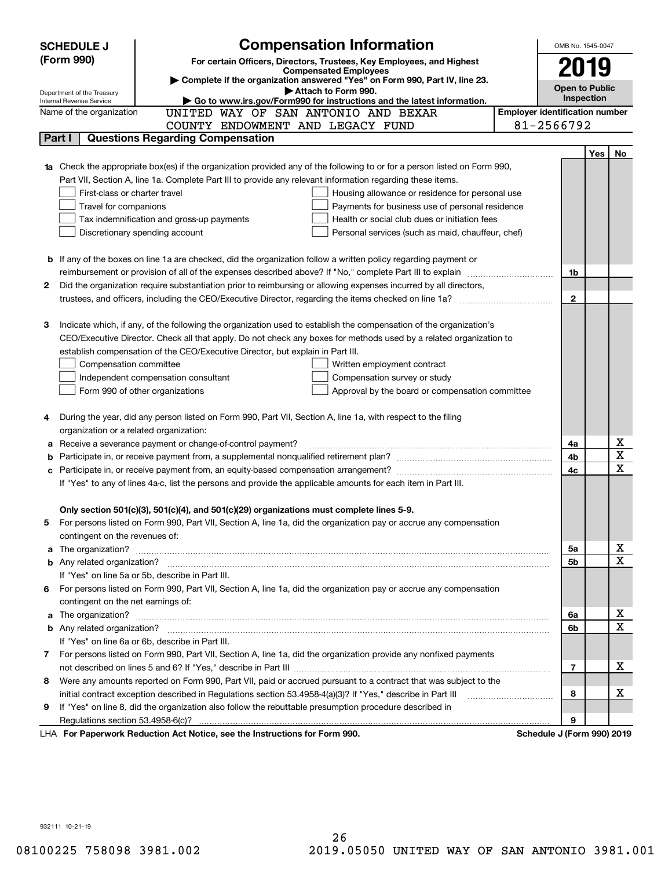|    | <b>Compensation Information</b><br><b>SCHEDULE J</b>                                                                                                                                                                                 |                                       | OMB No. 1545-0047          |            |                         |  |  |
|----|--------------------------------------------------------------------------------------------------------------------------------------------------------------------------------------------------------------------------------------|---------------------------------------|----------------------------|------------|-------------------------|--|--|
|    | (Form 990)<br>For certain Officers, Directors, Trustees, Key Employees, and Highest                                                                                                                                                  |                                       |                            |            |                         |  |  |
|    | <b>Compensated Employees</b>                                                                                                                                                                                                         |                                       | 2019                       |            |                         |  |  |
|    | Complete if the organization answered "Yes" on Form 990, Part IV, line 23.<br>Attach to Form 990.                                                                                                                                    |                                       | <b>Open to Public</b>      |            |                         |  |  |
|    | Department of the Treasury<br>Go to www.irs.gov/Form990 for instructions and the latest information.<br>Internal Revenue Service                                                                                                     |                                       | Inspection                 |            |                         |  |  |
|    | UNITED WAY OF SAN ANTONIO AND BEXAR<br>Name of the organization                                                                                                                                                                      | <b>Employer identification number</b> |                            |            |                         |  |  |
|    | COUNTY ENDOWMENT AND LEGACY FUND                                                                                                                                                                                                     |                                       | 81-2566792                 |            |                         |  |  |
|    | <b>Questions Regarding Compensation</b><br>Part I                                                                                                                                                                                    |                                       |                            |            |                         |  |  |
|    |                                                                                                                                                                                                                                      |                                       |                            | <b>Yes</b> | No                      |  |  |
|    | <b>1a</b> Check the appropriate box(es) if the organization provided any of the following to or for a person listed on Form 990,                                                                                                     |                                       |                            |            |                         |  |  |
|    | Part VII, Section A, line 1a. Complete Part III to provide any relevant information regarding these items.                                                                                                                           |                                       |                            |            |                         |  |  |
|    | First-class or charter travel<br>Housing allowance or residence for personal use                                                                                                                                                     |                                       |                            |            |                         |  |  |
|    | Travel for companions<br>Payments for business use of personal residence                                                                                                                                                             |                                       |                            |            |                         |  |  |
|    | Tax indemnification and gross-up payments<br>Health or social club dues or initiation fees                                                                                                                                           |                                       |                            |            |                         |  |  |
|    | Discretionary spending account<br>Personal services (such as maid, chauffeur, chef)                                                                                                                                                  |                                       |                            |            |                         |  |  |
|    |                                                                                                                                                                                                                                      |                                       |                            |            |                         |  |  |
|    | <b>b</b> If any of the boxes on line 1a are checked, did the organization follow a written policy regarding payment or                                                                                                               |                                       |                            |            |                         |  |  |
|    | reimbursement or provision of all of the expenses described above? If "No," complete Part III to explain                                                                                                                             |                                       | 1b                         |            |                         |  |  |
| 2  | Did the organization require substantiation prior to reimbursing or allowing expenses incurred by all directors,                                                                                                                     |                                       |                            |            |                         |  |  |
|    |                                                                                                                                                                                                                                      |                                       | $\mathbf{2}$               |            |                         |  |  |
|    |                                                                                                                                                                                                                                      |                                       |                            |            |                         |  |  |
| з  | Indicate which, if any, of the following the organization used to establish the compensation of the organization's                                                                                                                   |                                       |                            |            |                         |  |  |
|    | CEO/Executive Director. Check all that apply. Do not check any boxes for methods used by a related organization to                                                                                                                   |                                       |                            |            |                         |  |  |
|    | establish compensation of the CEO/Executive Director, but explain in Part III.                                                                                                                                                       |                                       |                            |            |                         |  |  |
|    | Compensation committee<br>Written employment contract                                                                                                                                                                                |                                       |                            |            |                         |  |  |
|    | Compensation survey or study<br>Independent compensation consultant                                                                                                                                                                  |                                       |                            |            |                         |  |  |
|    | Form 990 of other organizations<br>Approval by the board or compensation committee                                                                                                                                                   |                                       |                            |            |                         |  |  |
|    |                                                                                                                                                                                                                                      |                                       |                            |            |                         |  |  |
|    | During the year, did any person listed on Form 990, Part VII, Section A, line 1a, with respect to the filing                                                                                                                         |                                       |                            |            |                         |  |  |
|    | organization or a related organization:                                                                                                                                                                                              |                                       |                            |            | x                       |  |  |
|    | Receive a severance payment or change-of-control payment?                                                                                                                                                                            |                                       | 4a                         |            | $\overline{\mathbf{x}}$ |  |  |
|    | Participate in, or receive payment from, an equity-based compensation arrangement?                                                                                                                                                   |                                       | 4b<br>4c                   |            | $\overline{\mathbf{x}}$ |  |  |
|    | If "Yes" to any of lines 4a-c, list the persons and provide the applicable amounts for each item in Part III.                                                                                                                        |                                       |                            |            |                         |  |  |
|    |                                                                                                                                                                                                                                      |                                       |                            |            |                         |  |  |
|    | Only section 501(c)(3), 501(c)(4), and 501(c)(29) organizations must complete lines 5-9.                                                                                                                                             |                                       |                            |            |                         |  |  |
| 5. | For persons listed on Form 990, Part VII, Section A, line 1a, did the organization pay or accrue any compensation                                                                                                                    |                                       |                            |            |                         |  |  |
|    | contingent on the revenues of:                                                                                                                                                                                                       |                                       |                            |            |                         |  |  |
|    | a The organization? <b>Entitled Strategies and Strategies and Strategies and Strategies and Strategies and Strategies and Strategies and Strategies and Strategies and Strategies and Strategies and Strategies and Strategies a</b> |                                       | 5a                         |            | <u>x</u>                |  |  |
|    |                                                                                                                                                                                                                                      |                                       | 5b                         |            | $\overline{\mathbf{x}}$ |  |  |
|    | If "Yes" on line 5a or 5b, describe in Part III.                                                                                                                                                                                     |                                       |                            |            |                         |  |  |
| 6. | For persons listed on Form 990, Part VII, Section A, line 1a, did the organization pay or accrue any compensation                                                                                                                    |                                       |                            |            |                         |  |  |
|    | contingent on the net earnings of:                                                                                                                                                                                                   |                                       |                            |            |                         |  |  |
|    |                                                                                                                                                                                                                                      |                                       | 6a                         |            | <u>x</u>                |  |  |
|    |                                                                                                                                                                                                                                      |                                       | 6b                         |            | $\overline{\mathbf{x}}$ |  |  |
|    | If "Yes" on line 6a or 6b, describe in Part III.                                                                                                                                                                                     |                                       |                            |            |                         |  |  |
|    | 7 For persons listed on Form 990, Part VII, Section A, line 1a, did the organization provide any nonfixed payments                                                                                                                   |                                       |                            |            |                         |  |  |
|    |                                                                                                                                                                                                                                      |                                       | 7                          |            | х                       |  |  |
| 8  | Were any amounts reported on Form 990, Part VII, paid or accrued pursuant to a contract that was subject to the                                                                                                                      |                                       |                            |            |                         |  |  |
|    |                                                                                                                                                                                                                                      |                                       | 8                          |            | х                       |  |  |
| 9  | If "Yes" on line 8, did the organization also follow the rebuttable presumption procedure described in                                                                                                                               |                                       |                            |            |                         |  |  |
|    |                                                                                                                                                                                                                                      |                                       | 9                          |            |                         |  |  |
|    | LHA For Paperwork Reduction Act Notice, see the Instructions for Form 990.                                                                                                                                                           |                                       | Schedule J (Form 990) 2019 |            |                         |  |  |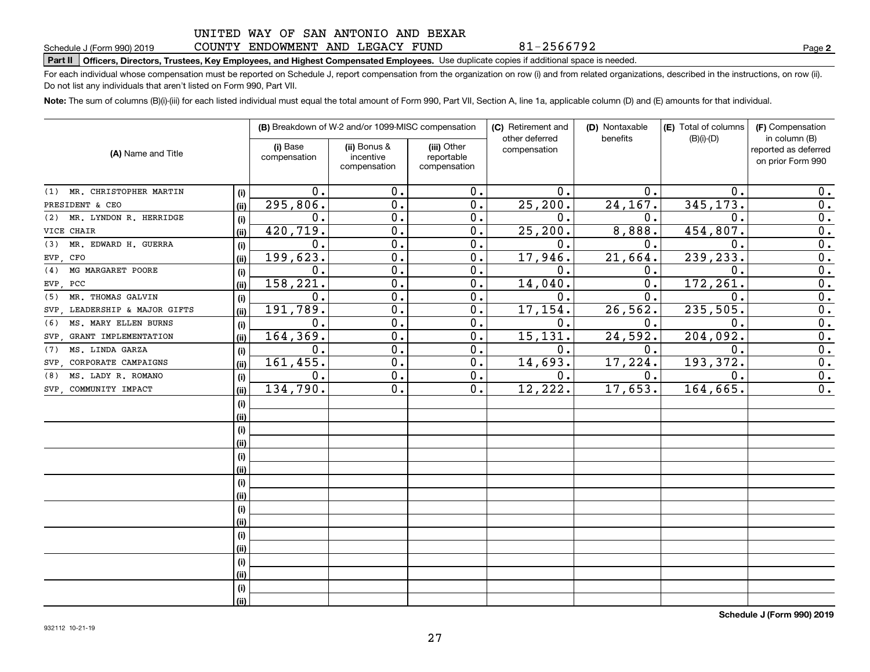### COUNTY ENDOWMENT AND LEGACY FUND

81-2566792

**2**

# **Part II Officers, Directors, Trustees, Key Employees, and Highest Compensated Employees.**  Schedule J (Form 990) 2019 Page Use duplicate copies if additional space is needed.

For each individual whose compensation must be reported on Schedule J, report compensation from the organization on row (i) and from related organizations, described in the instructions, on row (ii). Do not list any individuals that aren't listed on Form 990, Part VII.

**Note:**  The sum of columns (B)(i)-(iii) for each listed individual must equal the total amount of Form 990, Part VII, Section A, line 1a, applicable column (D) and (E) amounts for that individual.

|                               |      |                          | (B) Breakdown of W-2 and/or 1099-MISC compensation |                           | (C) Retirement and<br>other deferred | (D) Nontaxable<br>benefits | (E) Total of columns<br>$(B)(i)-(D)$ | (F) Compensation<br>in column (B) |
|-------------------------------|------|--------------------------|----------------------------------------------------|---------------------------|--------------------------------------|----------------------------|--------------------------------------|-----------------------------------|
| (A) Name and Title            |      | (i) Base<br>compensation | (ii) Bonus &<br>incentive                          | (iii) Other<br>reportable | compensation                         |                            |                                      | reported as deferred              |
|                               |      |                          | compensation                                       | compensation              |                                      |                            |                                      | on prior Form 990                 |
| (1) MR. CHRISTOPHER MARTIN    | (i)  | 0.                       | 0.                                                 | 0.                        | $\mathbf 0$ .                        | о.                         | 0.                                   | 0.                                |
| PRESIDENT & CEO               | (ii) | 295,806.                 | 0.                                                 | 0.                        | 25, 200.                             | 24,167.                    | 345,173.                             | 0.                                |
| MR. LYNDON R. HERRIDGE<br>(2) | (i)  | 0.                       | 0.                                                 | 0.                        | 0.                                   | 0.                         | $\mathbf 0$ .                        | 0.                                |
| VICE CHAIR                    | (ii) | 420,719.                 | 0.                                                 | 0.                        | 25, 200.                             | 8,888.                     | 454,807.                             | 0.                                |
| MR. EDWARD H. GUERRA<br>(3)   | (i)  | 0.                       | $\overline{0}$ .                                   | 0.                        | 0.                                   | 0.                         | $\mathbf 0$ .                        | $\overline{0}$ .                  |
| EVP CFO                       | (ii) | 199, 623.                | $\overline{0}$ .                                   | 0.                        | 17,946.                              | 21,664.                    | 239,233.                             | $\overline{0}$ .                  |
| MG MARGARET POORE<br>(4)      | (i)  | 0.                       | 0.                                                 | 0.                        | 0.                                   | 0.                         | $\mathbf{0}$                         | $\overline{0}$ .                  |
| EVP, PCC                      | (ii) | 158,221.                 | $\mathbf 0$ .                                      | 0.                        | 14,040.                              | 0.                         | 172,261                              | $\overline{0}$ .                  |
| MR. THOMAS GALVIN<br>(5)      | (i)  | 0.                       | $\mathbf 0$ .                                      | 0.                        | 0.                                   | $\mathbf 0$ .              | $\mathbf 0$ .                        | $\overline{0}$ .                  |
| SVP, LEADERSHIP & MAJOR GIFTS | (ii) | 191,789.                 | $\mathbf 0$ .                                      | 0.                        | 17,154.                              | 26, 562.                   | 235,505                              | $\overline{0}$ .                  |
| MS. MARY ELLEN BURNS<br>(6)   | (i)  | 0.                       | $\mathbf 0$ .                                      | 0.                        | 0.                                   | 0.                         | $\mathbf 0$                          | $\overline{0}$ .                  |
| SVP, GRANT IMPLEMENTATION     | (ii) | 164,369.                 | $\mathbf 0$ .                                      | 0.                        | 15, 131.                             | 24,592.                    | 204, 092.                            | 0.                                |
| MS. LINDA GARZA<br>(7)        | (i)  | 0.                       | $\mathbf 0$ .                                      | 0.                        | 0.                                   | 0.                         | $\mathbf 0$ .                        | 0.                                |
| SVP CORPORATE CAMPAIGNS       | (ii) | 161,455.                 | 0.                                                 | 0.                        | 14,693.                              | 17,224.                    | 193, 372.                            | 0.                                |
| MS. LADY R. ROMANO<br>(8)     | (i)  | $\overline{0}$ .         | $\overline{0}$ .                                   | 0.                        | $\overline{0}$ .                     | 0.                         | $\overline{0}$ .                     | $\overline{0}$ .                  |
| SVP COMMUNITY IMPACT          | (ii) | 134,790.                 | $\overline{0}$ .                                   | 0.                        | 12,222.                              | 17,653.                    | 164,665.                             | 0.                                |
|                               | (i)  |                          |                                                    |                           |                                      |                            |                                      |                                   |
|                               | (ii) |                          |                                                    |                           |                                      |                            |                                      |                                   |
|                               | (i)  |                          |                                                    |                           |                                      |                            |                                      |                                   |
|                               | (ii) |                          |                                                    |                           |                                      |                            |                                      |                                   |
|                               | (i)  |                          |                                                    |                           |                                      |                            |                                      |                                   |
|                               | (ii) |                          |                                                    |                           |                                      |                            |                                      |                                   |
|                               | (i)  |                          |                                                    |                           |                                      |                            |                                      |                                   |
|                               | (ii) |                          |                                                    |                           |                                      |                            |                                      |                                   |
|                               | (i)  |                          |                                                    |                           |                                      |                            |                                      |                                   |
|                               | (ii) |                          |                                                    |                           |                                      |                            |                                      |                                   |
|                               | (i)  |                          |                                                    |                           |                                      |                            |                                      |                                   |
|                               | (ii) |                          |                                                    |                           |                                      |                            |                                      |                                   |
|                               | (i)  |                          |                                                    |                           |                                      |                            |                                      |                                   |
|                               | (ii) |                          |                                                    |                           |                                      |                            |                                      |                                   |
|                               | (i)  |                          |                                                    |                           |                                      |                            |                                      |                                   |
|                               | (ii) |                          |                                                    |                           |                                      |                            |                                      |                                   |

**Schedule J (Form 990) 2019**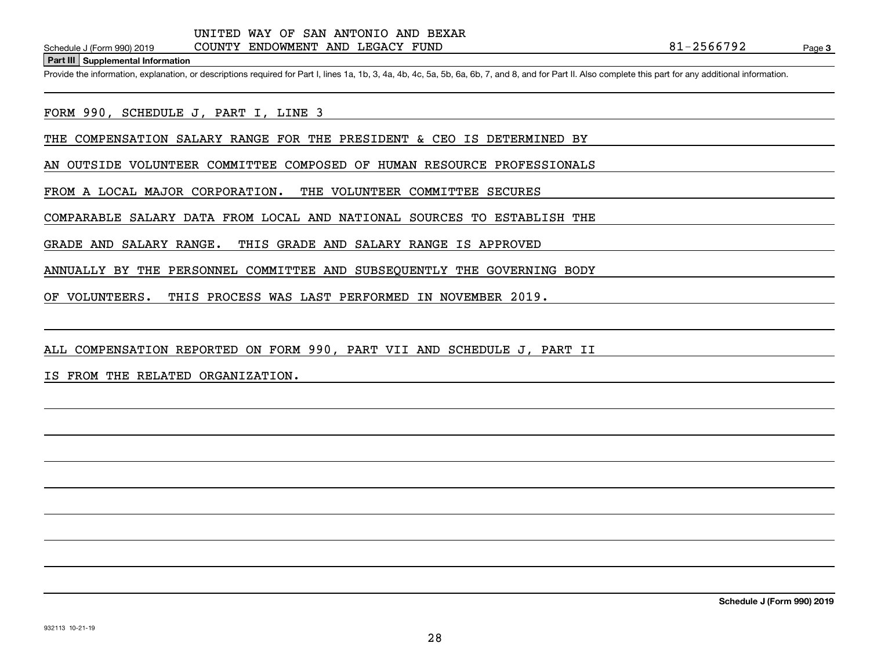**Part III Supplemental Information**

Schedule J (Form 990) 2019 COUNTY ENDOWMENT AND LEGACY FUND<br>Part III Supplemental Information<br>Provide the information, explanation, or descriptions required for Part I, lines 1a, 1b, 3, 4a, 4b, 4c, 5a, 5b, 6a, 6b, 7, and 8

FORM 990, SCHEDULE J, PART I, LINE 3

THE COMPENSATION SALARY RANGE FOR THE PRESIDENT & CEO IS DETERMINED BY

AN OUTSIDE VOLUNTEER COMMITTEE COMPOSED OF HUMAN RESOURCE PROFESSIONALS

FROM A LOCAL MAJOR CORPORATION. THE VOLUNTEER COMMITTEE SECURES

COMPARABLE SALARY DATA FROM LOCAL AND NATIONAL SOURCES TO ESTABLISH THE

GRADE AND SALARY RANGE. THIS GRADE AND SALARY RANGE IS APPROVED

ANNUALLY BY THE PERSONNEL COMMITTEE AND SUBSEQUENTLY THE GOVERNING BODY

OF VOLUNTEERS. THIS PROCESS WAS LAST PERFORMED IN NOVEMBER 2019.

ALL COMPENSATION REPORTED ON FORM 990, PART VII AND SCHEDULE J, PART II

IS FROM THE RELATED ORGANIZATION.

**Schedule J (Form 990) 2019**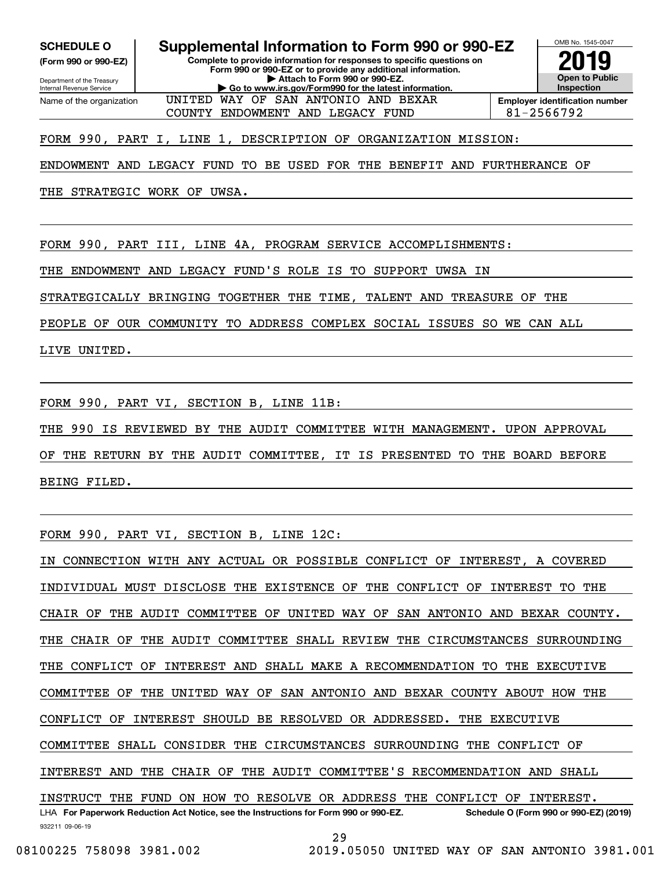**(Form 990 or 990-EZ)**

Department of the Treasury Internal Revenue Service Name of the organization

**Complete to provide information for responses to specific questions on Form 990 or 990-EZ or to provide any additional information. SCHEDULE O Supplemental Information to Form 990 or 990-EZ**

**| Attach to Form 990 or 990-EZ. | Go to www.irs.gov/Form990 for the latest information.**



OMB No. 1545-0047

COUNTY ENDOWMENT AND LEGACY FUND  $\begin{array}{|l|}\n\hline\n\end{array}$  81-2566792

FORM 990, PART I, LINE 1, DESCRIPTION OF ORGANIZATION MISSION:

ENDOWMENT AND LEGACY FUND TO BE USED FOR THE BENEFIT AND FURTHERANCE OF

UNITED WAY OF SAN ANTONIO AND BEXAR

THE STRATEGIC WORK OF UWSA.

FORM 990, PART III, LINE 4A, PROGRAM SERVICE ACCOMPLISHMENTS:

THE ENDOWMENT AND LEGACY FUND'S ROLE IS TO SUPPORT UWSA IN

STRATEGICALLY BRINGING TOGETHER THE TIME, TALENT AND TREASURE OF THE

PEOPLE OF OUR COMMUNITY TO ADDRESS COMPLEX SOCIAL ISSUES SO WE CAN ALL

LIVE UNITED.

FORM 990, PART VI, SECTION B, LINE 11B:

THE 990 IS REVIEWED BY THE AUDIT COMMITTEE WITH MANAGEMENT. UPON APPROVAL

OF THE RETURN BY THE AUDIT COMMITTEE, IT IS PRESENTED TO THE BOARD BEFORE BEING FILED.

FORM 990, PART VI, SECTION B, LINE 12C:

932211 09-06-19 LHA For Paperwork Reduction Act Notice, see the Instructions for Form 990 or 990-EZ. Schedule O (Form 990 or 990-EZ) (2019) IN CONNECTION WITH ANY ACTUAL OR POSSIBLE CONFLICT OF INTEREST, A COVERED INDIVIDUAL MUST DISCLOSE THE EXISTENCE OF THE CONFLICT OF INTEREST TO THE CHAIR OF THE AUDIT COMMITTEE OF UNITED WAY OF SAN ANTONIO AND BEXAR COUNTY. THE CHAIR OF THE AUDIT COMMITTEE SHALL REVIEW THE CIRCUMSTANCES SURROUNDING THE CONFLICT OF INTEREST AND SHALL MAKE A RECOMMENDATION TO THE EXECUTIVE COMMITTEE OF THE UNITED WAY OF SAN ANTONIO AND BEXAR COUNTY ABOUT HOW THE CONFLICT OF INTEREST SHOULD BE RESOLVED OR ADDRESSED. THE EXECUTIVE COMMITTEE SHALL CONSIDER THE CIRCUMSTANCES SURROUNDING THE CONFLICT OF INTEREST AND THE CHAIR OF THE AUDIT COMMITTEE'S RECOMMENDATION AND SHALL INSTRUCT THE FUND ON HOW TO RESOLVE OR ADDRESS THE CONFLICT OF INTEREST.

08100225 758098 3981.002 2019.05050 UNITED WAY OF SAN ANTONIO 3981.001

29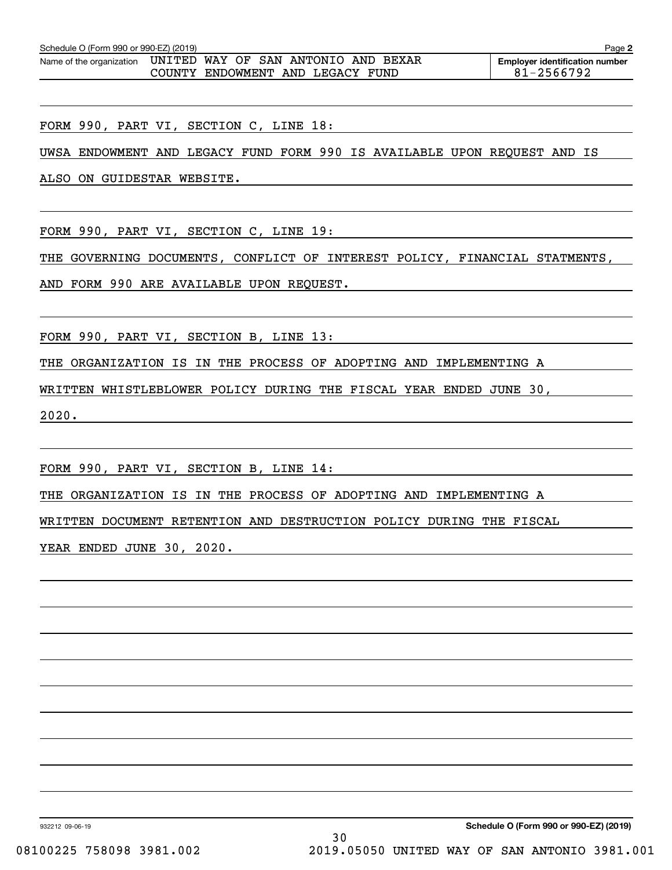| Schedule O (Form 990 or 990-EZ) (2019) |  |  |  |  |                                       |  | Page 2     |  |                                       |
|----------------------------------------|--|--|--|--|---------------------------------------|--|------------|--|---------------------------------------|
| Name of the organization               |  |  |  |  | , UNITED WAY OF SAN ANTONIO AND BEXAR |  |            |  | <b>Employer identification number</b> |
| COUNTY ENDOWMENT AND LEGACY FUND       |  |  |  |  |                                       |  | 81-2566792 |  |                                       |

FORM 990, PART VI, SECTION C, LINE 18:

UWSA ENDOWMENT AND LEGACY FUND FORM 990 IS AVAILABLE UPON REQUEST AND IS

ALSO ON GUIDESTAR WEBSITE.

FORM 990, PART VI, SECTION C, LINE 19:

THE GOVERNING DOCUMENTS, CONFLICT OF INTEREST POLICY, FINANCIAL STATMENTS,

AND FORM 990 ARE AVAILABLE UPON REQUEST.

FORM 990, PART VI, SECTION B, LINE 13:

THE ORGANIZATION IS IN THE PROCESS OF ADOPTING AND IMPLEMENTING A

WRITTEN WHISTLEBLOWER POLICY DURING THE FISCAL YEAR ENDED JUNE 30,

2020.

FORM 990, PART VI, SECTION B, LINE 14:

THE ORGANIZATION IS IN THE PROCESS OF ADOPTING AND IMPLEMENTING A

WRITTEN DOCUMENT RETENTION AND DESTRUCTION POLICY DURING THE FISCAL

YEAR ENDED JUNE 30, 2020.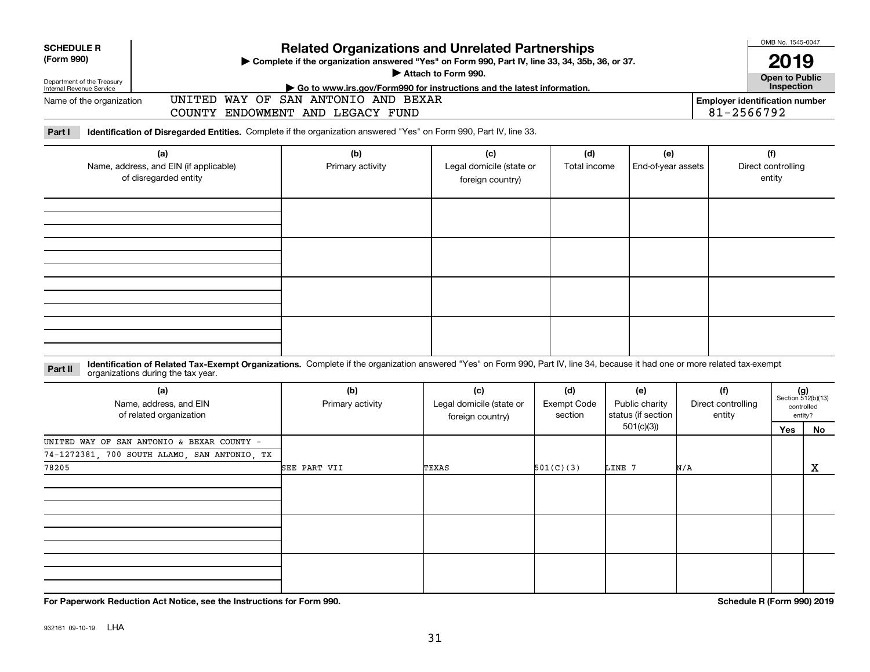| <b>SCHEDULE R</b>                                      |                                                                                                                                                                              | <b>Related Organizations and Unrelated Partnerships</b>                                                       |                          |                                     |                    |                    |            |                                       |                             |  |  |
|--------------------------------------------------------|------------------------------------------------------------------------------------------------------------------------------------------------------------------------------|---------------------------------------------------------------------------------------------------------------|--------------------------|-------------------------------------|--------------------|--------------------|------------|---------------------------------------|-----------------------------|--|--|
| (Form 990)                                             | > Complete if the organization answered "Yes" on Form 990, Part IV, line 33, 34, 35b, 36, or 37.                                                                             |                                                                                                               |                          |                                     |                    |                    |            |                                       |                             |  |  |
|                                                        |                                                                                                                                                                              | Attach to Form 990.                                                                                           |                          |                                     |                    |                    |            |                                       |                             |  |  |
| Department of the Treasury<br>Internal Revenue Service |                                                                                                                                                                              |                                                                                                               |                          | <b>Open to Public</b><br>Inspection |                    |                    |            |                                       |                             |  |  |
| Name of the organization                               |                                                                                                                                                                              | Go to www.irs.gov/Form990 for instructions and the latest information.<br>UNITED WAY OF SAN ANTONIO AND BEXAR |                          |                                     |                    |                    |            | <b>Employer identification number</b> |                             |  |  |
|                                                        |                                                                                                                                                                              | COUNTY ENDOWMENT AND LEGACY FUND                                                                              |                          |                                     |                    |                    | 81-2566792 |                                       |                             |  |  |
|                                                        |                                                                                                                                                                              |                                                                                                               |                          |                                     |                    |                    |            |                                       |                             |  |  |
| Part I                                                 | Identification of Disregarded Entities. Complete if the organization answered "Yes" on Form 990, Part IV, line 33.                                                           |                                                                                                               |                          |                                     |                    |                    |            |                                       |                             |  |  |
|                                                        | (a)                                                                                                                                                                          | (b)                                                                                                           | (c)                      | (d)                                 | (e)                |                    | (f)        |                                       |                             |  |  |
|                                                        | Name, address, and EIN (if applicable)                                                                                                                                       | Primary activity                                                                                              | Legal domicile (state or | Total income                        | End-of-year assets |                    |            | Direct controlling                    |                             |  |  |
|                                                        | of disregarded entity                                                                                                                                                        |                                                                                                               | foreign country)         |                                     |                    |                    | entity     |                                       |                             |  |  |
|                                                        |                                                                                                                                                                              |                                                                                                               |                          |                                     |                    |                    |            |                                       |                             |  |  |
|                                                        |                                                                                                                                                                              |                                                                                                               |                          |                                     |                    |                    |            |                                       |                             |  |  |
|                                                        |                                                                                                                                                                              |                                                                                                               |                          |                                     |                    |                    |            |                                       |                             |  |  |
|                                                        |                                                                                                                                                                              |                                                                                                               |                          |                                     |                    |                    |            |                                       |                             |  |  |
|                                                        |                                                                                                                                                                              |                                                                                                               |                          |                                     |                    |                    |            |                                       |                             |  |  |
|                                                        |                                                                                                                                                                              |                                                                                                               |                          |                                     |                    |                    |            |                                       |                             |  |  |
|                                                        |                                                                                                                                                                              |                                                                                                               |                          |                                     |                    |                    |            |                                       |                             |  |  |
|                                                        |                                                                                                                                                                              |                                                                                                               |                          |                                     |                    |                    |            |                                       |                             |  |  |
|                                                        |                                                                                                                                                                              |                                                                                                               |                          |                                     |                    |                    |            |                                       |                             |  |  |
|                                                        |                                                                                                                                                                              |                                                                                                               |                          |                                     |                    |                    |            |                                       |                             |  |  |
|                                                        |                                                                                                                                                                              |                                                                                                               |                          |                                     |                    |                    |            |                                       |                             |  |  |
|                                                        |                                                                                                                                                                              |                                                                                                               |                          |                                     |                    |                    |            |                                       |                             |  |  |
|                                                        |                                                                                                                                                                              |                                                                                                               |                          |                                     |                    |                    |            |                                       |                             |  |  |
| Part II                                                | Identification of Related Tax-Exempt Organizations. Complete if the organization answered "Yes" on Form 990, Part IV, line 34, because it had one or more related tax-exempt |                                                                                                               |                          |                                     |                    |                    |            |                                       |                             |  |  |
|                                                        | organizations during the tax year.                                                                                                                                           |                                                                                                               |                          |                                     |                    |                    |            |                                       |                             |  |  |
|                                                        | (a)                                                                                                                                                                          | (b)                                                                                                           | (c)                      | (d)                                 | (e)                |                    | (f)        |                                       | $(g)$<br>Section 512(b)(13) |  |  |
|                                                        | Name, address, and EIN                                                                                                                                                       | Primary activity                                                                                              | Legal domicile (state or | <b>Exempt Code</b>                  | Public charity     | Direct controlling |            | controlled                            |                             |  |  |
|                                                        | of related organization                                                                                                                                                      |                                                                                                               | foreign country)         | status (if section<br>section       |                    |                    | entity     |                                       | entity?                     |  |  |
|                                                        |                                                                                                                                                                              |                                                                                                               |                          |                                     | 501(c)(3)          |                    |            | Yes                                   | No                          |  |  |
|                                                        | UNITED WAY OF SAN ANTONIO & BEXAR COUNTY -                                                                                                                                   |                                                                                                               |                          |                                     |                    |                    |            |                                       |                             |  |  |
|                                                        | 74-1272381, 700 SOUTH ALAMO, SAN ANTONIO, TX                                                                                                                                 |                                                                                                               |                          |                                     |                    |                    |            |                                       |                             |  |  |
| 78205                                                  |                                                                                                                                                                              | SEE PART VII                                                                                                  | TEXAS                    | 501(C)(3)                           | LINE 7             | N/A                |            |                                       | X                           |  |  |
|                                                        |                                                                                                                                                                              |                                                                                                               |                          |                                     |                    |                    |            |                                       |                             |  |  |
|                                                        |                                                                                                                                                                              |                                                                                                               |                          |                                     |                    |                    |            |                                       |                             |  |  |
|                                                        |                                                                                                                                                                              |                                                                                                               |                          |                                     |                    |                    |            |                                       |                             |  |  |
|                                                        |                                                                                                                                                                              |                                                                                                               |                          |                                     |                    |                    |            |                                       |                             |  |  |
|                                                        |                                                                                                                                                                              |                                                                                                               |                          |                                     |                    |                    |            |                                       |                             |  |  |
|                                                        |                                                                                                                                                                              |                                                                                                               |                          |                                     |                    |                    |            |                                       |                             |  |  |
|                                                        |                                                                                                                                                                              |                                                                                                               |                          |                                     |                    |                    |            |                                       |                             |  |  |
|                                                        |                                                                                                                                                                              |                                                                                                               |                          |                                     |                    |                    |            |                                       |                             |  |  |
|                                                        |                                                                                                                                                                              |                                                                                                               |                          |                                     |                    |                    |            |                                       |                             |  |  |

**For Paperwork Reduction Act Notice, see the Instructions for Form 990. Schedule R (Form 990) 2019**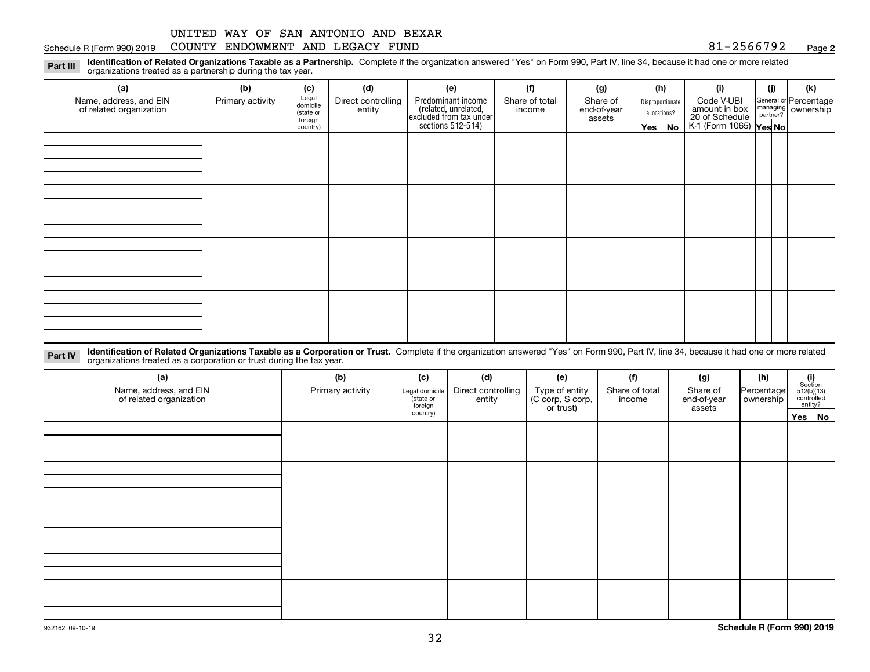#### Schedule R (Form 990) 2019 COUNTY ENDOWMENT AND LEGACY FUND 8 $1\text{--}2\text{566792}$  Page

**2**

**Identification of Related Organizations Taxable as a Partnership.** Complete if the organization answered "Yes" on Form 990, Part IV, line 34, because it had one or more related **Part III** organizations treated as a partnership during the tax year.

| (a)                                               | (b)              | (c)                  | (d)                          | (e)                                                                                        | (f)                      | (g)                               | (h)                              |          | (i)                                                                     | (j) | (k)                                                     |
|---------------------------------------------------|------------------|----------------------|------------------------------|--------------------------------------------------------------------------------------------|--------------------------|-----------------------------------|----------------------------------|----------|-------------------------------------------------------------------------|-----|---------------------------------------------------------|
| Name, address, and EIN<br>of related organization | Primary activity | Legal<br>domicile    | Direct controlling<br>entity | Predominant income<br>(related, unrelated,<br>excluded from tax under<br>sections 512-514) | Share of total<br>income | Share of<br>end-of-year<br>assets | Disproportionate<br>allocations? |          | Code V-UBI<br>amount in box<br>20 of Schedule<br>K-1 (Form 1065) Yes No |     | General or Percentage<br>managing ownership<br>partner? |
|                                                   |                  | (state or<br>foreign |                              |                                                                                            |                          |                                   |                                  |          |                                                                         |     |                                                         |
|                                                   |                  | country)             |                              |                                                                                            |                          |                                   |                                  | Yes   No |                                                                         |     |                                                         |
|                                                   |                  |                      |                              |                                                                                            |                          |                                   |                                  |          |                                                                         |     |                                                         |
|                                                   |                  |                      |                              |                                                                                            |                          |                                   |                                  |          |                                                                         |     |                                                         |
|                                                   |                  |                      |                              |                                                                                            |                          |                                   |                                  |          |                                                                         |     |                                                         |
|                                                   |                  |                      |                              |                                                                                            |                          |                                   |                                  |          |                                                                         |     |                                                         |
|                                                   |                  |                      |                              |                                                                                            |                          |                                   |                                  |          |                                                                         |     |                                                         |
|                                                   |                  |                      |                              |                                                                                            |                          |                                   |                                  |          |                                                                         |     |                                                         |
|                                                   |                  |                      |                              |                                                                                            |                          |                                   |                                  |          |                                                                         |     |                                                         |
|                                                   |                  |                      |                              |                                                                                            |                          |                                   |                                  |          |                                                                         |     |                                                         |
|                                                   |                  |                      |                              |                                                                                            |                          |                                   |                                  |          |                                                                         |     |                                                         |
|                                                   |                  |                      |                              |                                                                                            |                          |                                   |                                  |          |                                                                         |     |                                                         |
|                                                   |                  |                      |                              |                                                                                            |                          |                                   |                                  |          |                                                                         |     |                                                         |
|                                                   |                  |                      |                              |                                                                                            |                          |                                   |                                  |          |                                                                         |     |                                                         |
|                                                   |                  |                      |                              |                                                                                            |                          |                                   |                                  |          |                                                                         |     |                                                         |
|                                                   |                  |                      |                              |                                                                                            |                          |                                   |                                  |          |                                                                         |     |                                                         |
|                                                   |                  |                      |                              |                                                                                            |                          |                                   |                                  |          |                                                                         |     |                                                         |
|                                                   |                  |                      |                              |                                                                                            |                          |                                   |                                  |          |                                                                         |     |                                                         |
|                                                   |                  |                      |                              |                                                                                            |                          |                                   |                                  |          |                                                                         |     |                                                         |

**Identification of Related Organizations Taxable as a Corporation or Trust.** Complete if the organization answered "Yes" on Form 990, Part IV, line 34, because it had one or more related **Part IV** organizations treated as a corporation or trust during the tax year.

| (a)<br>Name, address, and EIN<br>of related organization | (b)<br>Primary activity | (c)<br>Legal domicile<br>(state or<br>foreign | (d)<br>Direct controlling<br>entity | (e)<br>Type of entity<br>(C corp, S corp,<br>or trust) | (f)<br>Share of total<br>income | (g)<br>Share of<br>end-of-year<br>assets | (h)<br>Percentage<br>ownership | $\begin{array}{c} \textbf{(i)}\\ \text{Section}\\ 512 \text{(b)} \text{(13)}\\ \text{controlled}\\ \text{entity?} \end{array}$ |        |
|----------------------------------------------------------|-------------------------|-----------------------------------------------|-------------------------------------|--------------------------------------------------------|---------------------------------|------------------------------------------|--------------------------------|--------------------------------------------------------------------------------------------------------------------------------|--------|
|                                                          |                         | country)                                      |                                     |                                                        |                                 |                                          |                                |                                                                                                                                | Yes No |
|                                                          |                         |                                               |                                     |                                                        |                                 |                                          |                                |                                                                                                                                |        |
|                                                          |                         |                                               |                                     |                                                        |                                 |                                          |                                |                                                                                                                                |        |
|                                                          |                         |                                               |                                     |                                                        |                                 |                                          |                                |                                                                                                                                |        |
|                                                          |                         |                                               |                                     |                                                        |                                 |                                          |                                |                                                                                                                                |        |
|                                                          |                         |                                               |                                     |                                                        |                                 |                                          |                                |                                                                                                                                |        |
|                                                          |                         |                                               |                                     |                                                        |                                 |                                          |                                |                                                                                                                                |        |
|                                                          |                         |                                               |                                     |                                                        |                                 |                                          |                                |                                                                                                                                |        |
|                                                          |                         |                                               |                                     |                                                        |                                 |                                          |                                |                                                                                                                                |        |
|                                                          |                         |                                               |                                     |                                                        |                                 |                                          |                                |                                                                                                                                |        |
|                                                          |                         |                                               |                                     |                                                        |                                 |                                          |                                |                                                                                                                                |        |
|                                                          |                         |                                               |                                     |                                                        |                                 |                                          |                                |                                                                                                                                |        |
|                                                          |                         |                                               |                                     |                                                        |                                 |                                          |                                |                                                                                                                                |        |
|                                                          |                         |                                               |                                     |                                                        |                                 |                                          |                                |                                                                                                                                |        |
|                                                          |                         |                                               |                                     |                                                        |                                 |                                          |                                |                                                                                                                                |        |
|                                                          |                         |                                               |                                     |                                                        |                                 |                                          |                                |                                                                                                                                |        |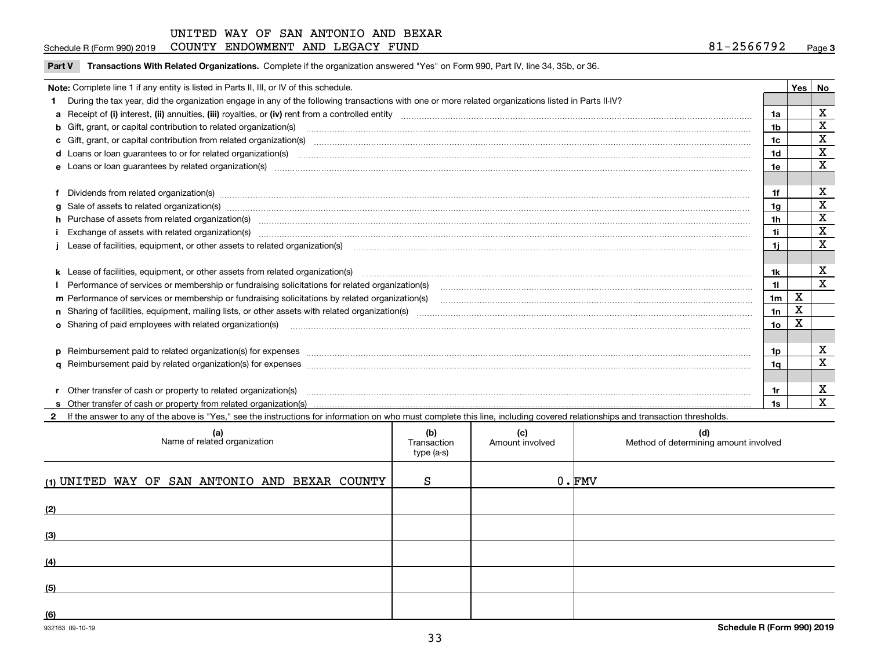### Schedule R (Form 990) 2019 COUNTY ENDOWMENT AND LEGACY FUND 8 $1\text{--}2\text{566792}$  Page

| Part V Transactions With Related Organizations. Complete if the organization answered "Yes" on Form 990, Part IV, line 34, 35b, or 36. |  |
|----------------------------------------------------------------------------------------------------------------------------------------|--|
|                                                                                                                                        |  |

| Note: Complete line 1 if any entity is listed in Parts II, III, or IV of this schedule. |                                                                                                                                                                                                                                |                |   |                         |  |  |  |
|-----------------------------------------------------------------------------------------|--------------------------------------------------------------------------------------------------------------------------------------------------------------------------------------------------------------------------------|----------------|---|-------------------------|--|--|--|
|                                                                                         | During the tax year, did the organization engage in any of the following transactions with one or more related organizations listed in Parts II-IV?                                                                            |                |   |                         |  |  |  |
|                                                                                         |                                                                                                                                                                                                                                | 1a             |   | $\mathbf X$             |  |  |  |
|                                                                                         | b Gift, grant, or capital contribution to related organization(s) mature and contained account of the contribution to related organization(s) matures are contained and contribution to related organization(s) matures are co | 1b             |   | $\mathbf X$             |  |  |  |
|                                                                                         |                                                                                                                                                                                                                                | 1c             |   | $\mathbf X$             |  |  |  |
|                                                                                         |                                                                                                                                                                                                                                | 1 <sub>d</sub> |   | $\mathbf X$             |  |  |  |
|                                                                                         |                                                                                                                                                                                                                                | 1e             |   | $\mathbf X$             |  |  |  |
|                                                                                         | Dividends from related organization(s) manufactured and contract the contract of the contract of the contract of the contract of the contract of the contract of the contract of the contract of the contract of the contract  | 1f             |   | х                       |  |  |  |
| a                                                                                       | Sale of assets to related organization(s) www.assess.com/individual/individual/individual/individual/individual/individual/individual/individual/individual/individual/individual/individual/individual/individual/individual/ | 1g             |   | $\mathbf X$             |  |  |  |
|                                                                                         | h Purchase of assets from related organization(s) manufactured and content to content the content of assets from related organization(s)                                                                                       | 1 <sub>h</sub> |   | X                       |  |  |  |
|                                                                                         |                                                                                                                                                                                                                                | 11             |   | $\overline{\mathbf{x}}$ |  |  |  |
|                                                                                         | Lease of facilities, equipment, or other assets to related organization(s) manufactured content and content and content and content and content and content and content and content and content and content and content and co | 11             |   | $\mathbf x$             |  |  |  |
|                                                                                         |                                                                                                                                                                                                                                |                |   |                         |  |  |  |
|                                                                                         | k Lease of facilities, equipment, or other assets from related organization(s) manufaction content and content to the assets from related organization(s) manufaction content and content and content and content and content  | 1k             |   | х                       |  |  |  |
|                                                                                         |                                                                                                                                                                                                                                | 11             |   | $\mathbf{x}$            |  |  |  |
|                                                                                         | m Performance of services or membership or fundraising solicitations by related organization(s)                                                                                                                                | 1 <sub>m</sub> | X |                         |  |  |  |
|                                                                                         |                                                                                                                                                                                                                                | 1n             | X |                         |  |  |  |
|                                                                                         | <b>o</b> Sharing of paid employees with related organization(s)                                                                                                                                                                | 1о             | х |                         |  |  |  |
|                                                                                         |                                                                                                                                                                                                                                |                |   |                         |  |  |  |
|                                                                                         | p Reimbursement paid to related organization(s) for expenses [1111] and the content of the content of the content of the content of the content of the content of the content of the content of the content of the content of  | 1p.            |   | X                       |  |  |  |
|                                                                                         |                                                                                                                                                                                                                                | 1q             |   | $\mathbf x$             |  |  |  |
|                                                                                         |                                                                                                                                                                                                                                |                |   |                         |  |  |  |
|                                                                                         | r Other transfer of cash or property to related organization(s)                                                                                                                                                                | 1r             |   | X                       |  |  |  |
|                                                                                         |                                                                                                                                                                                                                                | 1s.            |   | $\overline{\mathbf{X}}$ |  |  |  |
|                                                                                         | 2 If the answer to any of the above is "Yes," see the instructions for information on who must complete this line, including covered relationships and transaction thresholds.                                                 |                |   |                         |  |  |  |

| (a)<br>Name of related organization            | (b)<br>Transaction<br>type (a-s) | (c)<br>Amount involved | (d)<br>Method of determining amount involved |
|------------------------------------------------|----------------------------------|------------------------|----------------------------------------------|
| (1) UNITED WAY OF SAN ANTONIO AND BEXAR COUNTY | S                                |                        | $0 \cdot$ FMV                                |
| (2)                                            |                                  |                        |                                              |
| (3)                                            |                                  |                        |                                              |
| (4)                                            |                                  |                        |                                              |
| (5)                                            |                                  |                        |                                              |
| (6)                                            |                                  |                        |                                              |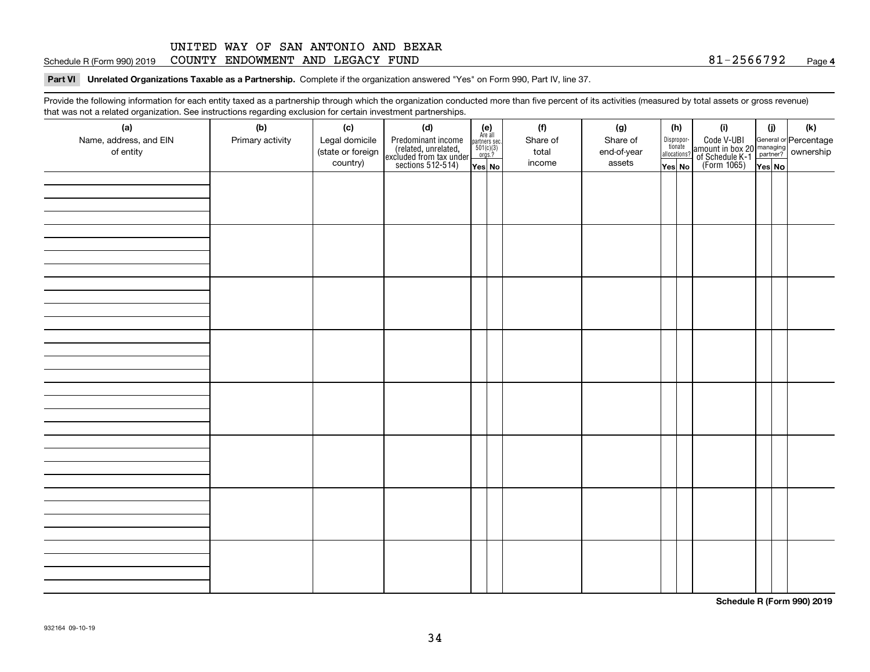#### **4**Schedule R (Form 990) 2019 COUNTY ENDOWMENT AND LEGACY FUND 8 $1\text{--}2\text{566792}$  Page

#### **Part VI Unrelated Organizations Taxable as a Partnership. Complete if the organization answered "Yes" on Form 990, Part IV, line 37.**

Provide the following information for each entity taxed as a partnership through which the organization conducted more than five percent of its activities (measured by total assets or gross revenue) that was not a related organization. See instructions regarding exclusion for certain investment partnerships.

| ັ                      | ັ<br>ັ           |                   |                                                                                            |                                      |  |          |             |  |                                       |                                                                                              |        |     |
|------------------------|------------------|-------------------|--------------------------------------------------------------------------------------------|--------------------------------------|--|----------|-------------|--|---------------------------------------|----------------------------------------------------------------------------------------------|--------|-----|
| (a)                    | (b)              | (c)               | (d)                                                                                        | (e)<br>Are all                       |  | (f)      | (g)         |  | (h)                                   | (i)                                                                                          | (i)    | (k) |
| Name, address, and EIN | Primary activity | Legal domicile    | Predominant income<br>(related, unrelated,<br>excluded from tax under<br>sections 512-514) | partners sec.<br>501(c)(3)<br>orgs.? |  | Share of | Share of    |  | Dispropor-<br>tionate<br>allocations? | Code V-UBI<br>amount in box 20 managing<br>of Schedule K-1 partner?<br>(Form 1065)<br>ves No |        |     |
| of entity              |                  | (state or foreign |                                                                                            |                                      |  | total    | end-of-year |  |                                       |                                                                                              |        |     |
|                        |                  | country)          |                                                                                            | Yes No                               |  | income   | assets      |  | Yes No                                |                                                                                              | Yes No |     |
|                        |                  |                   |                                                                                            |                                      |  |          |             |  |                                       |                                                                                              |        |     |
|                        |                  |                   |                                                                                            |                                      |  |          |             |  |                                       |                                                                                              |        |     |
|                        |                  |                   |                                                                                            |                                      |  |          |             |  |                                       |                                                                                              |        |     |
|                        |                  |                   |                                                                                            |                                      |  |          |             |  |                                       |                                                                                              |        |     |
|                        |                  |                   |                                                                                            |                                      |  |          |             |  |                                       |                                                                                              |        |     |
|                        |                  |                   |                                                                                            |                                      |  |          |             |  |                                       |                                                                                              |        |     |
|                        |                  |                   |                                                                                            |                                      |  |          |             |  |                                       |                                                                                              |        |     |
|                        |                  |                   |                                                                                            |                                      |  |          |             |  |                                       |                                                                                              |        |     |
|                        |                  |                   |                                                                                            |                                      |  |          |             |  |                                       |                                                                                              |        |     |
|                        |                  |                   |                                                                                            |                                      |  |          |             |  |                                       |                                                                                              |        |     |
|                        |                  |                   |                                                                                            |                                      |  |          |             |  |                                       |                                                                                              |        |     |
|                        |                  |                   |                                                                                            |                                      |  |          |             |  |                                       |                                                                                              |        |     |
|                        |                  |                   |                                                                                            |                                      |  |          |             |  |                                       |                                                                                              |        |     |
|                        |                  |                   |                                                                                            |                                      |  |          |             |  |                                       |                                                                                              |        |     |
|                        |                  |                   |                                                                                            |                                      |  |          |             |  |                                       |                                                                                              |        |     |
|                        |                  |                   |                                                                                            |                                      |  |          |             |  |                                       |                                                                                              |        |     |
|                        |                  |                   |                                                                                            |                                      |  |          |             |  |                                       |                                                                                              |        |     |
|                        |                  |                   |                                                                                            |                                      |  |          |             |  |                                       |                                                                                              |        |     |
|                        |                  |                   |                                                                                            |                                      |  |          |             |  |                                       |                                                                                              |        |     |
|                        |                  |                   |                                                                                            |                                      |  |          |             |  |                                       |                                                                                              |        |     |
|                        |                  |                   |                                                                                            |                                      |  |          |             |  |                                       |                                                                                              |        |     |
|                        |                  |                   |                                                                                            |                                      |  |          |             |  |                                       |                                                                                              |        |     |
|                        |                  |                   |                                                                                            |                                      |  |          |             |  |                                       |                                                                                              |        |     |
|                        |                  |                   |                                                                                            |                                      |  |          |             |  |                                       |                                                                                              |        |     |
|                        |                  |                   |                                                                                            |                                      |  |          |             |  |                                       |                                                                                              |        |     |
|                        |                  |                   |                                                                                            |                                      |  |          |             |  |                                       |                                                                                              |        |     |
|                        |                  |                   |                                                                                            |                                      |  |          |             |  |                                       |                                                                                              |        |     |
|                        |                  |                   |                                                                                            |                                      |  |          |             |  |                                       |                                                                                              |        |     |
|                        |                  |                   |                                                                                            |                                      |  |          |             |  |                                       |                                                                                              |        |     |
|                        |                  |                   |                                                                                            |                                      |  |          |             |  |                                       |                                                                                              |        |     |
|                        |                  |                   |                                                                                            |                                      |  |          |             |  |                                       |                                                                                              |        |     |
|                        |                  |                   |                                                                                            |                                      |  |          |             |  |                                       |                                                                                              |        |     |
|                        |                  |                   |                                                                                            |                                      |  |          |             |  |                                       |                                                                                              |        |     |
|                        |                  |                   |                                                                                            |                                      |  |          |             |  |                                       |                                                                                              |        |     |
|                        |                  |                   |                                                                                            |                                      |  |          |             |  |                                       |                                                                                              |        |     |
|                        |                  |                   |                                                                                            |                                      |  |          |             |  |                                       |                                                                                              |        |     |

**Schedule R (Form 990) 2019**